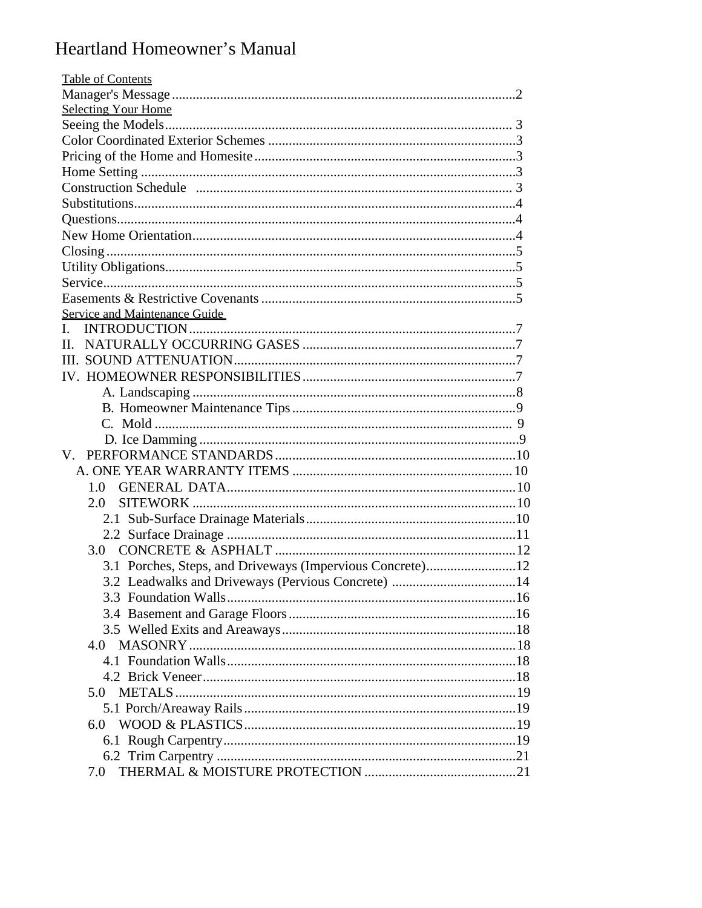# Heartland Homeowner's Manual

| <b>Table of Contents</b>                                  |  |
|-----------------------------------------------------------|--|
|                                                           |  |
| <b>Selecting Your Home</b>                                |  |
|                                                           |  |
|                                                           |  |
|                                                           |  |
|                                                           |  |
|                                                           |  |
|                                                           |  |
|                                                           |  |
|                                                           |  |
|                                                           |  |
|                                                           |  |
|                                                           |  |
|                                                           |  |
| <b>Service and Maintenance Guide</b>                      |  |
|                                                           |  |
|                                                           |  |
|                                                           |  |
|                                                           |  |
|                                                           |  |
|                                                           |  |
|                                                           |  |
|                                                           |  |
|                                                           |  |
|                                                           |  |
|                                                           |  |
| 1.0                                                       |  |
| 2.0                                                       |  |
|                                                           |  |
|                                                           |  |
| 3.0                                                       |  |
| 3.1 Porches, Steps, and Driveways (Impervious Concrete)12 |  |
| 3.2 Leadwalks and Driveways (Pervious Concrete) 14        |  |
|                                                           |  |
|                                                           |  |
|                                                           |  |
| 4.0                                                       |  |
|                                                           |  |
|                                                           |  |
| 5.0                                                       |  |
|                                                           |  |
|                                                           |  |
|                                                           |  |
|                                                           |  |
| 7.0                                                       |  |
|                                                           |  |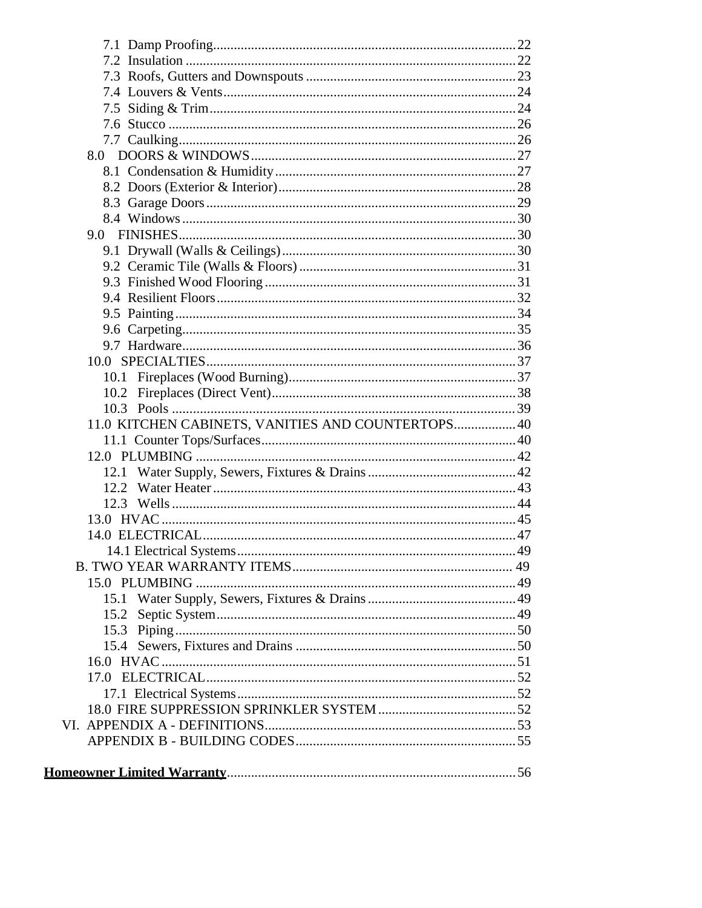| 8.0                                                |  |
|----------------------------------------------------|--|
|                                                    |  |
|                                                    |  |
|                                                    |  |
|                                                    |  |
|                                                    |  |
|                                                    |  |
|                                                    |  |
|                                                    |  |
|                                                    |  |
|                                                    |  |
|                                                    |  |
|                                                    |  |
|                                                    |  |
|                                                    |  |
|                                                    |  |
| 11.0 KITCHEN CABINETS, VANITIES AND COUNTERTOPS 40 |  |
|                                                    |  |
|                                                    |  |
|                                                    |  |
|                                                    |  |
|                                                    |  |
|                                                    |  |
|                                                    |  |
|                                                    |  |
|                                                    |  |
|                                                    |  |
|                                                    |  |
|                                                    |  |
|                                                    |  |
|                                                    |  |
|                                                    |  |
|                                                    |  |
|                                                    |  |
|                                                    |  |
|                                                    |  |
|                                                    |  |
|                                                    |  |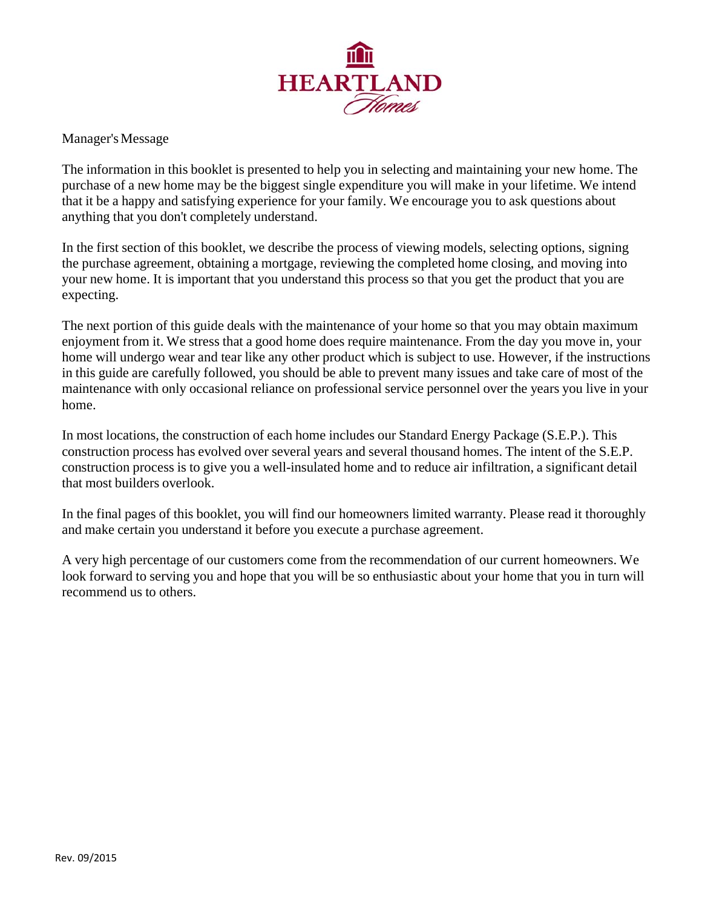

Manager's Message

The information in this booklet is presented to help you in selecting and maintaining your new home. The purchase of a new home may be the biggest single expenditure you will make in your lifetime. We intend that it be a happy and satisfying experience for your family. We encourage you to ask questions about anything that you don't completely understand.

In the first section of this booklet, we describe the process of viewing models, selecting options, signing the purchase agreement, obtaining a mortgage, reviewing the completed home closing, and moving into your new home. It is important that you understand this process so that you get the product that you are expecting.

The next portion of this guide deals with the maintenance of your home so that you may obtain maximum enjoyment from it. We stress that a good home does require maintenance. From the day you move in, your home will undergo wear and tear like any other product which is subject to use. However, if the instructions in this guide are carefully followed, you should be able to prevent many issues and take care of most of the maintenance with only occasional reliance on professional service personnel over the years you live in your home.

In most locations, the construction of each home includes our Standard Energy Package (S.E.P.). This construction process has evolved over several years and several thousand homes. The intent of the S.E.P. construction process is to give you a well-insulated home and to reduce air infiltration, a significant detail that most builders overlook.

In the final pages of this booklet, you will find our homeowners limited warranty. Please read it thoroughly and make certain you understand it before you execute a purchase agreement.

A very high percentage of our customers come from the recommendation of our current homeowners. We look forward to serving you and hope that you will be so enthusiastic about your home that you in turn will recommend us to others.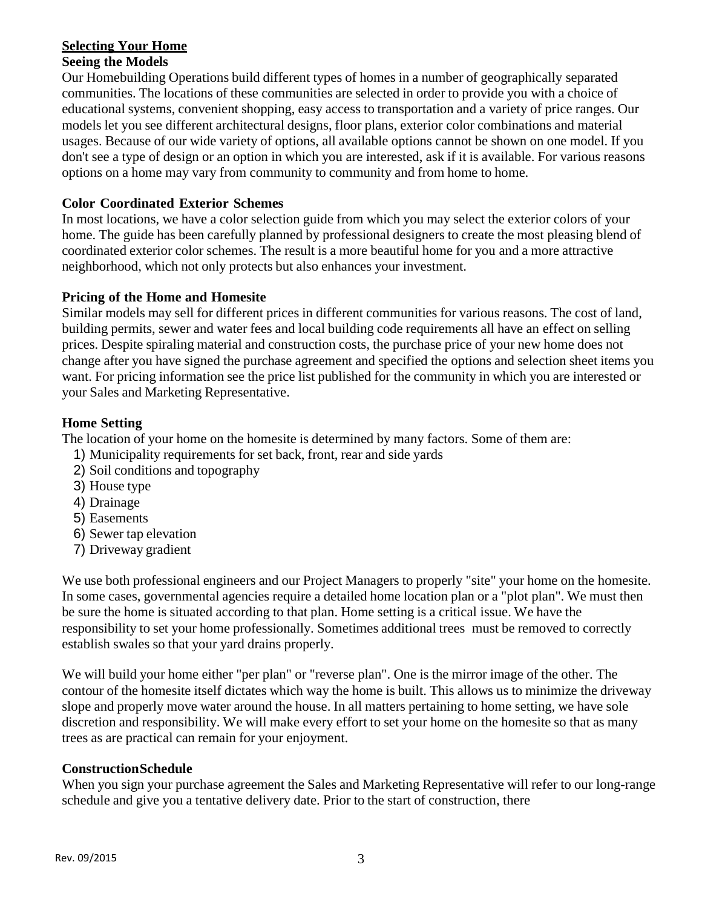# **Selecting Your Home**

# **Seeing the Models**

Our Homebuilding Operations build different types of homes in a number of geographically separated communities. The locations of these communities are selected in order to provide you with a choice of educational systems, convenient shopping, easy access to transportation and a variety of price ranges. Our models let you see different architectural designs, floor plans, exterior color combinations and material usages. Because of our wide variety of options, all available options cannot be shown on one model. If you don't see a type of design or an option in which you are interested, ask if it is available. For various reasons options on a home may vary from community to community and from home to home.

# **Color Coordinated Exterior Schemes**

In most locations, we have a color selection guide from which you may select the exterior colors of your home. The guide has been carefully planned by professional designers to create the most pleasing blend of coordinated exterior color schemes. The result is a more beautiful home for you and a more attractive neighborhood, which not only protects but also enhances your investment.

# **Pricing of the Home and Homesite**

Similar models may sell for different prices in different communities for various reasons. The cost of land, building permits, sewer and water fees and local building code requirements all have an effect on selling prices. Despite spiraling material and construction costs, the purchase price of your new home does not change after you have signed the purchase agreement and specified the options and selection sheet items you want. For pricing information see the price list published for the community in which you are interested or your Sales and Marketing Representative.

# **Home Setting**

The location of your home on the homesite is determined by many factors. Some of them are:

- 1) Municipality requirements for set back, front, rear and side yards
- 2) Soil conditions and topography
- 3) House type
- 4) Drainage
- 5) Easements
- 6) Sewer tap elevation
- 7) Driveway gradient

We use both professional engineers and our Project Managers to properly "site" your home on the homesite. In some cases, governmental agencies require a detailed home location plan or a "plot plan". We must then be sure the home is situated according to that plan. Home setting is a critical issue. We have the responsibility to set your home professionally. Sometimes additional trees must be removed to correctly establish swales so that your yard drains properly.

We will build your home either "per plan" or "reverse plan". One is the mirror image of the other. The contour of the homesite itself dictates which way the home is built. This allows us to minimize the driveway slope and properly move water around the house. In all matters pertaining to home setting, we have sole discretion and responsibility. We will make every effort to set your home on the homesite so that as many trees as are practical can remain for your enjoyment.

# **Construction Schedule**

When you sign your purchase agreement the Sales and Marketing Representative will refer to our long-range schedule and give you a tentative delivery date. Prior to the start of construction, there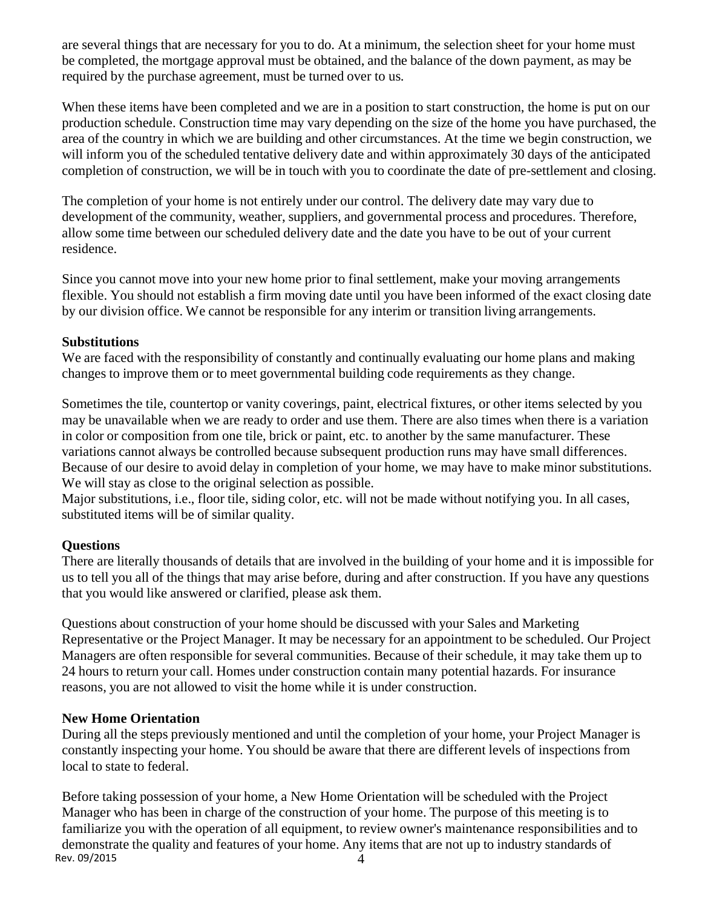are several things that are necessary for you to do. At a minimum, the selection sheet for your home must be completed, the mortgage approval must be obtained, and the balance of the down payment, as may be required by the purchase agreement, must be turned over to us.

When these items have been completed and we are in a position to start construction, the home is put on our production schedule. Construction time may vary depending on the size of the home you have purchased, the area of the country in which we are building and other circumstances. At the time we begin construction, we will inform you of the scheduled tentative delivery date and within approximately 30 days of the anticipated completion of construction, we will be in touch with you to coordinate the date of pre-settlement and closing.

The completion of your home is not entirely under our control. The delivery date may vary due to development of the community, weather, suppliers, and governmental process and procedures. Therefore, allow some time between our scheduled delivery date and the date you have to be out of your current residence.

Since you cannot move into your new home prior to final settlement, make your moving arrangements flexible. You should not establish a firm moving date until you have been informed of the exact closing date by our division office. We cannot be responsible for any interim or transition living arrangements.

# **Substitutions**

We are faced with the responsibility of constantly and continually evaluating our home plans and making changes to improve them or to meet governmental building code requirements as they change.

Sometimes the tile, countertop or vanity coverings, paint, electrical fixtures, or other items selected by you may be unavailable when we are ready to order and use them. There are also times when there is a variation in color or composition from one tile, brick or paint, etc. to another by the same manufacturer. These variations cannot always be controlled because subsequent production runs may have small differences. Because of our desire to avoid delay in completion of your home, we may have to make minor substitutions. We will stay as close to the original selection as possible.

Major substitutions, i.e., floor tile, siding color, etc. will not be made without notifying you. In all cases, substituted items will be of similar quality.

# **Questions**

There are literally thousands of details that are involved in the building of your home and it is impossible for us to tell you all of the things that may arise before, during and after construction. If you have any questions that you would like answered or clarified, please ask them.

Questions about construction of your home should be discussed with your Sales and Marketing Representative or the Project Manager. It may be necessary for an appointment to be scheduled. Our Project Managers are often responsible for several communities. Because of their schedule, it may take them up to 24 hours to return your call. Homes under construction contain many potential hazards. For insurance reasons, you are not allowed to visit the home while it is under construction.

# **New Home Orientation**

During all the steps previously mentioned and until the completion of your home, your Project Manager is constantly inspecting your home. You should be aware that there are different levels of inspections from local to state to federal.

Rev. 09/2015  $\frac{1}{4}$ Before taking possession of your home, a New Home Orientation will be scheduled with the Project Manager who has been in charge of the construction of your home. The purpose of this meeting is to familiarize you with the operation of all equipment, to review owner's maintenance responsibilities and to demonstrate the quality and features of your home. Any items that are not up to industry standards of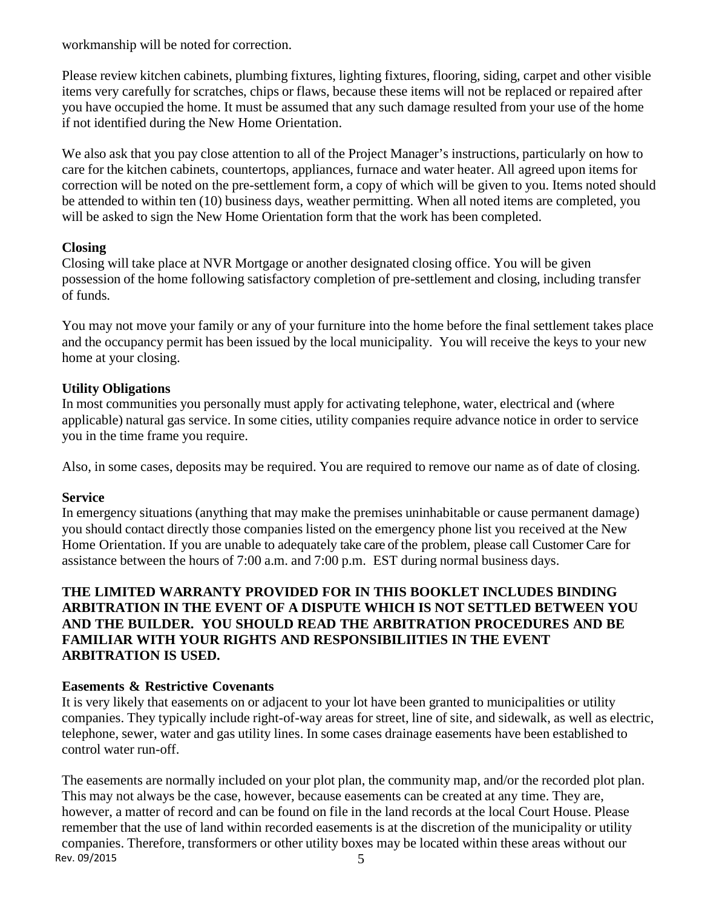workmanship will be noted for correction.

Please review kitchen cabinets, plumbing fixtures, lighting fixtures, flooring, siding, carpet and other visible items very carefully for scratches, chips or flaws, because these items will not be replaced or repaired after you have occupied the home. It must be assumed that any such damage resulted from your use of the home if not identified during the New Home Orientation.

We also ask that you pay close attention to all of the Project Manager's instructions, particularly on how to care for the kitchen cabinets, countertops, appliances, furnace and water heater. All agreed upon items for correction will be noted on the pre-settlement form, a copy of which will be given to you. Items noted should be attended to within ten (10) business days, weather permitting. When all noted items are completed, you will be asked to sign the New Home Orientation form that the work has been completed.

# **Closing**

Closing will take place at NVR Mortgage or another designated closing office. You will be given possession of the home following satisfactory completion of pre-settlement and closing, including transfer of funds.

You may not move your family or any of your furniture into the home before the final settlement takes place and the occupancy permit has been issued by the local municipality. You will receive the keys to your new home at your closing.

# **Utility Obligations**

In most communities you personally must apply for activating telephone, water, electrical and (where applicable) natural gas service. In some cities, utility companies require advance notice in order to service you in the time frame you require.

Also, in some cases, deposits may be required. You are required to remove our name as of date of closing.

# **Service**

In emergency situations (anything that may make the premises uninhabitable or cause permanent damage) you should contact directly those companies listed on the emergency phone list you received at the New Home Orientation. If you are unable to adequately take care of the problem, please call Customer Care for assistance between the hours of 7:00 a.m. and 7:00 p.m. EST during normal business days.

# **THE LIMITED WARRANTY PROVIDED FOR IN THIS BOOKLET INCLUDES BINDING ARBITRATION IN THE EVENT OF A DISPUTE WHICH IS NOT SETTLED BETWEEN YOU AND THE BUILDER. YOU SHOULD READ THE ARBITRATION PROCEDURES AND BE FAMILIAR WITH YOUR RIGHTS AND RESPONSIBILIITIES IN THE EVENT ARBITRATION IS USED.**

# **Easements & Restrictive Covenants**

It is very likely that easements on or adjacent to your lot have been granted to municipalities or utility companies. They typically include right-of-way areas for street, line of site, and sidewalk, as well as electric, telephone, sewer, water and gas utility lines. In some cases drainage easements have been established to control water run-off.

 $Rev. 09/2015$  5 The easements are normally included on your plot plan, the community map, and/or the recorded plot plan. This may not always be the case, however, because easements can be created at any time. They are, however, a matter of record and can be found on file in the land records at the local Court House. Please remember that the use of land within recorded easements is at the discretion of the municipality or utility companies. Therefore, transformers or other utility boxes may be located within these areas without our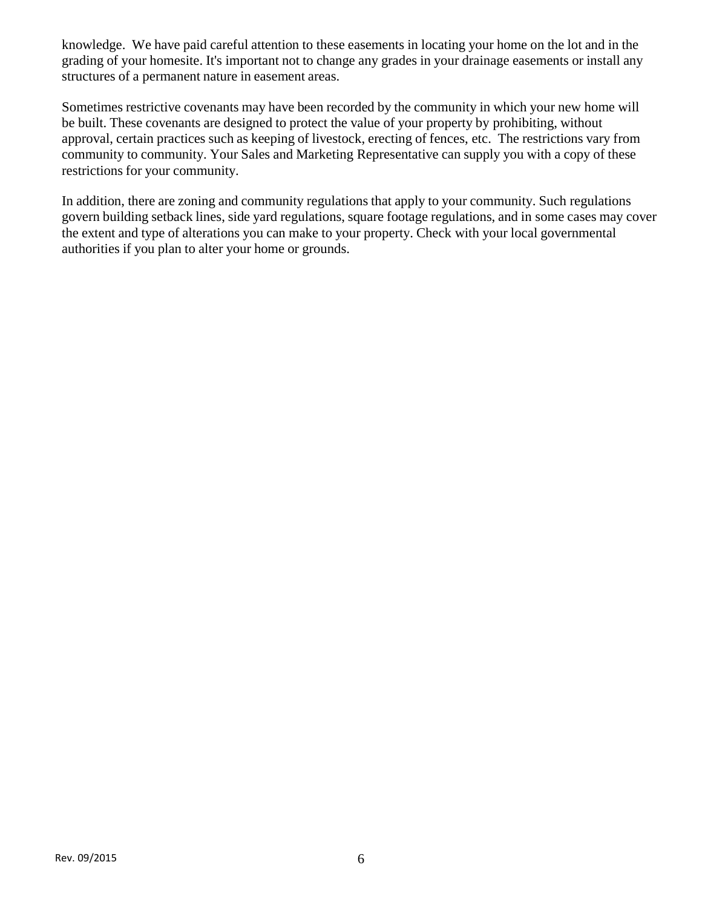knowledge. We have paid careful attention to these easements in locating your home on the lot and in the grading of your homesite. It's important not to change any grades in your drainage easements or install any structures of a permanent nature in easement areas.

Sometimes restrictive covenants may have been recorded by the community in which your new home will be built. These covenants are designed to protect the value of your property by prohibiting, without approval, certain practices such as keeping of livestock, erecting of fences, etc. The restrictions vary from community to community. Your Sales and Marketing Representative can supply you with a copy of these restrictions for your community.

In addition, there are zoning and community regulations that apply to your community. Such regulations govern building setback lines, side yard regulations, square footage regulations, and in some cases may cover the extent and type of alterations you can make to your property. Check with your local governmental authorities if you plan to alter your home or grounds.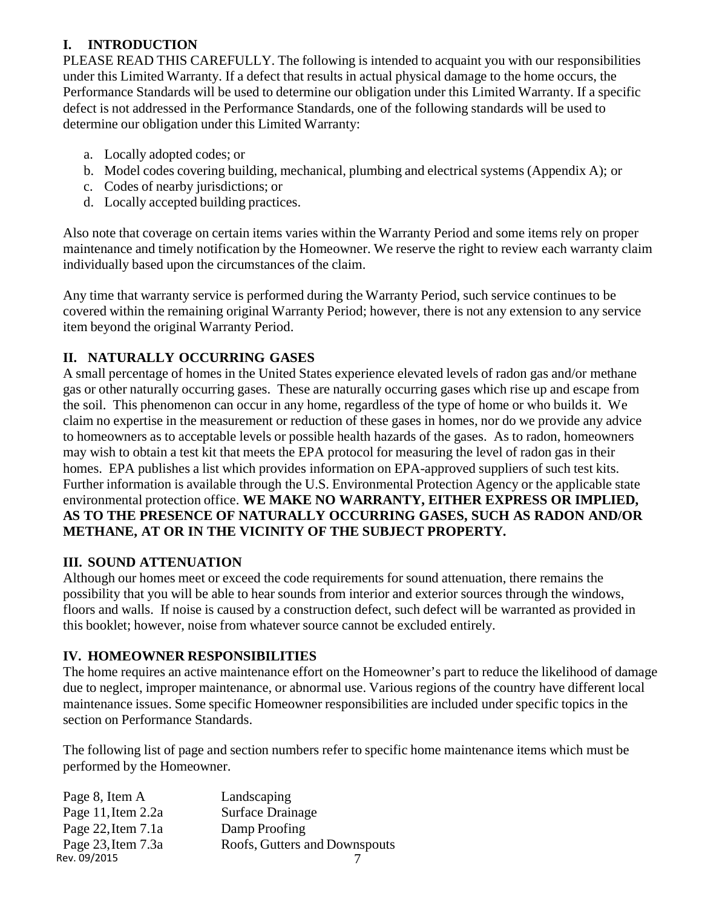# **I. INTRODUCTION**

PLEASE READ THIS CAREFULLY. The following is intended to acquaint you with our responsibilities under this Limited Warranty. If a defect that results in actual physical damage to the home occurs, the Performance Standards will be used to determine our obligation under this Limited Warranty. If a specific defect is not addressed in the Performance Standards, one of the following standards will be used to determine our obligation under this Limited Warranty:

- a. Locally adopted codes; or
- b. Model codes covering building, mechanical, plumbing and electrical systems (Appendix A); or
- c. Codes of nearby jurisdictions; or
- d. Locally accepted building practices.

Also note that coverage on certain items varies within the Warranty Period and some items rely on proper maintenance and timely notification by the Homeowner. We reserve the right to review each warranty claim individually based upon the circumstances of the claim.

Any time that warranty service is performed during the Warranty Period, such service continues to be covered within the remaining original Warranty Period; however, there is not any extension to any service item beyond the original Warranty Period.

# **II. NATURALLY OCCURRING GASES**

A small percentage of homes in the United States experience elevated levels of radon gas and/or methane gas or other naturally occurring gases. These are naturally occurring gases which rise up and escape from the soil. This phenomenon can occur in any home, regardless of the type of home or who builds it. We claim no expertise in the measurement or reduction of these gases in homes, nor do we provide any advice to homeowners as to acceptable levels or possible health hazards of the gases. As to radon, homeowners may wish to obtain a test kit that meets the EPA protocol for measuring the level of radon gas in their homes. EPA publishes a list which provides information on EPA-approved suppliers of such test kits. Further information is available through the U.S. Environmental Protection Agency or the applicable state environmental protection office. **WE MAKE NO WARRANTY, EITHER EXPRESS OR IMPLIED, AS TO THE PRESENCE OF NATURALLY OCCURRING GASES, SUCH AS RADON AND/OR METHANE, AT OR IN THE VICINITY OF THE SUBJECT PROPERTY.** 

# **III. SOUND ATTENUATION**

Although our homes meet or exceed the code requirements for sound attenuation, there remains the possibility that you will be able to hear sounds from interior and exterior sources through the windows, floors and walls. If noise is caused by a construction defect, such defect will be warranted as provided in this booklet; however, noise from whatever source cannot be excluded entirely.

# **IV. HOMEOWNER RESPONSIBILITIES**

The home requires an active maintenance effort on the Homeowner's part to reduce the likelihood of damage due to neglect, improper maintenance, or abnormal use. Various regions of the country have different local maintenance issues. Some specific Homeowner responsibilities are included under specific topics in the section on Performance Standards.

The following list of page and section numbers refer to specific home maintenance items which must be performed by the Homeowner.

| Landscaping                   |
|-------------------------------|
| <b>Surface Drainage</b>       |
| Damp Proofing                 |
| Roofs, Gutters and Downspouts |
|                               |
|                               |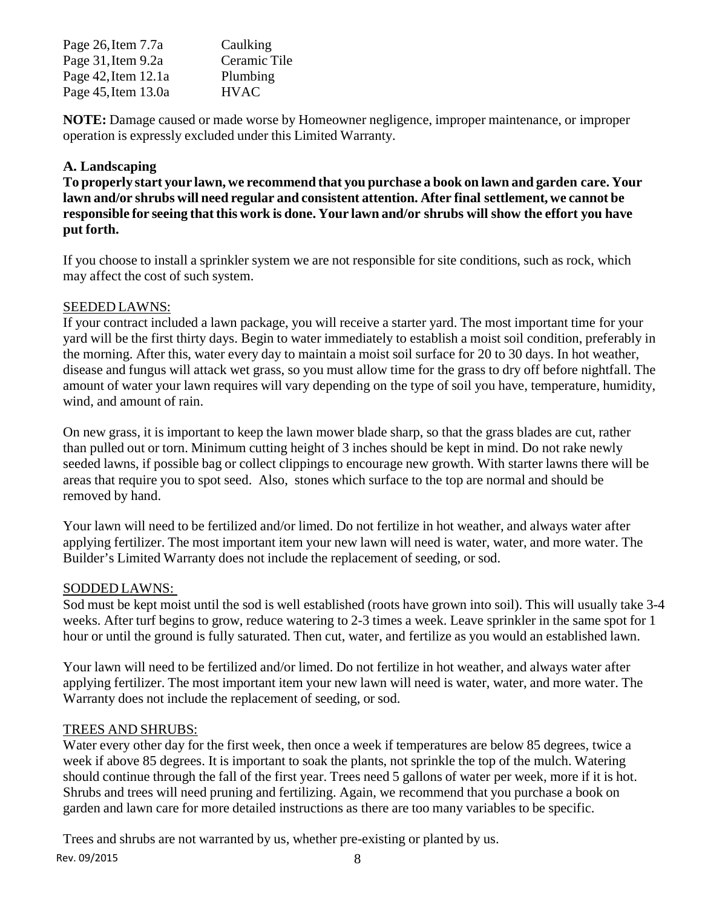| Page 26, Item 7.7a       | Caulking     |
|--------------------------|--------------|
| Page 31, Item 9.2a       | Ceramic Tile |
| Page $42$ , Item $12.1a$ | Plumbing     |
| Page 45, Item 13.0a      | <b>HVAC</b>  |

**NOTE:** Damage caused or made worse by Homeowner negligence, improper maintenance, or improper operation is expressly excluded under this Limited Warranty.

# **A. Landscaping**

**To properly start your lawn, we recommend that you purchase a book on lawn and garden care. Your lawn and/or shrubs will need regular and consistent attention. After final settlement, we cannot be responsible for seeing that this work is done. Your lawn and/or shrubs will show the effort you have put forth.** 

If you choose to install a sprinkler system we are not responsible for site conditions, such as rock, which may affect the cost of such system.

# SEEDED LAWNS:

If your contract included a lawn package, you will receive a starter yard. The most important time for your yard will be the first thirty days. Begin to water immediately to establish a moist soil condition, preferably in the morning. After this, water every day to maintain a moist soil surface for 20 to 30 days. In hot weather, disease and fungus will attack wet grass, so you must allow time for the grass to dry off before nightfall. The amount of water your lawn requires will vary depending on the type of soil you have, temperature, humidity, wind, and amount of rain.

On new grass, it is important to keep the lawn mower blade sharp, so that the grass blades are cut, rather than pulled out or torn. Minimum cutting height of 3 inches should be kept in mind. Do not rake newly seeded lawns, if possible bag or collect clippings to encourage new growth. With starter lawns there will be areas that require you to spot seed. Also, stones which surface to the top are normal and should be removed by hand.

Your lawn will need to be fertilized and/or limed. Do not fertilize in hot weather, and always water after applying fertilizer. The most important item your new lawn will need is water, water, and more water. The Builder's Limited Warranty does not include the replacement of seeding, or sod.

# SODDED LAWNS:

Sod must be kept moist until the sod is well established (roots have grown into soil). This will usually take 3-4 weeks. After turf begins to grow, reduce watering to 2-3 times a week. Leave sprinkler in the same spot for 1 hour or until the ground is fully saturated. Then cut, water, and fertilize as you would an established lawn.

Your lawn will need to be fertilized and/or limed. Do not fertilize in hot weather, and always water after applying fertilizer. The most important item your new lawn will need is water, water, and more water. The Warranty does not include the replacement of seeding, or sod.

# TREES AND SHRUBS:

Water every other day for the first week, then once a week if temperatures are below 85 degrees, twice a week if above 85 degrees. It is important to soak the plants, not sprinkle the top of the mulch. Watering should continue through the fall of the first year. Trees need 5 gallons of water per week, more if it is hot. Shrubs and trees will need pruning and fertilizing. Again, we recommend that you purchase a book on garden and lawn care for more detailed instructions as there are too many variables to be specific.

Rev. 09/2015 8 Trees and shrubs are not warranted by us, whether pre-existing or planted by us.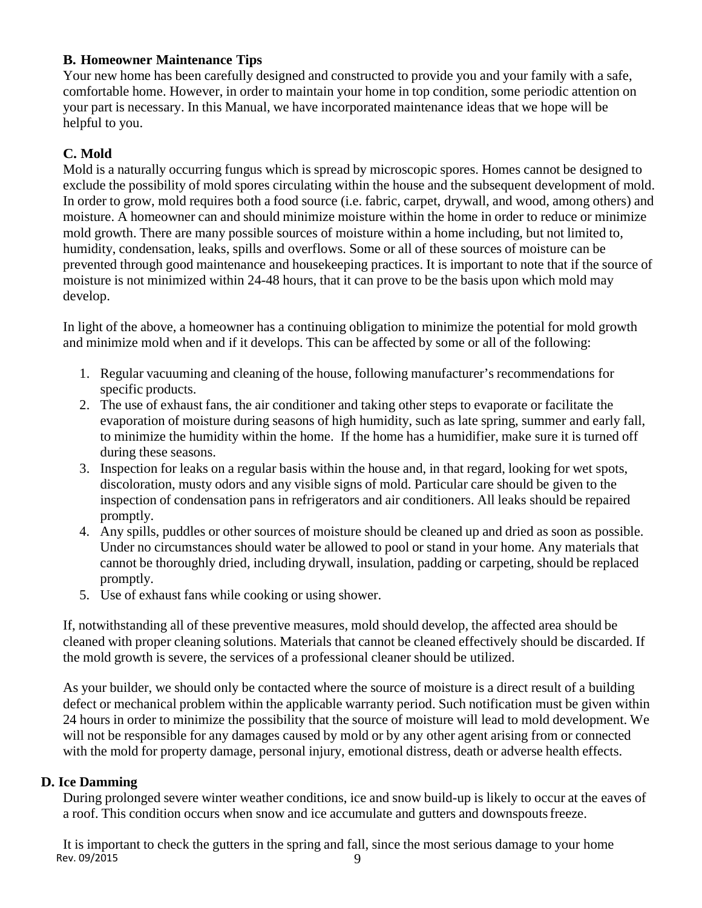# **B. Homeowner Maintenance Tips**

Your new home has been carefully designed and constructed to provide you and your family with a safe, comfortable home. However, in order to maintain your home in top condition, some periodic attention on your part is necessary. In this Manual, we have incorporated maintenance ideas that we hope will be helpful to you.

# **C. Mold**

Mold is a naturally occurring fungus which is spread by microscopic spores. Homes cannot be designed to exclude the possibility of mold spores circulating within the house and the subsequent development of mold. In order to grow, mold requires both a food source (i.e. fabric, carpet, drywall, and wood, among others) and moisture. A homeowner can and should minimize moisture within the home in order to reduce or minimize mold growth. There are many possible sources of moisture within a home including, but not limited to, humidity, condensation, leaks, spills and overflows. Some or all of these sources of moisture can be prevented through good maintenance and housekeeping practices. It is important to note that if the source of moisture is not minimized within 24-48 hours, that it can prove to be the basis upon which mold may develop.

In light of the above, a homeowner has a continuing obligation to minimize the potential for mold growth and minimize mold when and if it develops. This can be affected by some or all of the following:

- 1. Regular vacuuming and cleaning of the house, following manufacturer's recommendations for specific products.
- 2. The use of exhaust fans, the air conditioner and taking other steps to evaporate or facilitate the evaporation of moisture during seasons of high humidity, such as late spring, summer and early fall, to minimize the humidity within the home. If the home has a humidifier, make sure it is turned off during these seasons.
- 3. Inspection for leaks on a regular basis within the house and, in that regard, looking for wet spots, discoloration, musty odors and any visible signs of mold. Particular care should be given to the inspection of condensation pans in refrigerators and air conditioners. All leaks should be repaired promptly.
- 4. Any spills, puddles or other sources of moisture should be cleaned up and dried as soon as possible. Under no circumstances should water be allowed to pool or stand in your home. Any materials that cannot be thoroughly dried, including drywall, insulation, padding or carpeting, should be replaced promptly.
- 5. Use of exhaust fans while cooking or using shower.

If, notwithstanding all of these preventive measures, mold should develop, the affected area should be cleaned with proper cleaning solutions. Materials that cannot be cleaned effectively should be discarded. If the mold growth is severe, the services of a professional cleaner should be utilized.

As your builder, we should only be contacted where the source of moisture is a direct result of a building defect or mechanical problem within the applicable warranty period. Such notification must be given within 24 hours in order to minimize the possibility that the source of moisture will lead to mold development. We will not be responsible for any damages caused by mold or by any other agent arising from or connected with the mold for property damage, personal injury, emotional distress, death or adverse health effects.

# **D. Ice Damming**

During prolonged severe winter weather conditions, ice and snow build-up is likely to occur at the eaves of a roof. This condition occurs when snow and ice accumulate and gutters and downspouts freeze.

Rev. 09/2015  $\sim$  9 It is important to check the gutters in the spring and fall, since the most serious damage to your home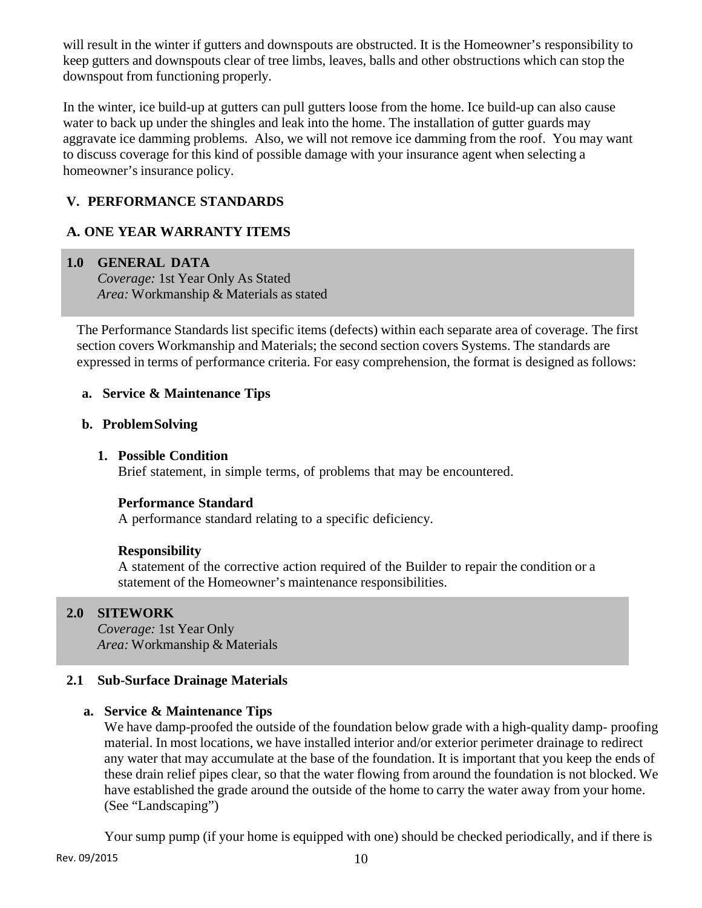will result in the winter if gutters and downspouts are obstructed. It is the Homeowner's responsibility to keep gutters and downspouts clear of tree limbs, leaves, balls and other obstructions which can stop the downspout from functioning properly.

In the winter, ice build-up at gutters can pull gutters loose from the home. Ice build-up can also cause water to back up under the shingles and leak into the home. The installation of gutter guards may aggravate ice damming problems. Also, we will not remove ice damming from the roof. You may want to discuss coverage for this kind of possible damage with your insurance agent when selecting a homeowner's insurance policy.

# **V. PERFORMANCE STANDARDS**

# **A. ONE YEAR WARRANTY ITEMS**

# **1.0 GENERAL DATA**

*Coverage:* 1st Year Only As Stated *Area:* Workmanship & Materials as stated

The Performance Standards list specific items (defects) within each separate area of coverage. The first section covers Workmanship and Materials; the second section covers Systems. The standards are expressed in terms of performance criteria. For easy comprehension, the format is designed as follows:

# **a. Service & Maintenance Tips**

# **b. Problem Solving**

# **1. Possible Condition**

Brief statement, in simple terms, of problems that may be encountered.

# **Performance Standard**

A performance standard relating to a specific deficiency.

# **Responsibility**

A statement of the corrective action required of the Builder to repair the condition or a statement of the Homeowner's maintenance responsibilities.

# **2.0 SITEWORK**

*Coverage:* 1st Year Only *Area:* Workmanship & Materials

# **2.1 Sub-Surface Drainage Materials**

# **a. Service & Maintenance Tips**

We have damp-proofed the outside of the foundation below grade with a high-quality damp-proofing material. In most locations, we have installed interior and/or exterior perimeter drainage to redirect any water that may accumulate at the base of the foundation. It is important that you keep the ends of these drain relief pipes clear, so that the water flowing from around the foundation is not blocked. We have established the grade around the outside of the home to carry the water away from your home. (See "Landscaping")

Your sump pump (if your home is equipped with one) should be checked periodically, and if there is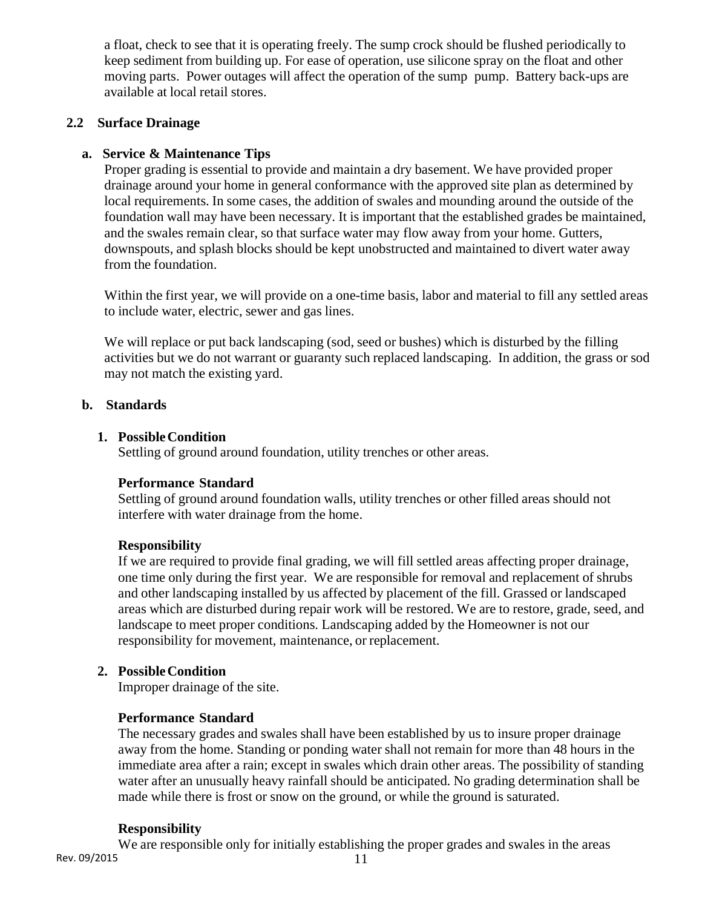a float, check to see that it is operating freely. The sump crock should be flushed periodically to keep sediment from building up. For ease of operation, use silicone spray on the float and other moving parts. Power outages will affect the operation of the sump pump. Battery back-ups are available at local retail stores.

# **2.2 Surface Drainage**

# **a. Service & Maintenance Tips**

Proper grading is essential to provide and maintain a dry basement. We have provided proper drainage around your home in general conformance with the approved site plan as determined by local requirements. In some cases, the addition of swales and mounding around the outside of the foundation wall may have been necessary. It is important that the established grades be maintained, and the swales remain clear, so that surface water may flow away from your home. Gutters, downspouts, and splash blocks should be kept unobstructed and maintained to divert water away from the foundation.

Within the first year, we will provide on a one-time basis, labor and material to fill any settled areas to include water, electric, sewer and gas lines.

We will replace or put back landscaping (sod, seed or bushes) which is disturbed by the filling activities but we do not warrant or guaranty such replaced landscaping. In addition, the grass or sod may not match the existing yard.

# **b. Standards**

#### **1. Possible Condition**

Settling of ground around foundation, utility trenches or other areas.

# **Performance Standard**

Settling of ground around foundation walls, utility trenches or other filled areas should not interfere with water drainage from the home.

# **Responsibility**

If we are required to provide final grading, we will fill settled areas affecting proper drainage, one time only during the first year. We are responsible for removal and replacement of shrubs and other landscaping installed by us affected by placement of the fill. Grassed or landscaped areas which are disturbed during repair work will be restored. We are to restore, grade, seed, and landscape to meet proper conditions. Landscaping added by the Homeowner is not our responsibility for movement, maintenance, or replacement.

# **2. Possible Condition**

Improper drainage of the site.

# **Performance Standard**

The necessary grades and swales shall have been established by us to insure proper drainage away from the home. Standing or ponding water shall not remain for more than 48 hours in the immediate area after a rain; except in swales which drain other areas. The possibility of standing water after an unusually heavy rainfall should be anticipated. No grading determination shall be made while there is frost or snow on the ground, or while the ground is saturated.

# **Responsibility**

Rev. 09/2015 11 We are responsible only for initially establishing the proper grades and swales in the areas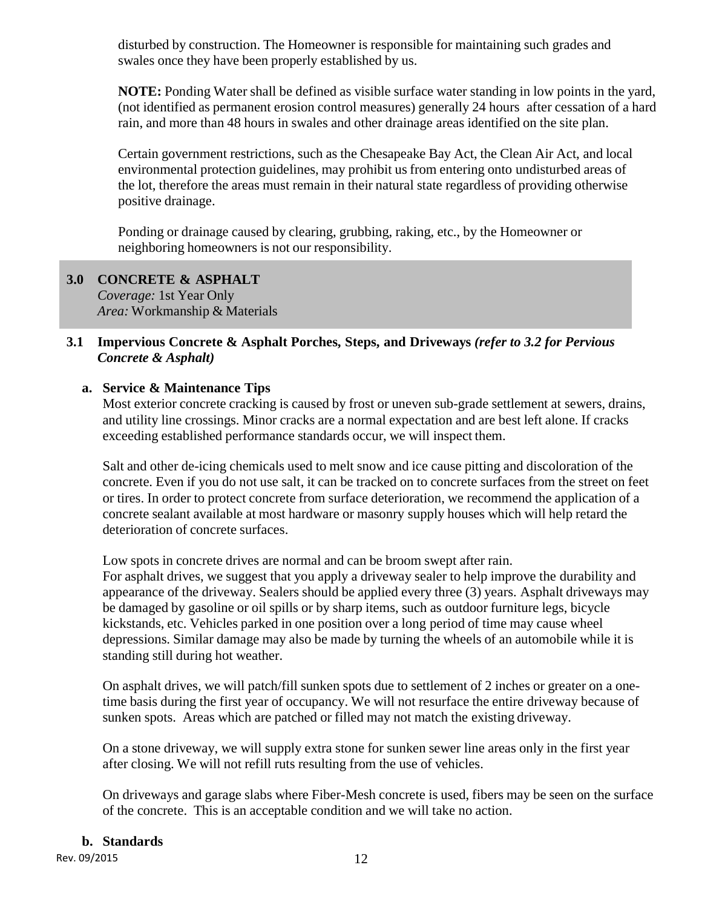disturbed by construction. The Homeowner is responsible for maintaining such grades and swales once they have been properly established by us.

**NOTE:** Ponding Water shall be defined as visible surface water standing in low points in the yard, (not identified as permanent erosion control measures) generally 24 hours after cessation of a hard rain, and more than 48 hours in swales and other drainage areas identified on the site plan.

Certain government restrictions, such as the Chesapeake Bay Act, the Clean Air Act, and local environmental protection guidelines, may prohibit us from entering onto undisturbed areas of the lot, therefore the areas must remain in their natural state regardless of providing otherwise positive drainage.

Ponding or drainage caused by clearing, grubbing, raking, etc., by the Homeowner or neighboring homeowners is not our responsibility.

# **3.0 CONCRETE & ASPHALT**  *Coverage:* 1st Year Only

*Area:* Workmanship & Materials

# **3.1 Impervious Concrete & Asphalt Porches, Steps, and Driveways** *(refer to 3.2 for Pervious Concrete & Asphalt)*

# **a. Service & Maintenance Tips**

Most exterior concrete cracking is caused by frost or uneven sub-grade settlement at sewers, drains, and utility line crossings. Minor cracks are a normal expectation and are best left alone. If cracks exceeding established performance standards occur, we will inspect them.

Salt and other de-icing chemicals used to melt snow and ice cause pitting and discoloration of the concrete. Even if you do not use salt, it can be tracked on to concrete surfaces from the street on feet or tires. In order to protect concrete from surface deterioration, we recommend the application of a concrete sealant available at most hardware or masonry supply houses which will help retard the deterioration of concrete surfaces.

Low spots in concrete drives are normal and can be broom swept after rain. For asphalt drives, we suggest that you apply a driveway sealer to help improve the durability and appearance of the driveway. Sealers should be applied every three (3) years. Asphalt driveways may be damaged by gasoline or oil spills or by sharp items, such as outdoor furniture legs, bicycle kickstands, etc. Vehicles parked in one position over a long period of time may cause wheel depressions. Similar damage may also be made by turning the wheels of an automobile while it is standing still during hot weather.

On asphalt drives, we will patch/fill sunken spots due to settlement of 2 inches or greater on a onetime basis during the first year of occupancy. We will not resurface the entire driveway because of sunken spots. Areas which are patched or filled may not match the existing driveway.

On a stone driveway, we will supply extra stone for sunken sewer line areas only in the first year after closing. We will not refill ruts resulting from the use of vehicles.

On driveways and garage slabs where Fiber-Mesh concrete is used, fibers may be seen on the surface of the concrete. This is an acceptable condition and we will take no action.

# **b. Standards**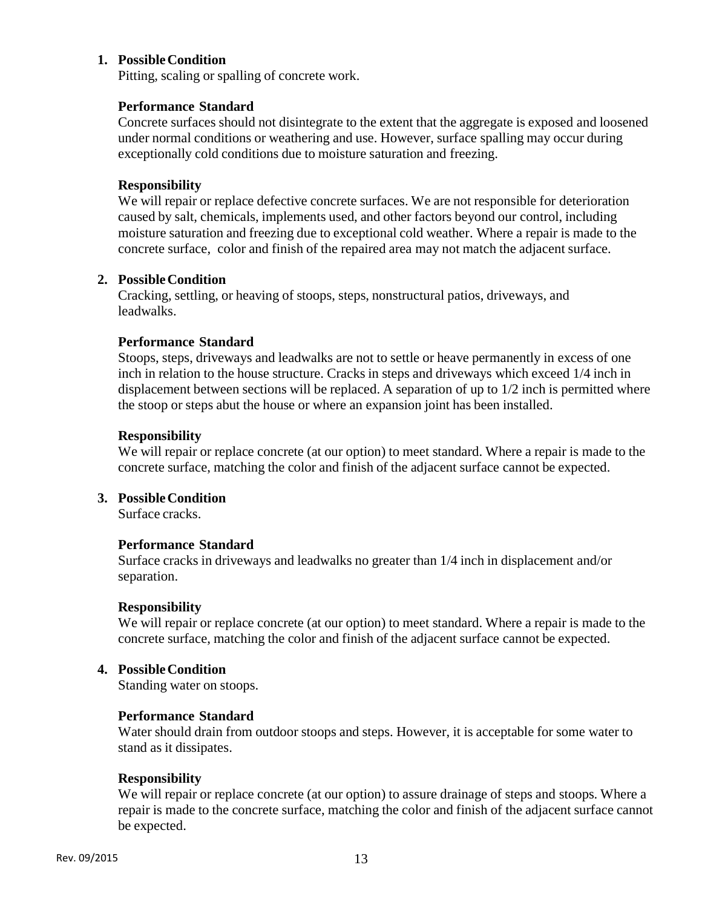# **1. Possible Condition**

Pitting, scaling or spalling of concrete work.

### **Performance Standard**

Concrete surfaces should not disintegrate to the extent that the aggregate is exposed and loosened under normal conditions or weathering and use. However, surface spalling may occur during exceptionally cold conditions due to moisture saturation and freezing.

### **Responsibility**

We will repair or replace defective concrete surfaces. We are not responsible for deterioration caused by salt, chemicals, implements used, and other factors beyond our control, including moisture saturation and freezing due to exceptional cold weather. Where a repair is made to the concrete surface, color and finish of the repaired area may not match the adjacent surface.

#### **2. Possible Condition**

Cracking, settling, or heaving of stoops, steps, nonstructural patios, driveways, and leadwalks.

#### **Performance Standard**

Stoops, steps, driveways and leadwalks are not to settle or heave permanently in excess of one inch in relation to the house structure. Cracks in steps and driveways which exceed 1/4 inch in displacement between sections will be replaced. A separation of up to 1/2 inch is permitted where the stoop or steps abut the house or where an expansion joint has been installed.

#### **Responsibility**

We will repair or replace concrete (at our option) to meet standard. Where a repair is made to the concrete surface, matching the color and finish of the adjacent surface cannot be expected.

# **3. Possible Condition**

Surface cracks.

# **Performance Standard**

Surface cracks in driveways and leadwalks no greater than 1/4 inch in displacement and/or separation.

# **Responsibility**

We will repair or replace concrete (at our option) to meet standard. Where a repair is made to the concrete surface, matching the color and finish of the adjacent surface cannot be expected.

#### **4. Possible Condition**

Standing water on stoops.

#### **Performance Standard**

Water should drain from outdoor stoops and steps. However, it is acceptable for some water to stand as it dissipates.

# **Responsibility**

We will repair or replace concrete (at our option) to assure drainage of steps and stoops. Where a repair is made to the concrete surface, matching the color and finish of the adjacent surface cannot be expected.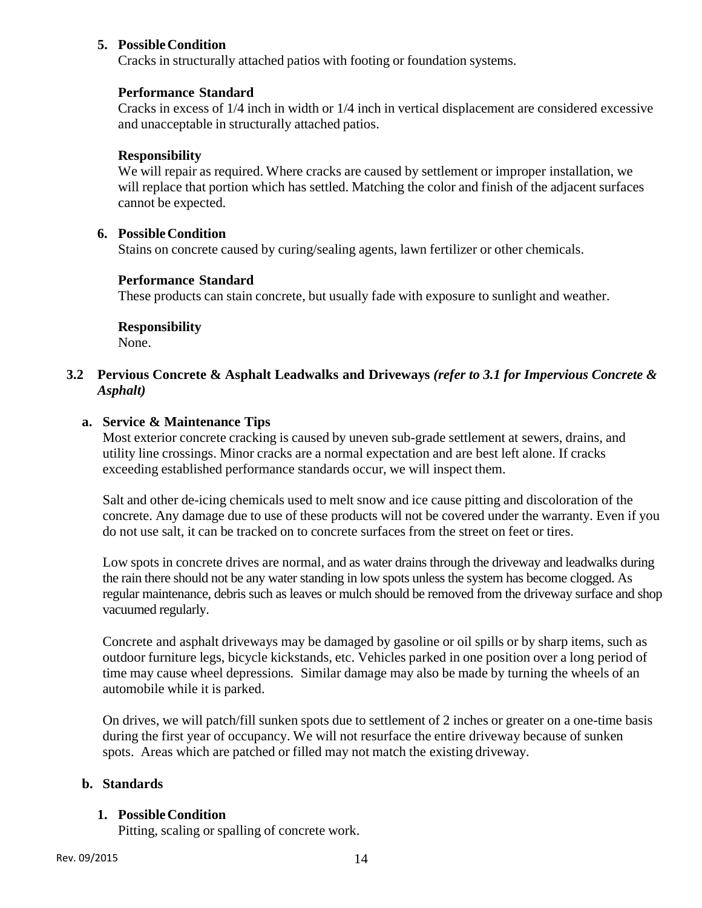# **5. Possible Condition**

Cracks in structurally attached patios with footing or foundation systems.

# **Performance Standard**

Cracks in excess of 1/4 inch in width or 1/4 inch in vertical displacement are considered excessive and unacceptable in structurally attached patios.

# **Responsibility**

We will repair as required. Where cracks are caused by settlement or improper installation, we will replace that portion which has settled. Matching the color and finish of the adjacent surfaces cannot be expected.

# **6. Possible Condition**

Stains on concrete caused by curing/sealing agents, lawn fertilizer or other chemicals.

# **Performance Standard**

These products can stain concrete, but usually fade with exposure to sunlight and weather.

# **Responsibility**

None.

# **3.2 Pervious Concrete & Asphalt Leadwalks and Driveways** *(refer to 3.1 for Impervious Concrete & Asphalt)*

# **a. Service & Maintenance Tips**

Most exterior concrete cracking is caused by uneven sub-grade settlement at sewers, drains, and utility line crossings. Minor cracks are a normal expectation and are best left alone. If cracks exceeding established performance standards occur, we will inspect them.

Salt and other de-icing chemicals used to melt snow and ice cause pitting and discoloration of the concrete. Any damage due to use of these products will not be covered under the warranty. Even if you do not use salt, it can be tracked on to concrete surfaces from the street on feet or tires.

Low spots in concrete drives are normal, and as water drains through the driveway and leadwalks during the rain there should not be any water standing in low spots unless the system has become clogged. As regular maintenance, debris such as leaves or mulch should be removed from the driveway surface and shop vacuumed regularly.

Concrete and asphalt driveways may be damaged by gasoline or oil spills or by sharp items, such as outdoor furniture legs, bicycle kickstands, etc. Vehicles parked in one position over a long period of time may cause wheel depressions. Similar damage may also be made by turning the wheels of an automobile while it is parked.

On drives, we will patch/fill sunken spots due to settlement of 2 inches or greater on a one-time basis during the first year of occupancy. We will not resurface the entire driveway because of sunken spots. Areas which are patched or filled may not match the existing driveway.

# **b. Standards**

# **1. Possible Condition**

Pitting, scaling or spalling of concrete work.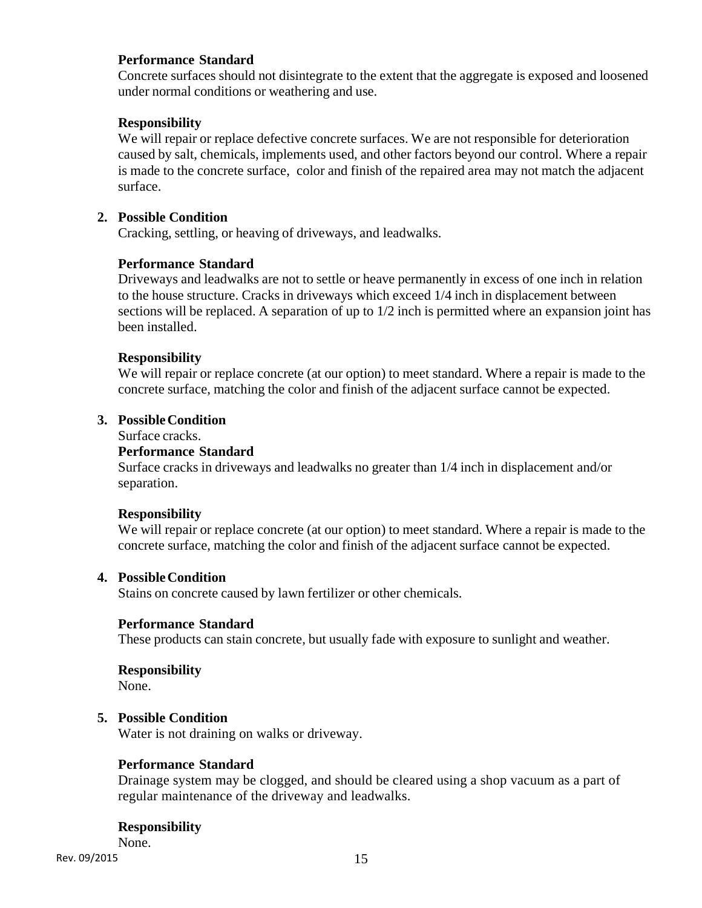# **Performance Standard**

Concrete surfaces should not disintegrate to the extent that the aggregate is exposed and loosened under normal conditions or weathering and use.

# **Responsibility**

We will repair or replace defective concrete surfaces. We are not responsible for deterioration caused by salt, chemicals, implements used, and other factors beyond our control. Where a repair is made to the concrete surface, color and finish of the repaired area may not match the adjacent surface.

# **2. Possible Condition**

Cracking, settling, or heaving of driveways, and leadwalks.

# **Performance Standard**

Driveways and leadwalks are not to settle or heave permanently in excess of one inch in relation to the house structure. Cracks in driveways which exceed 1/4 inch in displacement between sections will be replaced. A separation of up to 1/2 inch is permitted where an expansion joint has been installed.

# **Responsibility**

We will repair or replace concrete (at our option) to meet standard. Where a repair is made to the concrete surface, matching the color and finish of the adjacent surface cannot be expected.

# **3. Possible Condition**

Surface cracks.

#### **Performance Standard**

Surface cracks in driveways and leadwalks no greater than 1/4 inch in displacement and/or separation.

# **Responsibility**

We will repair or replace concrete (at our option) to meet standard. Where a repair is made to the concrete surface, matching the color and finish of the adjacent surface cannot be expected.

# **4. Possible Condition**

Stains on concrete caused by lawn fertilizer or other chemicals.

# **Performance Standard**

These products can stain concrete, but usually fade with exposure to sunlight and weather.

#### **Responsibility**

None.

# **5. Possible Condition**

Water is not draining on walks or driveway.

# **Performance Standard**

Drainage system may be clogged, and should be cleared using a shop vacuum as a part of regular maintenance of the driveway and leadwalks.

# **Responsibility**

None.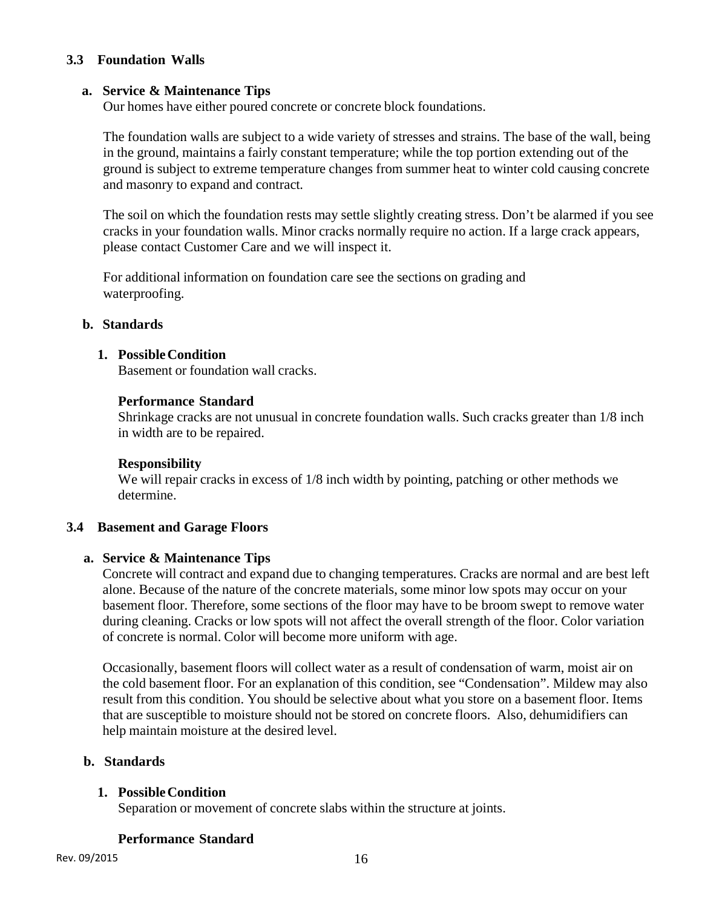# **3.3 Foundation Walls**

# **a. Service & Maintenance Tips**

Our homes have either poured concrete or concrete block foundations.

The foundation walls are subject to a wide variety of stresses and strains. The base of the wall, being in the ground, maintains a fairly constant temperature; while the top portion extending out of the ground is subject to extreme temperature changes from summer heat to winter cold causing concrete and masonry to expand and contract.

The soil on which the foundation rests may settle slightly creating stress. Don't be alarmed if you see cracks in your foundation walls. Minor cracks normally require no action. If a large crack appears, please contact Customer Care and we will inspect it.

For additional information on foundation care see the sections on grading and waterproofing.

# **b. Standards**

#### **1. Possible Condition**

Basement or foundation wall cracks.

#### **Performance Standard**

Shrinkage cracks are not unusual in concrete foundation walls. Such cracks greater than 1/8 inch in width are to be repaired.

# **Responsibility**

We will repair cracks in excess of  $1/8$  inch width by pointing, patching or other methods we determine.

# **3.4 Basement and Garage Floors**

# **a. Service & Maintenance Tips**

Concrete will contract and expand due to changing temperatures. Cracks are normal and are best left alone. Because of the nature of the concrete materials, some minor low spots may occur on your basement floor. Therefore, some sections of the floor may have to be broom swept to remove water during cleaning. Cracks or low spots will not affect the overall strength of the floor. Color variation of concrete is normal. Color will become more uniform with age.

Occasionally, basement floors will collect water as a result of condensation of warm, moist air on the cold basement floor. For an explanation of this condition, see "Condensation". Mildew may also result from this condition. You should be selective about what you store on a basement floor. Items that are susceptible to moisture should not be stored on concrete floors. Also, dehumidifiers can help maintain moisture at the desired level.

# **b. Standards**

# **1. Possible Condition**

Separation or movement of concrete slabs within the structure at joints.

# **Performance Standard**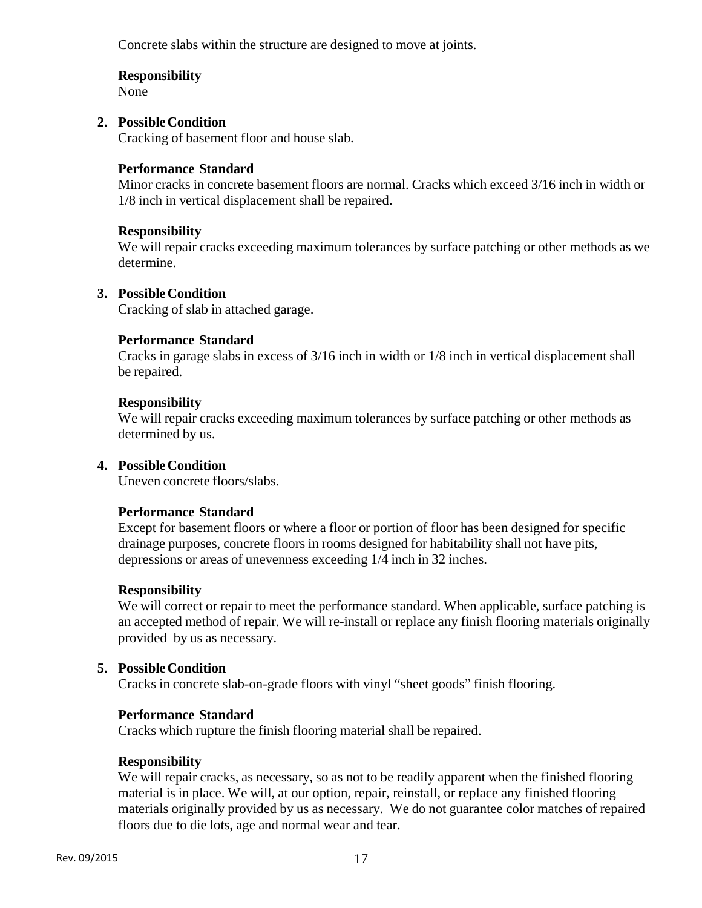Concrete slabs within the structure are designed to move at joints.

# **Responsibility**

None

# **2. Possible Condition**

Cracking of basement floor and house slab.

# **Performance Standard**

Minor cracks in concrete basement floors are normal. Cracks which exceed 3/16 inch in width or 1/8 inch in vertical displacement shall be repaired.

# **Responsibility**

We will repair cracks exceeding maximum tolerances by surface patching or other methods as we determine.

# **3. Possible Condition**

Cracking of slab in attached garage.

# **Performance Standard**

Cracks in garage slabs in excess of 3/16 inch in width or 1/8 inch in vertical displacement shall be repaired.

# **Responsibility**

We will repair cracks exceeding maximum tolerances by surface patching or other methods as determined by us.

# **4. Possible Condition**

Uneven concrete floors/slabs.

# **Performance Standard**

Except for basement floors or where a floor or portion of floor has been designed for specific drainage purposes, concrete floors in rooms designed for habitability shall not have pits, depressions or areas of unevenness exceeding 1/4 inch in 32 inches.

# **Responsibility**

We will correct or repair to meet the performance standard. When applicable, surface patching is an accepted method of repair. We will re-install or replace any finish flooring materials originally provided by us as necessary.

# **5. Possible Condition**

Cracks in concrete slab-on-grade floors with vinyl "sheet goods" finish flooring.

# **Performance Standard**

Cracks which rupture the finish flooring material shall be repaired.

# **Responsibility**

We will repair cracks, as necessary, so as not to be readily apparent when the finished flooring material is in place. We will, at our option, repair, reinstall, or replace any finished flooring materials originally provided by us as necessary. We do not guarantee color matches of repaired floors due to die lots, age and normal wear and tear.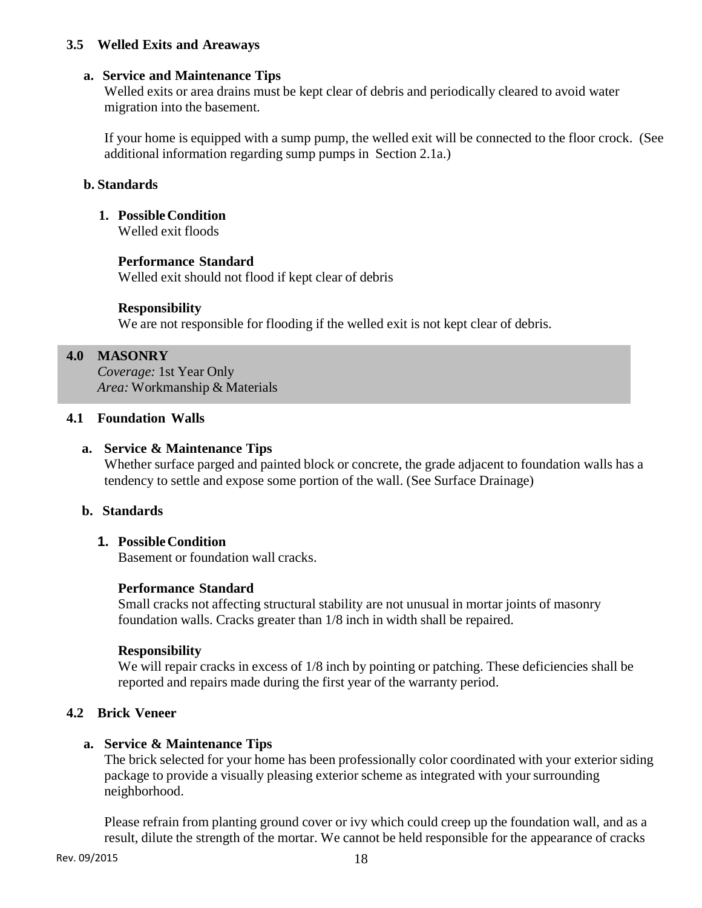# **3.5 Welled Exits and Areaways**

# **a. Service and Maintenance Tips**

Welled exits or area drains must be kept clear of debris and periodically cleared to avoid water migration into the basement.

If your home is equipped with a sump pump, the welled exit will be connected to the floor crock. (See additional information regarding sump pumps in Section 2.1a.)

# **b. Standards**

# **1. Possible Condition**

Welled exit floods

# **Performance Standard**

Welled exit should not flood if kept clear of debris

# **Responsibility**

We are not responsible for flooding if the welled exit is not kept clear of debris.

# **4.0 MASONRY**

*Coverage:* 1st Year Only *Area:* Workmanship & Materials

# **4.1 Foundation Walls**

# **a. Service & Maintenance Tips**

Whether surface parged and painted block or concrete, the grade adjacent to foundation walls has a tendency to settle and expose some portion of the wall. (See Surface Drainage)

# **b. Standards**

# **1. Possible Condition**

Basement or foundation wall cracks.

# **Performance Standard**

Small cracks not affecting structural stability are not unusual in mortar joints of masonry foundation walls. Cracks greater than 1/8 inch in width shall be repaired.

# **Responsibility**

We will repair cracks in excess of  $1/8$  inch by pointing or patching. These deficiencies shall be reported and repairs made during the first year of the warranty period.

# **4.2 Brick Veneer**

# **a. Service & Maintenance Tips**

The brick selected for your home has been professionally color coordinated with your exterior siding package to provide a visually pleasing exterior scheme as integrated with your surrounding neighborhood.

Please refrain from planting ground cover or ivy which could creep up the foundation wall, and as a result, dilute the strength of the mortar. We cannot be held responsible for the appearance of cracks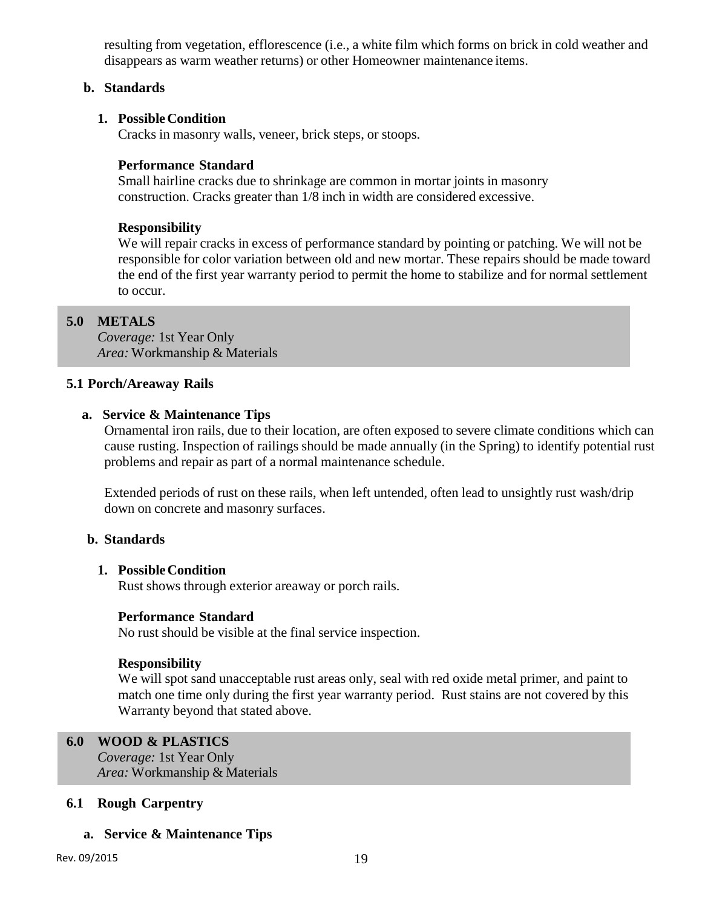resulting from vegetation, efflorescence (i.e., a white film which forms on brick in cold weather and disappears as warm weather returns) or other Homeowner maintenance items.

# **b. Standards**

### **1. Possible Condition**

Cracks in masonry walls, veneer, brick steps, or stoops.

# **Performance Standard**

Small hairline cracks due to shrinkage are common in mortar joints in masonry construction. Cracks greater than 1/8 inch in width are considered excessive.

# **Responsibility**

We will repair cracks in excess of performance standard by pointing or patching. We will not be responsible for color variation between old and new mortar. These repairs should be made toward the end of the first year warranty period to permit the home to stabilize and for normal settlement to occur.

# **5.0 METALS**

*Coverage:* 1st Year Only *Area:* Workmanship & Materials

#### **5.1 Porch/Areaway Rails**

#### **a. Service & Maintenance Tips**

Ornamental iron rails, due to their location, are often exposed to severe climate conditions which can cause rusting. Inspection of railings should be made annually (in the Spring) to identify potential rust problems and repair as part of a normal maintenance schedule.

Extended periods of rust on these rails, when left untended, often lead to unsightly rust wash/drip down on concrete and masonry surfaces.

# **b. Standards**

### **1. Possible Condition**

Rust shows through exterior areaway or porch rails.

#### **Performance Standard**

No rust should be visible at the final service inspection.

#### **Responsibility**

We will spot sand unacceptable rust areas only, seal with red oxide metal primer, and paint to match one time only during the first year warranty period. Rust stains are not covered by this Warranty beyond that stated above.

# **6.0 WOOD & PLASTICS**

*Coverage:* 1st Year Only *Area:* Workmanship & Materials

# **6.1 Rough Carpentry**

# **a. Service & Maintenance Tips**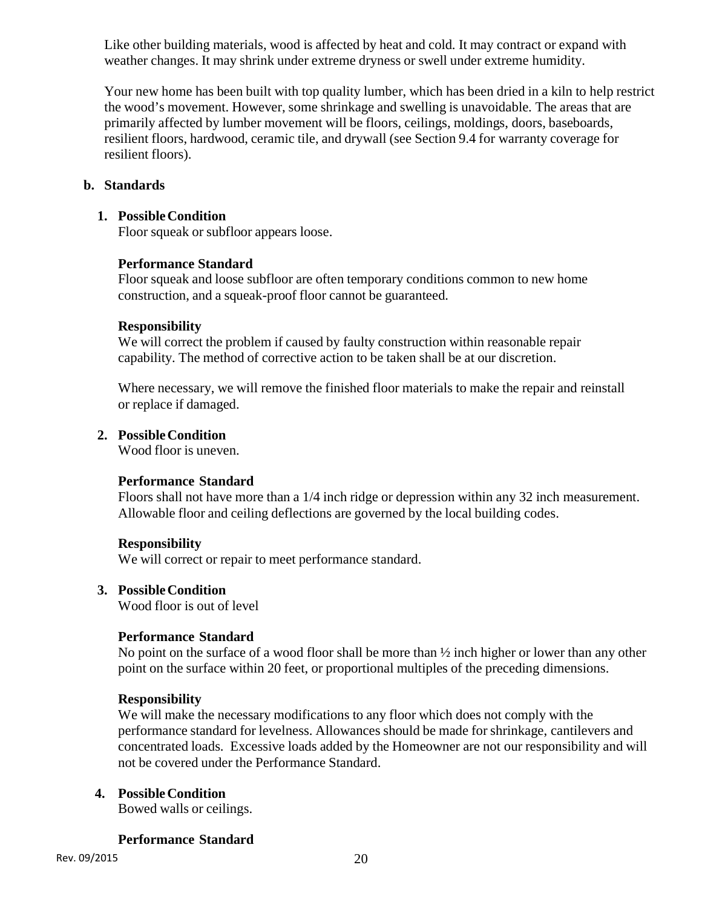Like other building materials, wood is affected by heat and cold. It may contract or expand with weather changes. It may shrink under extreme dryness or swell under extreme humidity.

Your new home has been built with top quality lumber, which has been dried in a kiln to help restrict the wood's movement. However, some shrinkage and swelling is unavoidable. The areas that are primarily affected by lumber movement will be floors, ceilings, moldings, doors, baseboards, resilient floors, hardwood, ceramic tile, and drywall (see Section 9.4 for warranty coverage for resilient floors).

# **b. Standards**

### **1. Possible Condition**

Floor squeak or subfloor appears loose.

#### **Performance Standard**

Floor squeak and loose subfloor are often temporary conditions common to new home construction, and a squeak-proof floor cannot be guaranteed.

#### **Responsibility**

We will correct the problem if caused by faulty construction within reasonable repair capability. The method of corrective action to be taken shall be at our discretion.

Where necessary, we will remove the finished floor materials to make the repair and reinstall or replace if damaged.

# **2. Possible Condition**

Wood floor is uneven.

# **Performance Standard**

Floors shall not have more than a 1/4 inch ridge or depression within any 32 inch measurement. Allowable floor and ceiling deflections are governed by the local building codes.

#### **Responsibility**

We will correct or repair to meet performance standard.

#### **3. Possible Condition**

Wood floor is out of level

# **Performance Standard**

No point on the surface of a wood floor shall be more than ½ inch higher or lower than any other point on the surface within 20 feet, or proportional multiples of the preceding dimensions.

#### **Responsibility**

We will make the necessary modifications to any floor which does not comply with the performance standard for levelness. Allowances should be made for shrinkage, cantilevers and concentrated loads. Excessive loads added by the Homeowner are not our responsibility and will not be covered under the Performance Standard.

# **4. Possible Condition**

Bowed walls or ceilings.

#### **Performance Standard**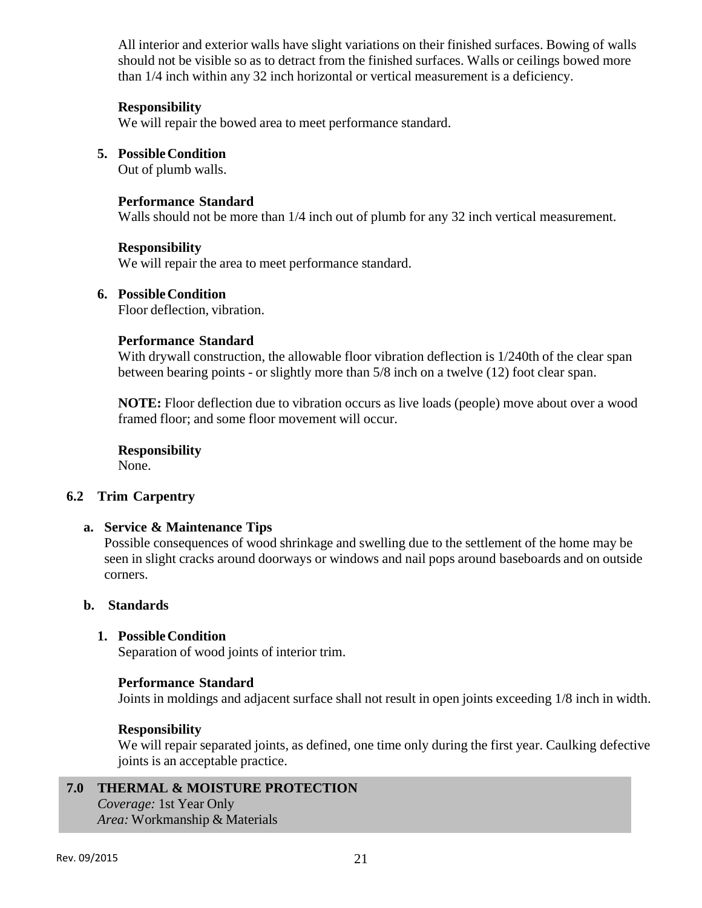All interior and exterior walls have slight variations on their finished surfaces. Bowing of walls should not be visible so as to detract from the finished surfaces. Walls or ceilings bowed more than 1/4 inch within any 32 inch horizontal or vertical measurement is a deficiency.

# **Responsibility**

We will repair the bowed area to meet performance standard.

# **5. Possible Condition**

Out of plumb walls.

# **Performance Standard**

Walls should not be more than 1/4 inch out of plumb for any 32 inch vertical measurement.

# **Responsibility**

We will repair the area to meet performance standard.

# **6. Possible Condition**

Floor deflection, vibration.

# **Performance Standard**

With drywall construction, the allowable floor vibration deflection is  $1/240$ th of the clear span between bearing points - or slightly more than 5/8 inch on a twelve (12) foot clear span.

**NOTE:** Floor deflection due to vibration occurs as live loads (people) move about over a wood framed floor; and some floor movement will occur.

# **Responsibility**

None.

# **6.2 Trim Carpentry**

# **a. Service & Maintenance Tips**

Possible consequences of wood shrinkage and swelling due to the settlement of the home may be seen in slight cracks around doorways or windows and nail pops around baseboards and on outside corners.

# **b. Standards**

# **1. Possible Condition**

Separation of wood joints of interior trim.

# **Performance Standard**

Joints in moldings and adjacent surface shall not result in open joints exceeding 1/8 inch in width.

# **Responsibility**

We will repair separated joints, as defined, one time only during the first year. Caulking defective joints is an acceptable practice.

# **7.0 THERMAL & MOISTURE PROTECTION**

*Coverage:* 1st Year Only *Area:* Workmanship & Materials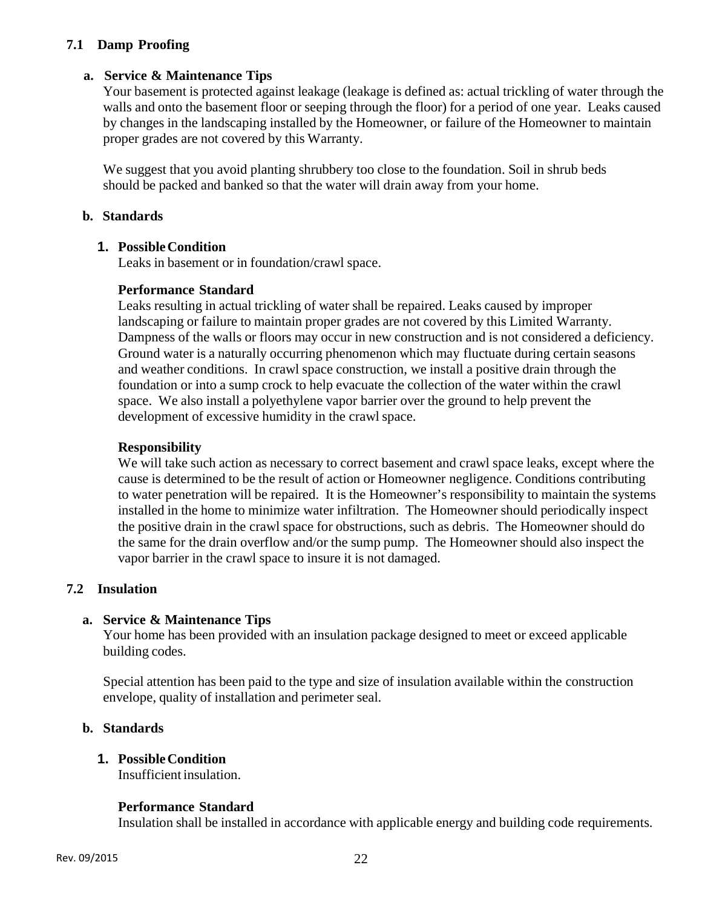# **7.1 Damp Proofing**

# **a. Service & Maintenance Tips**

Your basement is protected against leakage (leakage is defined as: actual trickling of water through the walls and onto the basement floor or seeping through the floor) for a period of one year. Leaks caused by changes in the landscaping installed by the Homeowner, or failure of the Homeowner to maintain proper grades are not covered by this Warranty.

We suggest that you avoid planting shrubbery too close to the foundation. Soil in shrub beds should be packed and banked so that the water will drain away from your home.

# **b. Standards**

# **1. Possible Condition**

Leaks in basement or in foundation/crawl space.

# **Performance Standard**

Leaks resulting in actual trickling of water shall be repaired. Leaks caused by improper landscaping or failure to maintain proper grades are not covered by this Limited Warranty. Dampness of the walls or floors may occur in new construction and is not considered a deficiency. Ground water is a naturally occurring phenomenon which may fluctuate during certain seasons and weather conditions. In crawl space construction, we install a positive drain through the foundation or into a sump crock to help evacuate the collection of the water within the crawl space. We also install a polyethylene vapor barrier over the ground to help prevent the development of excessive humidity in the crawl space.

# **Responsibility**

We will take such action as necessary to correct basement and crawl space leaks, except where the cause is determined to be the result of action or Homeowner negligence. Conditions contributing to water penetration will be repaired. It is the Homeowner's responsibility to maintain the systems installed in the home to minimize water infiltration. The Homeowner should periodically inspect the positive drain in the crawl space for obstructions, such as debris. The Homeowner should do the same for the drain overflow and/or the sump pump. The Homeowner should also inspect the vapor barrier in the crawl space to insure it is not damaged.

# **7.2 Insulation**

# **a. Service & Maintenance Tips**

Your home has been provided with an insulation package designed to meet or exceed applicable building codes.

Special attention has been paid to the type and size of insulation available within the construction envelope, quality of installation and perimeter seal.

# **b. Standards**

# **1. Possible Condition**

Insufficient insulation.

# **Performance Standard**

Insulation shall be installed in accordance with applicable energy and building code requirements.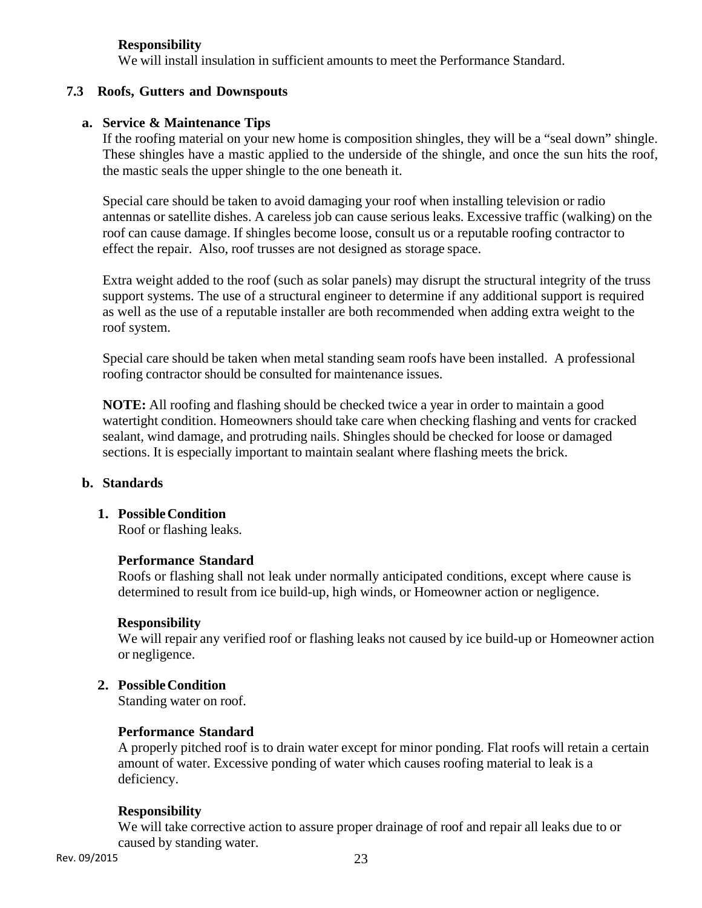# **Responsibility**

We will install insulation in sufficient amounts to meet the Performance Standard.

# **7.3 Roofs, Gutters and Downspouts**

# **a. Service & Maintenance Tips**

If the roofing material on your new home is composition shingles, they will be a "seal down" shingle. These shingles have a mastic applied to the underside of the shingle, and once the sun hits the roof, the mastic seals the upper shingle to the one beneath it.

Special care should be taken to avoid damaging your roof when installing television or radio antennas or satellite dishes. A careless job can cause serious leaks. Excessive traffic (walking) on the roof can cause damage. If shingles become loose, consult us or a reputable roofing contractor to effect the repair. Also, roof trusses are not designed as storage space.

Extra weight added to the roof (such as solar panels) may disrupt the structural integrity of the truss support systems. The use of a structural engineer to determine if any additional support is required as well as the use of a reputable installer are both recommended when adding extra weight to the roof system.

Special care should be taken when metal standing seam roofs have been installed. A professional roofing contractor should be consulted for maintenance issues.

**NOTE:** All roofing and flashing should be checked twice a year in order to maintain a good watertight condition. Homeowners should take care when checking flashing and vents for cracked sealant, wind damage, and protruding nails. Shingles should be checked for loose or damaged sections. It is especially important to maintain sealant where flashing meets the brick.

# **b. Standards**

# **1. Possible Condition**

Roof or flashing leaks.

# **Performance Standard**

Roofs or flashing shall not leak under normally anticipated conditions, except where cause is determined to result from ice build-up, high winds, or Homeowner action or negligence.

# **Responsibility**

We will repair any verified roof or flashing leaks not caused by ice build-up or Homeowner action or negligence.

# **2. Possible Condition**

Standing water on roof.

# **Performance Standard**

A properly pitched roof is to drain water except for minor ponding. Flat roofs will retain a certain amount of water. Excessive ponding of water which causes roofing material to leak is a deficiency.

# **Responsibility**

We will take corrective action to assure proper drainage of roof and repair all leaks due to or caused by standing water.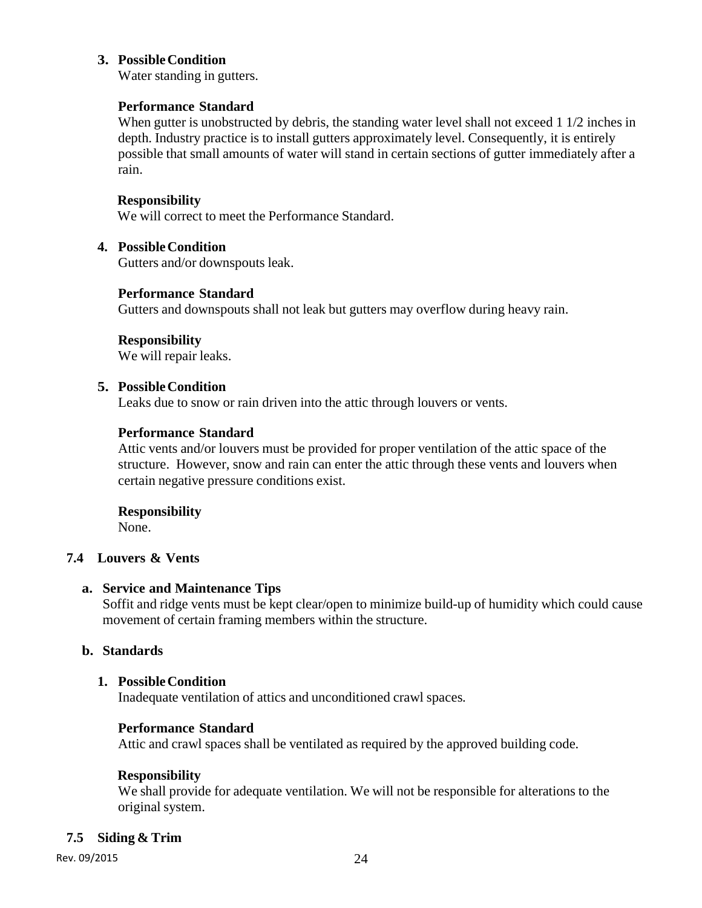# **3. Possible Condition**

Water standing in gutters.

# **Performance Standard**

When gutter is unobstructed by debris, the standing water level shall not exceed 1 1/2 inches in depth. Industry practice is to install gutters approximately level. Consequently, it is entirely possible that small amounts of water will stand in certain sections of gutter immediately after a rain.

# **Responsibility**

We will correct to meet the Performance Standard.

# **4. Possible Condition**

Gutters and/or downspouts leak.

# **Performance Standard**

Gutters and downspouts shall not leak but gutters may overflow during heavy rain.

**Responsibility**  We will repair leaks.

# **5. Possible Condition**

Leaks due to snow or rain driven into the attic through louvers or vents.

# **Performance Standard**

Attic vents and/or louvers must be provided for proper ventilation of the attic space of the structure. However, snow and rain can enter the attic through these vents and louvers when certain negative pressure conditions exist.

**Responsibility**  None.

# **7.4 Louvers & Vents**

# **a. Service and Maintenance Tips**

Soffit and ridge vents must be kept clear/open to minimize build-up of humidity which could cause movement of certain framing members within the structure.

# **b. Standards**

# **1. Possible Condition**

Inadequate ventilation of attics and unconditioned crawl spaces.

# **Performance Standard**

Attic and crawl spaces shall be ventilated as required by the approved building code.

# **Responsibility**

We shall provide for adequate ventilation. We will not be responsible for alterations to the original system.

# **7.5 Siding & Trim**

Rev. 09/2015 24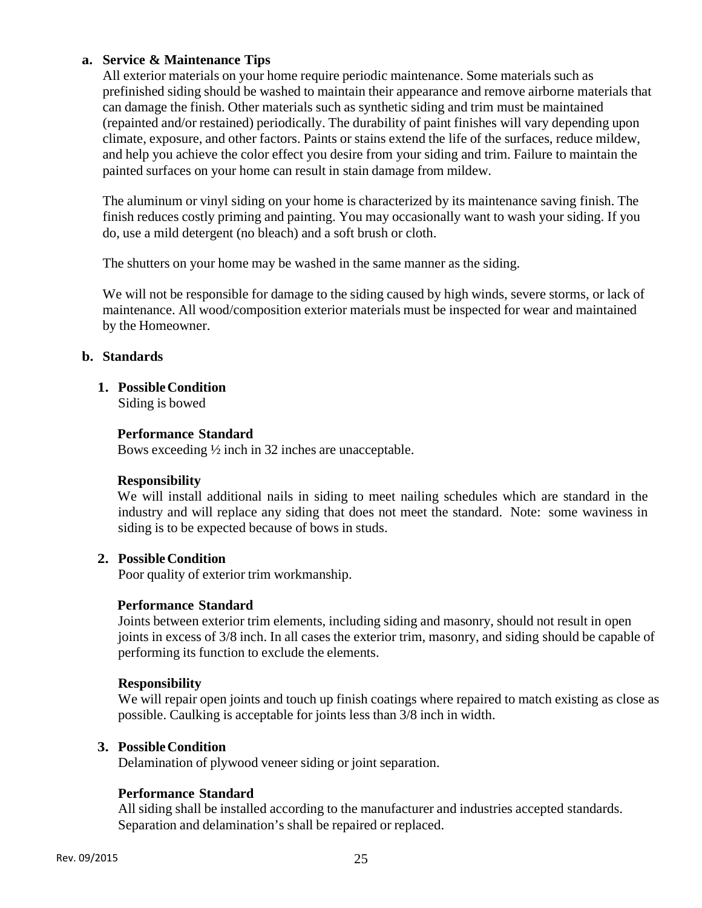# **a. Service & Maintenance Tips**

All exterior materials on your home require periodic maintenance. Some materials such as prefinished siding should be washed to maintain their appearance and remove airborne materials that can damage the finish. Other materials such as synthetic siding and trim must be maintained (repainted and/or restained) periodically. The durability of paint finishes will vary depending upon climate, exposure, and other factors. Paints or stains extend the life of the surfaces, reduce mildew, and help you achieve the color effect you desire from your siding and trim. Failure to maintain the painted surfaces on your home can result in stain damage from mildew.

The aluminum or vinyl siding on your home is characterized by its maintenance saving finish. The finish reduces costly priming and painting. You may occasionally want to wash your siding. If you do, use a mild detergent (no bleach) and a soft brush or cloth.

The shutters on your home may be washed in the same manner as the siding.

We will not be responsible for damage to the siding caused by high winds, severe storms, or lack of maintenance. All wood/composition exterior materials must be inspected for wear and maintained by the Homeowner.

# **b. Standards**

**1. Possible Condition** 

Siding is bowed

# **Performance Standard**

Bows exceeding ½ inch in 32 inches are unacceptable.

# **Responsibility**

We will install additional nails in siding to meet nailing schedules which are standard in the industry and will replace any siding that does not meet the standard. Note: some waviness in siding is to be expected because of bows in studs.

# **2. Possible Condition**

Poor quality of exterior trim workmanship.

# **Performance Standard**

Joints between exterior trim elements, including siding and masonry, should not result in open joints in excess of 3/8 inch. In all cases the exterior trim, masonry, and siding should be capable of performing its function to exclude the elements.

# **Responsibility**

We will repair open joints and touch up finish coatings where repaired to match existing as close as possible. Caulking is acceptable for joints less than 3/8 inch in width.

# **3. Possible Condition**

Delamination of plywood veneer siding or joint separation.

# **Performance Standard**

All siding shall be installed according to the manufacturer and industries accepted standards. Separation and delamination's shall be repaired or replaced.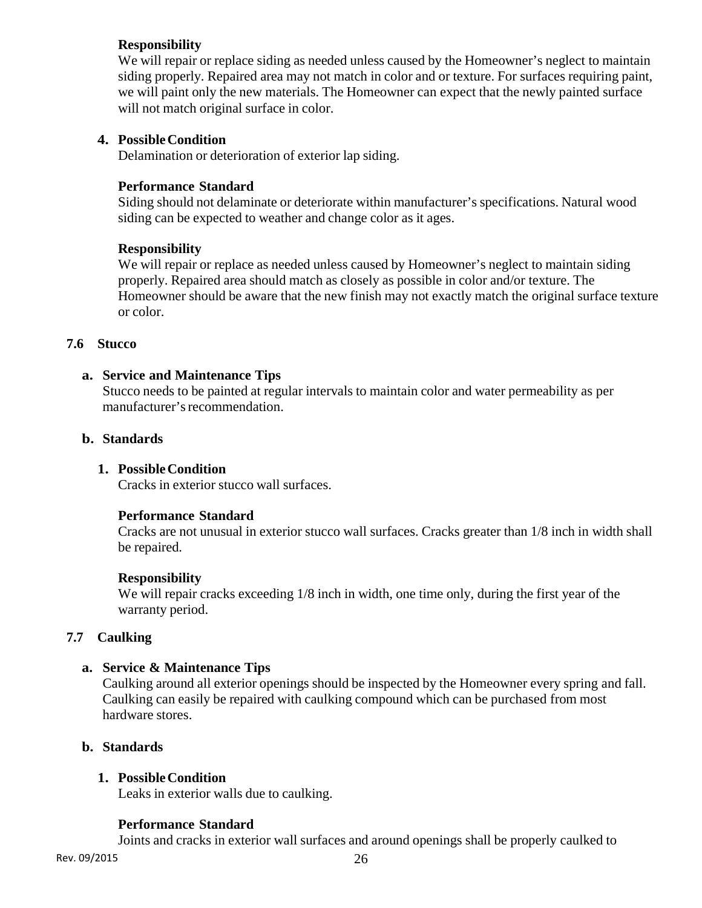# **Responsibility**

We will repair or replace siding as needed unless caused by the Homeowner's neglect to maintain siding properly. Repaired area may not match in color and or texture. For surfaces requiring paint, we will paint only the new materials. The Homeowner can expect that the newly painted surface will not match original surface in color.

# **4. Possible Condition**

Delamination or deterioration of exterior lap siding.

# **Performance Standard**

Siding should not delaminate or deteriorate within manufacturer's specifications. Natural wood siding can be expected to weather and change color as it ages.

# **Responsibility**

We will repair or replace as needed unless caused by Homeowner's neglect to maintain siding properly. Repaired area should match as closely as possible in color and/or texture. The Homeowner should be aware that the new finish may not exactly match the original surface texture or color.

# **7.6 Stucco**

# **a. Service and Maintenance Tips**

Stucco needs to be painted at regular intervals to maintain color and water permeability as per manufacturer's recommendation.

# **b. Standards**

# **1. Possible Condition**

Cracks in exterior stucco wall surfaces.

# **Performance Standard**

Cracks are not unusual in exterior stucco wall surfaces. Cracks greater than 1/8 inch in width shall be repaired.

# **Responsibility**

We will repair cracks exceeding  $1/8$  inch in width, one time only, during the first year of the warranty period.

# **7.7 Caulking**

# **a. Service & Maintenance Tips**

Caulking around all exterior openings should be inspected by the Homeowner every spring and fall. Caulking can easily be repaired with caulking compound which can be purchased from most hardware stores.

# **b. Standards**

# **1. Possible Condition**

Leaks in exterior walls due to caulking.

# **Performance Standard**

Joints and cracks in exterior wall surfaces and around openings shall be properly caulked to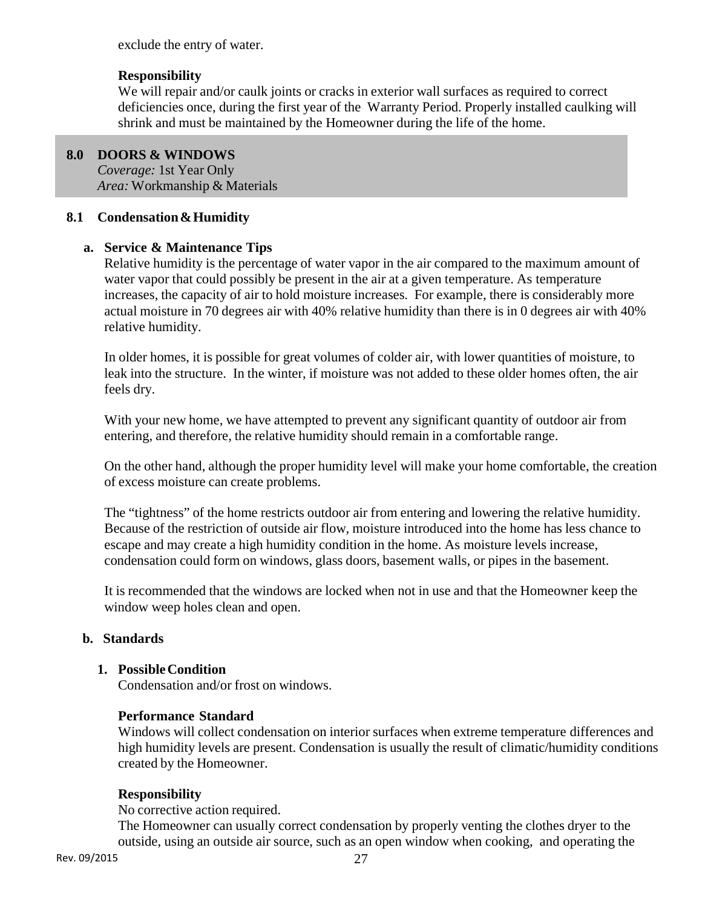exclude the entry of water.

# **Responsibility**

We will repair and/or caulk joints or cracks in exterior wall surfaces as required to correct deficiencies once, during the first year of the Warranty Period. Properly installed caulking will shrink and must be maintained by the Homeowner during the life of the home.

# **8.0 DOORS & WINDOWS**

í

*Coverage:* 1st Year Only *Area:* Workmanship & Materials

# **8.1 Condensation & Humidity**

# **a. Service & Maintenance Tips**

Relative humidity is the percentage of water vapor in the air compared to the maximum amount of water vapor that could possibly be present in the air at a given temperature. As temperature increases, the capacity of air to hold moisture increases. For example, there is considerably more actual moisture in 70 degrees air with 40% relative humidity than there is in 0 degrees air with 40% relative humidity.

In older homes, it is possible for great volumes of colder air, with lower quantities of moisture, to leak into the structure. In the winter, if moisture was not added to these older homes often, the air feels dry.

With your new home, we have attempted to prevent any significant quantity of outdoor air from entering, and therefore, the relative humidity should remain in a comfortable range.

On the other hand, although the proper humidity level will make your home comfortable, the creation of excess moisture can create problems.

The "tightness" of the home restricts outdoor air from entering and lowering the relative humidity. Because of the restriction of outside air flow, moisture introduced into the home has less chance to escape and may create a high humidity condition in the home. As moisture levels increase, condensation could form on windows, glass doors, basement walls, or pipes in the basement.

It is recommended that the windows are locked when not in use and that the Homeowner keep the window weep holes clean and open.

# **b. Standards**

# **1. Possible Condition**

Condensation and/or frost on windows.

# **Performance Standard**

Windows will collect condensation on interior surfaces when extreme temperature differences and high humidity levels are present. Condensation is usually the result of climatic/humidity conditions created by the Homeowner.

# **Responsibility**

No corrective action required.

The Homeowner can usually correct condensation by properly venting the clothes dryer to the outside, using an outside air source, such as an open window when cooking, and operating the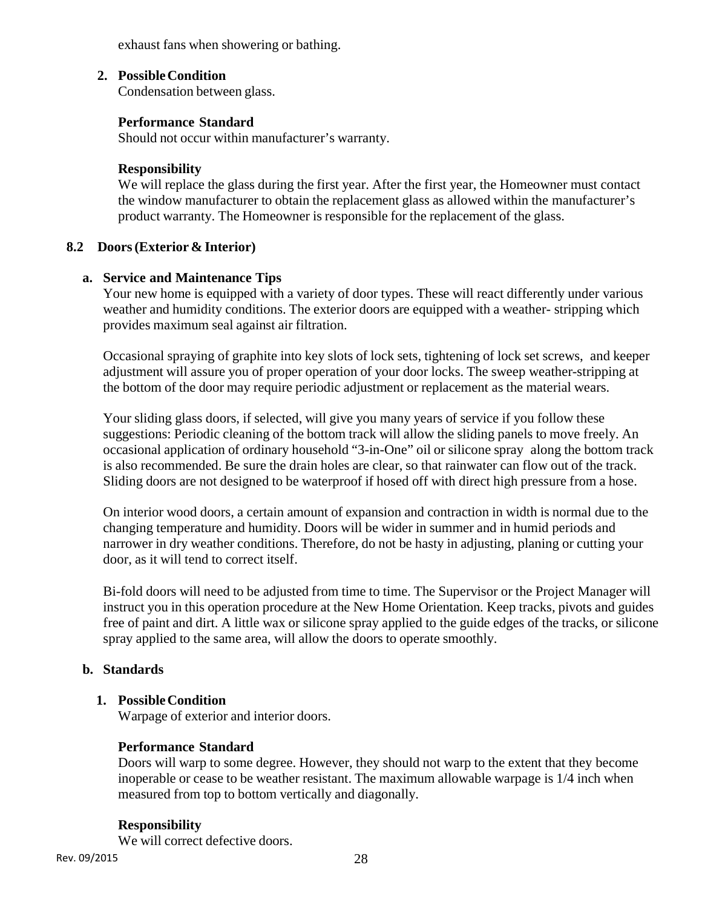exhaust fans when showering or bathing.

# **2. Possible Condition**

Condensation between glass.

# **Performance Standard**

Should not occur within manufacturer's warranty.

# **Responsibility**

We will replace the glass during the first year. After the first year, the Homeowner must contact the window manufacturer to obtain the replacement glass as allowed within the manufacturer's product warranty. The Homeowner is responsible for the replacement of the glass.

# **8.2 Doors (Exterior & Interior)**

# **a. Service and Maintenance Tips**

Your new home is equipped with a variety of door types. These will react differently under various weather and humidity conditions. The exterior doors are equipped with a weather- stripping which provides maximum seal against air filtration.

Occasional spraying of graphite into key slots of lock sets, tightening of lock set screws, and keeper adjustment will assure you of proper operation of your door locks. The sweep weather-stripping at the bottom of the door may require periodic adjustment or replacement as the material wears.

Your sliding glass doors, if selected, will give you many years of service if you follow these suggestions: Periodic cleaning of the bottom track will allow the sliding panels to move freely. An occasional application of ordinary household "3-in-One" oil or silicone spray along the bottom track is also recommended. Be sure the drain holes are clear, so that rainwater can flow out of the track. Sliding doors are not designed to be waterproof if hosed off with direct high pressure from a hose.

On interior wood doors, a certain amount of expansion and contraction in width is normal due to the changing temperature and humidity. Doors will be wider in summer and in humid periods and narrower in dry weather conditions. Therefore, do not be hasty in adjusting, planing or cutting your door, as it will tend to correct itself.

Bi-fold doors will need to be adjusted from time to time. The Supervisor or the Project Manager will instruct you in this operation procedure at the New Home Orientation. Keep tracks, pivots and guides free of paint and dirt. A little wax or silicone spray applied to the guide edges of the tracks, or silicone spray applied to the same area, will allow the doors to operate smoothly.

# **b. Standards**

# **1. Possible Condition**

Warpage of exterior and interior doors.

# **Performance Standard**

Doors will warp to some degree. However, they should not warp to the extent that they become inoperable or cease to be weather resistant. The maximum allowable warpage is 1/4 inch when measured from top to bottom vertically and diagonally.

# **Responsibility**

We will correct defective doors.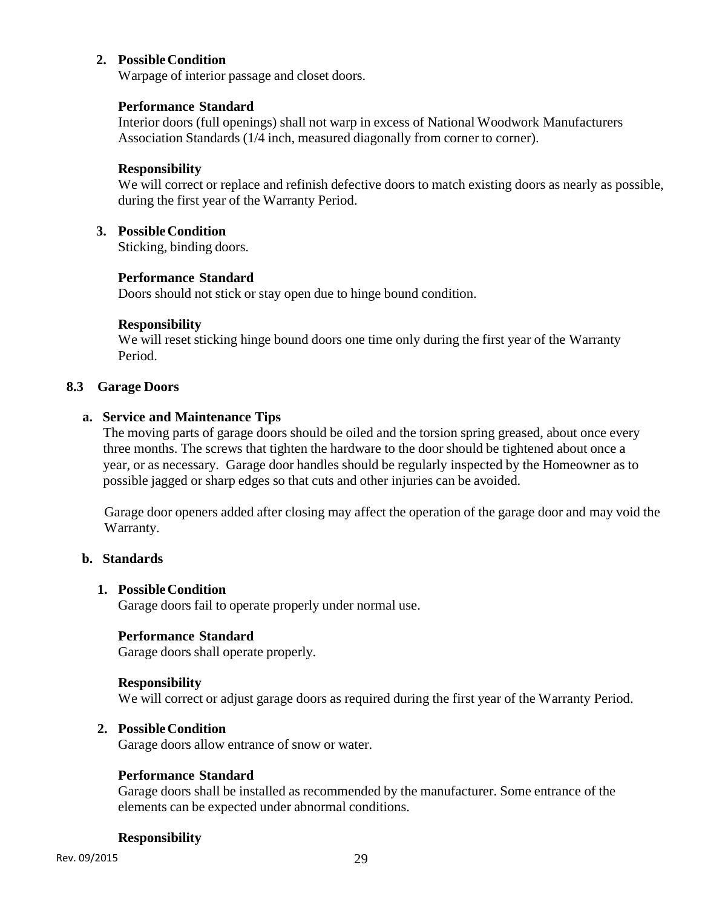# **2. Possible Condition**

Warpage of interior passage and closet doors.

# **Performance Standard**

Interior doors (full openings) shall not warp in excess of National Woodwork Manufacturers Association Standards (1/4 inch, measured diagonally from corner to corner).

# **Responsibility**

We will correct or replace and refinish defective doors to match existing doors as nearly as possible, during the first year of the Warranty Period.

# **3. Possible Condition**

Sticking, binding doors.

# **Performance Standard**

Doors should not stick or stay open due to hinge bound condition.

# **Responsibility**

We will reset sticking hinge bound doors one time only during the first year of the Warranty Period.

#### **8.3 Garage Doors**

#### **a. Service and Maintenance Tips**

The moving parts of garage doors should be oiled and the torsion spring greased, about once every three months. The screws that tighten the hardware to the door should be tightened about once a year, or as necessary. Garage door handles should be regularly inspected by the Homeowner as to possible jagged or sharp edges so that cuts and other injuries can be avoided.

Garage door openers added after closing may affect the operation of the garage door and may void the Warranty.

# **b. Standards**

# **1. Possible Condition**

Garage doors fail to operate properly under normal use.

# **Performance Standard**

Garage doors shall operate properly.

# **Responsibility**

We will correct or adjust garage doors as required during the first year of the Warranty Period.

# **2. Possible Condition**

Garage doors allow entrance of snow or water.

# **Performance Standard**

Garage doors shall be installed as recommended by the manufacturer. Some entrance of the elements can be expected under abnormal conditions.

# **Responsibility**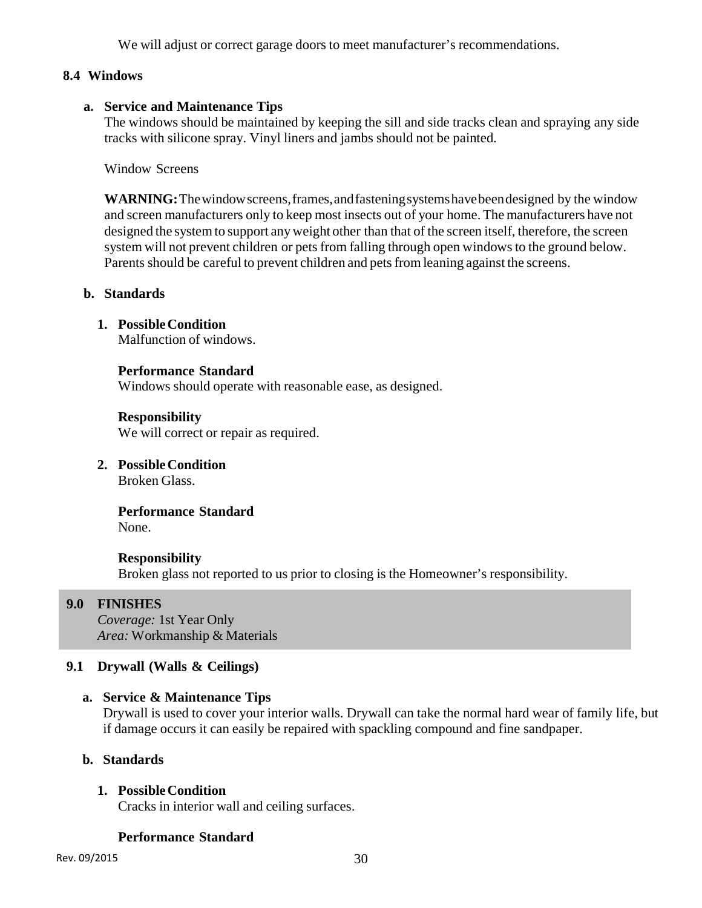We will adjust or correct garage doors to meet manufacturer's recommendations.

# **8.4 Windows**

# **a. Service and Maintenance Tips**

The windows should be maintained by keeping the sill and side tracks clean and spraying any side tracks with silicone spray. Vinyl liners and jambs should not be painted.

Window Screens

**WARNING:** The window screens, frames, and fastening systems have been designed by the window and screen manufacturers only to keep most insects out of your home. The manufacturers have not designed the system to support any weight other than that of the screen itself, therefore, the screen system will not prevent children or pets from falling through open windows to the ground below. Parents should be careful to prevent children and pets from leaning against the screens.

#### **b. Standards**

**1. Possible Condition** 

Malfunction of windows.

# **Performance Standard**

Windows should operate with reasonable ease, as designed.

**Responsibility**  We will correct or repair as required.

**2. Possible Condition** 

Broken Glass.

**Performance Standard**  None.

#### **Responsibility**

Broken glass not reported to us prior to closing is the Homeowner's responsibility.

# **9.0 FINISHES**

*Coverage:* 1st Year Only *Area:* Workmanship & Materials

# **9.1 Drywall (Walls & Ceilings)**

# **a. Service & Maintenance Tips**

Drywall is used to cover your interior walls. Drywall can take the normal hard wear of family life, but if damage occurs it can easily be repaired with spackling compound and fine sandpaper.

# **b. Standards**

# **1. Possible Condition**

Cracks in interior wall and ceiling surfaces.

# **Performance Standard**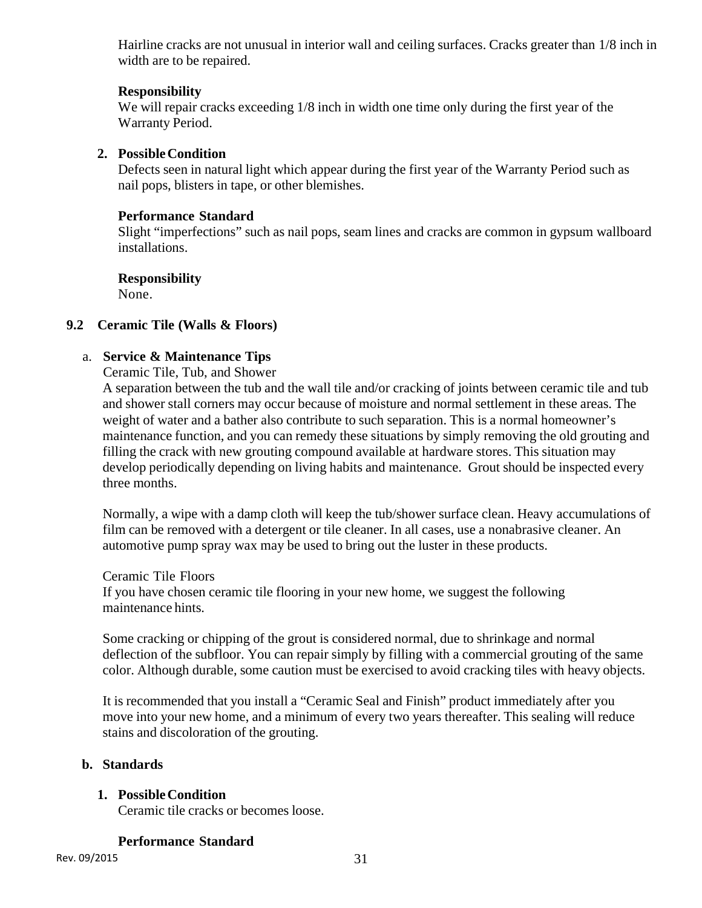Hairline cracks are not unusual in interior wall and ceiling surfaces. Cracks greater than 1/8 inch in width are to be repaired.

# **Responsibility**

We will repair cracks exceeding  $1/8$  inch in width one time only during the first year of the Warranty Period.

# **2. Possible Condition**

Defects seen in natural light which appear during the first year of the Warranty Period such as nail pops, blisters in tape, or other blemishes.

# **Performance Standard**

Slight "imperfections" such as nail pops, seam lines and cracks are common in gypsum wallboard installations.

# **Responsibility**

None.

# **9.2 Ceramic Tile (Walls & Floors)**

# a. **Service & Maintenance Tips**

Ceramic Tile, Tub, and Shower

A separation between the tub and the wall tile and/or cracking of joints between ceramic tile and tub and shower stall corners may occur because of moisture and normal settlement in these areas. The weight of water and a bather also contribute to such separation. This is a normal homeowner's maintenance function, and you can remedy these situations by simply removing the old grouting and filling the crack with new grouting compound available at hardware stores. This situation may develop periodically depending on living habits and maintenance. Grout should be inspected every three months.

Normally, a wipe with a damp cloth will keep the tub/shower surface clean. Heavy accumulations of film can be removed with a detergent or tile cleaner. In all cases, use a nonabrasive cleaner. An automotive pump spray wax may be used to bring out the luster in these products.

Ceramic Tile Floors

If you have chosen ceramic tile flooring in your new home, we suggest the following maintenance hints.

Some cracking or chipping of the grout is considered normal, due to shrinkage and normal deflection of the subfloor. You can repair simply by filling with a commercial grouting of the same color. Although durable, some caution must be exercised to avoid cracking tiles with heavy objects.

It is recommended that you install a "Ceramic Seal and Finish" product immediately after you move into your new home, and a minimum of every two years thereafter. This sealing will reduce stains and discoloration of the grouting.

# **b. Standards**

# **1. Possible Condition**

Ceramic tile cracks or becomes loose.

# **Performance Standard**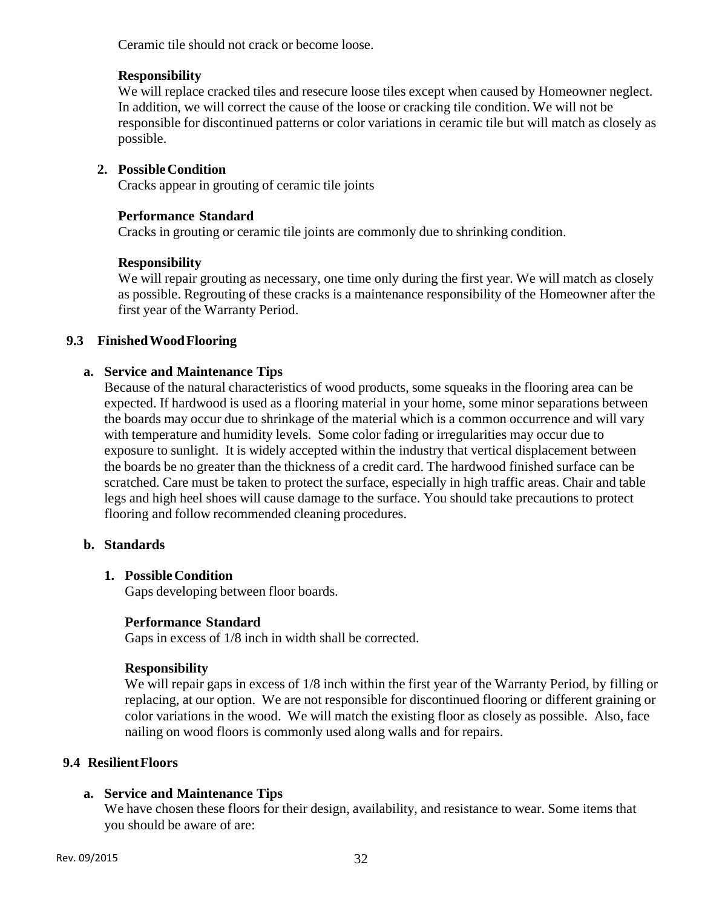Ceramic tile should not crack or become loose.

# **Responsibility**

We will replace cracked tiles and resecure loose tiles except when caused by Homeowner neglect. In addition, we will correct the cause of the loose or cracking tile condition. We will not be responsible for discontinued patterns or color variations in ceramic tile but will match as closely as possible.

# **2. Possible Condition**

Cracks appear in grouting of ceramic tile joints

# **Performance Standard**

Cracks in grouting or ceramic tile joints are commonly due to shrinking condition.

# **Responsibility**

We will repair grouting as necessary, one time only during the first year. We will match as closely as possible. Regrouting of these cracks is a maintenance responsibility of the Homeowner after the first year of the Warranty Period.

# **9.3 Finished Wood Flooring**

# **a. Service and Maintenance Tips**

Because of the natural characteristics of wood products, some squeaks in the flooring area can be expected. If hardwood is used as a flooring material in your home, some minor separations between the boards may occur due to shrinkage of the material which is a common occurrence and will vary with temperature and humidity levels. Some color fading or irregularities may occur due to exposure to sunlight. It is widely accepted within the industry that vertical displacement between the boards be no greater than the thickness of a credit card. The hardwood finished surface can be scratched. Care must be taken to protect the surface, especially in high traffic areas. Chair and table legs and high heel shoes will cause damage to the surface. You should take precautions to protect flooring and follow recommended cleaning procedures.

# **b. Standards**

# **1. Possible Condition**

Gaps developing between floor boards.

# **Performance Standard**

Gaps in excess of 1/8 inch in width shall be corrected.

# **Responsibility**

We will repair gaps in excess of  $1/8$  inch within the first year of the Warranty Period, by filling or replacing, at our option. We are not responsible for discontinued flooring or different graining or color variations in the wood. We will match the existing floor as closely as possible. Also, face nailing on wood floors is commonly used along walls and for repairs.

# **9.4 Resilient Floors**

# **a. Service and Maintenance Tips**

We have chosen these floors for their design, availability, and resistance to wear. Some items that you should be aware of are: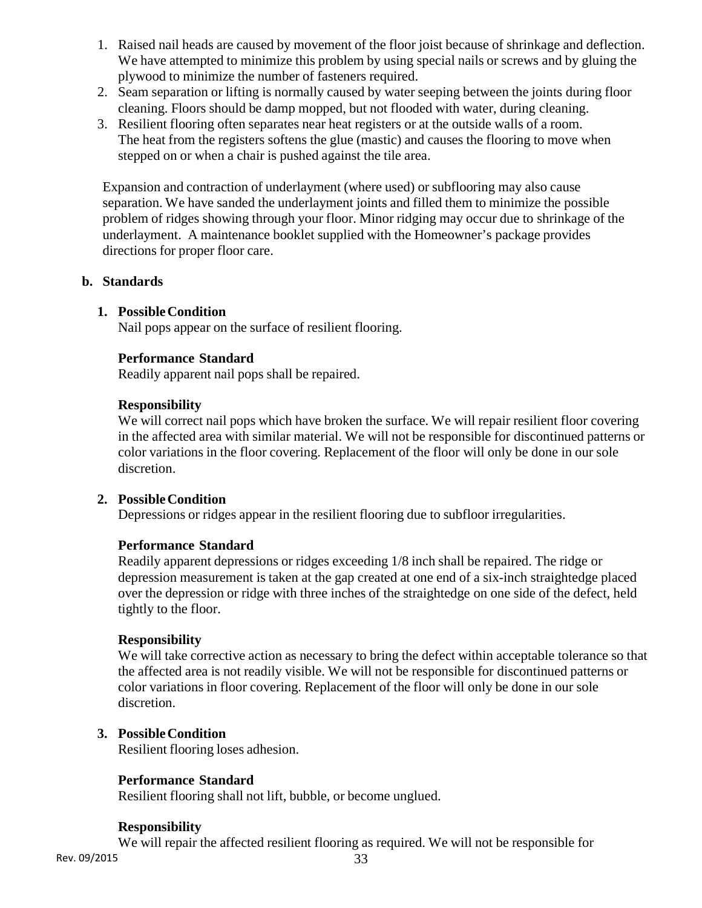- 1. Raised nail heads are caused by movement of the floor joist because of shrinkage and deflection. We have attempted to minimize this problem by using special nails or screws and by gluing the plywood to minimize the number of fasteners required.
- 2. Seam separation or lifting is normally caused by water seeping between the joints during floor cleaning. Floors should be damp mopped, but not flooded with water, during cleaning.
- 3. Resilient flooring often separates near heat registers or at the outside walls of a room. The heat from the registers softens the glue (mastic) and causes the flooring to move when stepped on or when a chair is pushed against the tile area.

Expansion and contraction of underlayment (where used) or subflooring may also cause separation. We have sanded the underlayment joints and filled them to minimize the possible problem of ridges showing through your floor. Minor ridging may occur due to shrinkage of the underlayment. A maintenance booklet supplied with the Homeowner's package provides directions for proper floor care.

#### **b. Standards**

#### **1. Possible Condition**

Nail pops appear on the surface of resilient flooring.

#### **Performance Standard**

Readily apparent nail pops shall be repaired.

#### **Responsibility**

We will correct nail pops which have broken the surface. We will repair resilient floor covering in the affected area with similar material. We will not be responsible for discontinued patterns or color variations in the floor covering. Replacement of the floor will only be done in our sole discretion.

#### **2. Possible Condition**

Depressions or ridges appear in the resilient flooring due to subfloor irregularities.

# **Performance Standard**

Readily apparent depressions or ridges exceeding 1/8 inch shall be repaired. The ridge or depression measurement is taken at the gap created at one end of a six-inch straightedge placed over the depression or ridge with three inches of the straightedge on one side of the defect, held tightly to the floor.

#### **Responsibility**

We will take corrective action as necessary to bring the defect within acceptable tolerance so that the affected area is not readily visible. We will not be responsible for discontinued patterns or color variations in floor covering. Replacement of the floor will only be done in our sole discretion.

# **3. Possible Condition**

Resilient flooring loses adhesion.

# **Performance Standard**

Resilient flooring shall not lift, bubble, or become unglued.

#### **Responsibility**

We will repair the affected resilient flooring as required. We will not be responsible for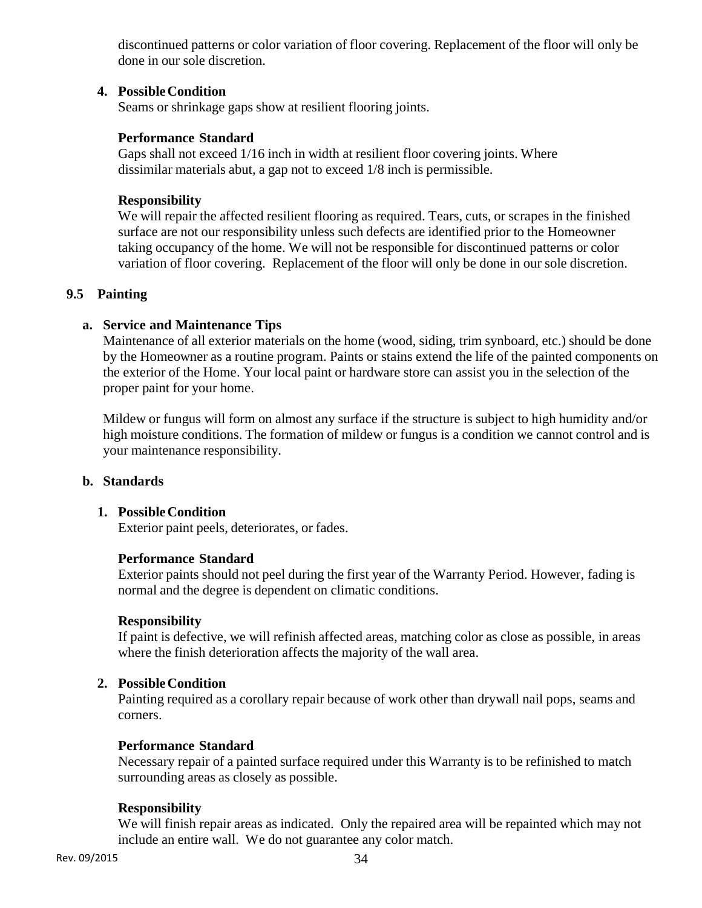discontinued patterns or color variation of floor covering. Replacement of the floor will only be done in our sole discretion.

# **4. Possible Condition**

Seams or shrinkage gaps show at resilient flooring joints.

# **Performance Standard**

Gaps shall not exceed 1/16 inch in width at resilient floor covering joints. Where dissimilar materials abut, a gap not to exceed 1/8 inch is permissible.

# **Responsibility**

We will repair the affected resilient flooring as required. Tears, cuts, or scrapes in the finished surface are not our responsibility unless such defects are identified prior to the Homeowner taking occupancy of the home. We will not be responsible for discontinued patterns or color variation of floor covering. Replacement of the floor will only be done in our sole discretion.

# **9.5 Painting**

# **a. Service and Maintenance Tips**

Maintenance of all exterior materials on the home (wood, siding, trim synboard, etc.) should be done by the Homeowner as a routine program. Paints or stains extend the life of the painted components on the exterior of the Home. Your local paint or hardware store can assist you in the selection of the proper paint for your home.

Mildew or fungus will form on almost any surface if the structure is subject to high humidity and/or high moisture conditions. The formation of mildew or fungus is a condition we cannot control and is your maintenance responsibility.

# **b. Standards**

# **1. Possible Condition**

Exterior paint peels, deteriorates, or fades.

# **Performance Standard**

Exterior paints should not peel during the first year of the Warranty Period. However, fading is normal and the degree is dependent on climatic conditions.

# **Responsibility**

If paint is defective, we will refinish affected areas, matching color as close as possible, in areas where the finish deterioration affects the majority of the wall area.

# **2. Possible Condition**

Painting required as a corollary repair because of work other than drywall nail pops, seams and corners.

# **Performance Standard**

Necessary repair of a painted surface required under this Warranty is to be refinished to match surrounding areas as closely as possible.

# **Responsibility**

We will finish repair areas as indicated. Only the repaired area will be repainted which may not include an entire wall. We do not guarantee any color match.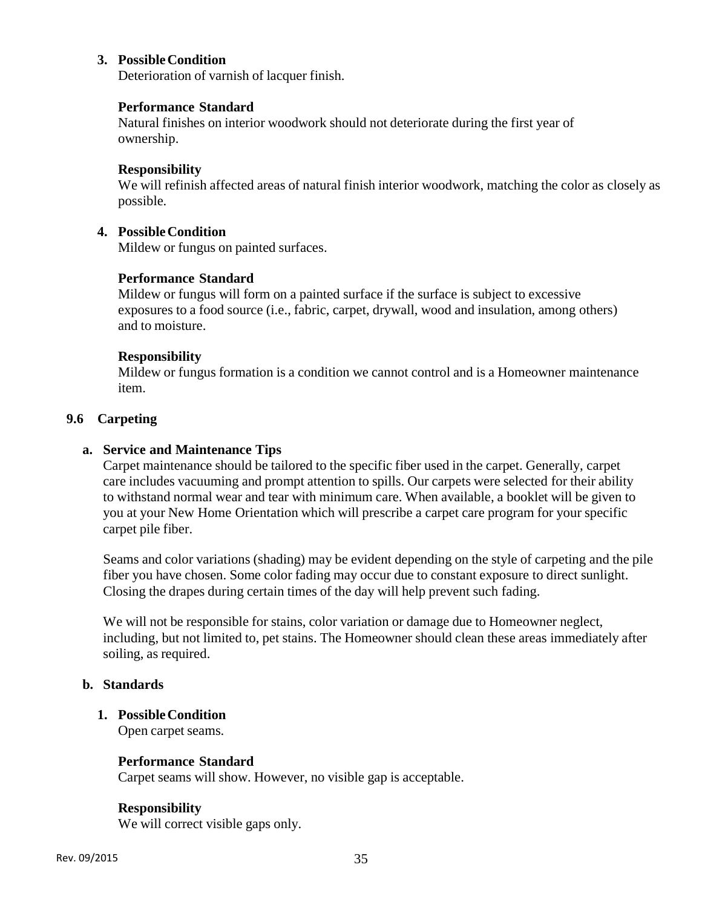# **3. Possible Condition**

Deterioration of varnish of lacquer finish.

### **Performance Standard**

Natural finishes on interior woodwork should not deteriorate during the first year of ownership.

#### **Responsibility**

We will refinish affected areas of natural finish interior woodwork, matching the color as closely as possible.

#### **4. Possible Condition**

Mildew or fungus on painted surfaces.

# **Performance Standard**

Mildew or fungus will form on a painted surface if the surface is subject to excessive exposures to a food source (i.e., fabric, carpet, drywall, wood and insulation, among others) and to moisture.

# **Responsibility**

Mildew or fungus formation is a condition we cannot control and is a Homeowner maintenance item.

### **9.6 Carpeting**

#### **a. Service and Maintenance Tips**

Carpet maintenance should be tailored to the specific fiber used in the carpet. Generally, carpet care includes vacuuming and prompt attention to spills. Our carpets were selected for their ability to withstand normal wear and tear with minimum care. When available, a booklet will be given to you at your New Home Orientation which will prescribe a carpet care program for your specific carpet pile fiber.

Seams and color variations (shading) may be evident depending on the style of carpeting and the pile fiber you have chosen. Some color fading may occur due to constant exposure to direct sunlight. Closing the drapes during certain times of the day will help prevent such fading.

We will not be responsible for stains, color variation or damage due to Homeowner neglect, including, but not limited to, pet stains. The Homeowner should clean these areas immediately after soiling, as required.

#### **b. Standards**

# **1. Possible Condition**

Open carpet seams.

#### **Performance Standard**

Carpet seams will show. However, no visible gap is acceptable.

#### **Responsibility**

We will correct visible gaps only.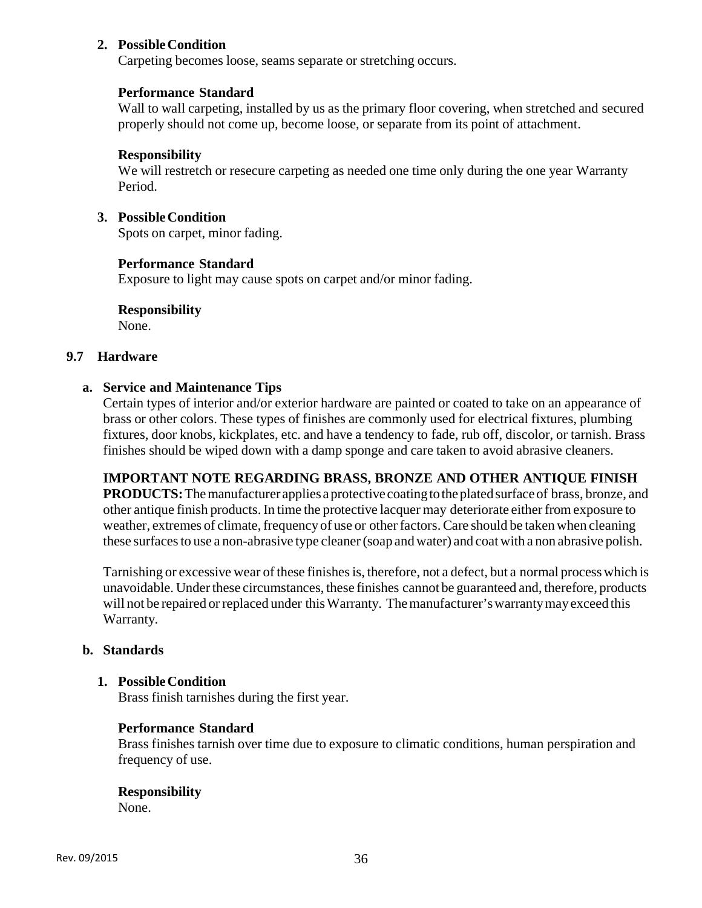### **2. Possible Condition**

Carpeting becomes loose, seams separate or stretching occurs.

# **Performance Standard**

Wall to wall carpeting, installed by us as the primary floor covering, when stretched and secured properly should not come up, become loose, or separate from its point of attachment.

### **Responsibility**

We will restretch or resecure carpeting as needed one time only during the one year Warranty Period.

#### **3. Possible Condition**

Spots on carpet, minor fading.

#### **Performance Standard**

Exposure to light may cause spots on carpet and/or minor fading.

# **Responsibility**

None.

#### **9.7 Hardware**

# **a. Service and Maintenance Tips**

Certain types of interior and/or exterior hardware are painted or coated to take on an appearance of brass or other colors. These types of finishes are commonly used for electrical fixtures, plumbing fixtures, door knobs, kickplates, etc. and have a tendency to fade, rub off, discolor, or tarnish. Brass finishes should be wiped down with a damp sponge and care taken to avoid abrasive cleaners.

# **IMPORTANT NOTE REGARDING BRASS, BRONZE AND OTHER ANTIQUE FINISH**

**PRODUCTS:** The manufacturer applies a protective coating to the plated surface of brass, bronze, and other antique finish products. In time the protective lacquer may deteriorate either from exposure to weather, extremes of climate, frequency of use or other factors. Care should be taken when cleaning these surfaces to use a non-abrasive type cleaner (soap and water) and coat with a non abrasive polish.

Tarnishing or excessive wear of these finishes is, therefore, not a defect, but a normal process which is unavoidable. Under these circumstances, these finishes cannot be guaranteed and, therefore, products will not be repaired or replaced under this Warranty. The manufacturer's warranty may exceed this Warranty.

# **b. Standards**

# **1. Possible Condition**

Brass finish tarnishes during the first year.

# **Performance Standard**

Brass finishes tarnish over time due to exposure to climatic conditions, human perspiration and frequency of use.

#### **Responsibility**  None.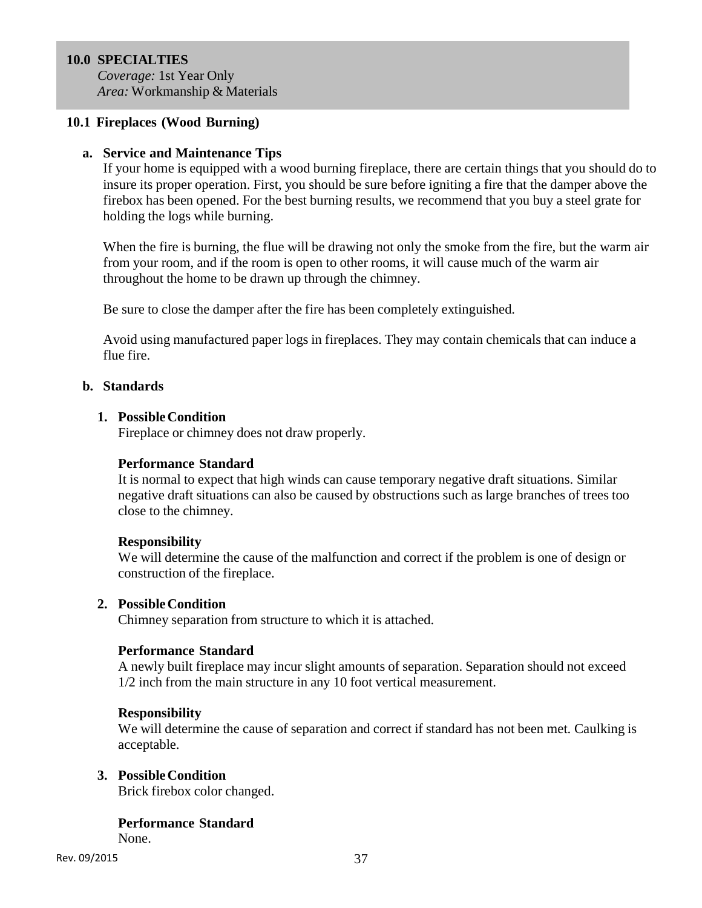# **10.0 SPECIALTIES**

*Coverage:* 1st Year Only *Area:* Workmanship & Materials

### **10.1 Fireplaces (Wood Burning)**

### **a. Service and Maintenance Tips**

If your home is equipped with a wood burning fireplace, there are certain things that you should do to insure its proper operation. First, you should be sure before igniting a fire that the damper above the firebox has been opened. For the best burning results, we recommend that you buy a steel grate for holding the logs while burning.

When the fire is burning, the flue will be drawing not only the smoke from the fire, but the warm air from your room, and if the room is open to other rooms, it will cause much of the warm air throughout the home to be drawn up through the chimney.

Be sure to close the damper after the fire has been completely extinguished.

Avoid using manufactured paper logs in fireplaces. They may contain chemicals that can induce a flue fire.

# **b. Standards**

### **1. Possible Condition**

Fireplace or chimney does not draw properly.

# **Performance Standard**

It is normal to expect that high winds can cause temporary negative draft situations. Similar negative draft situations can also be caused by obstructions such as large branches of trees too close to the chimney.

#### **Responsibility**

We will determine the cause of the malfunction and correct if the problem is one of design or construction of the fireplace.

#### **2. Possible Condition**

Chimney separation from structure to which it is attached.

# **Performance Standard**

A newly built fireplace may incur slight amounts of separation. Separation should not exceed 1/2 inch from the main structure in any 10 foot vertical measurement.

#### **Responsibility**

We will determine the cause of separation and correct if standard has not been met. Caulking is acceptable.

### **3. Possible Condition**

Brick firebox color changed.

# **Performance Standard**

None.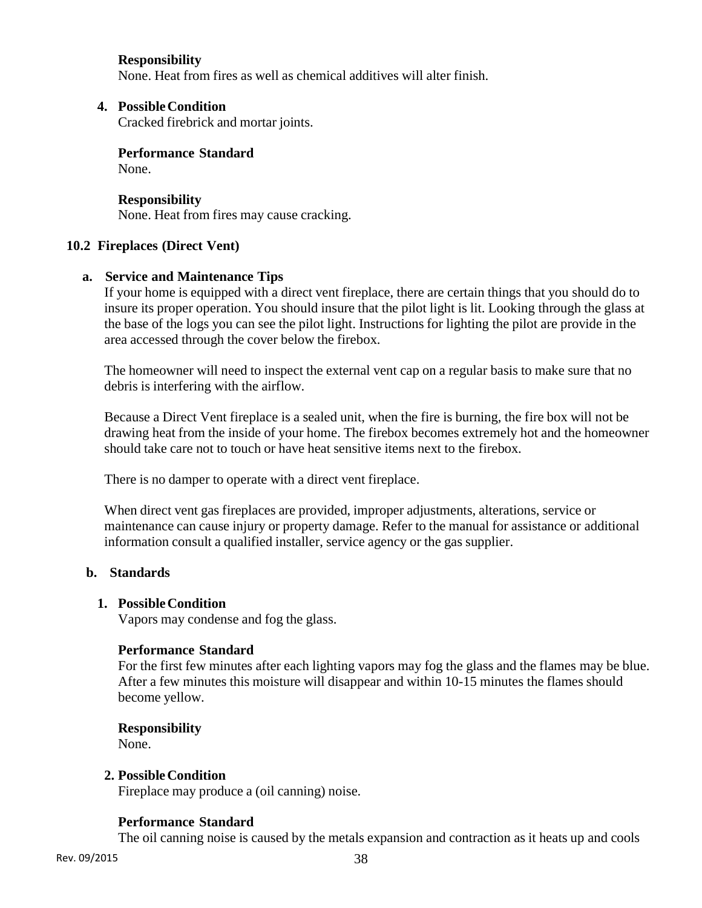# **Responsibility**

None. Heat from fires as well as chemical additives will alter finish.

# **4. Possible Condition**

Cracked firebrick and mortar joints.

**Performance Standard**  None.

**Responsibility**  None. Heat from fires may cause cracking.

# **10.2 Fireplaces (Direct Vent)**

# **a. Service and Maintenance Tips**

If your home is equipped with a direct vent fireplace, there are certain things that you should do to insure its proper operation. You should insure that the pilot light is lit. Looking through the glass at the base of the logs you can see the pilot light. Instructions for lighting the pilot are provide in the area accessed through the cover below the firebox.

The homeowner will need to inspect the external vent cap on a regular basis to make sure that no debris is interfering with the airflow.

Because a Direct Vent fireplace is a sealed unit, when the fire is burning, the fire box will not be drawing heat from the inside of your home. The firebox becomes extremely hot and the homeowner should take care not to touch or have heat sensitive items next to the firebox.

There is no damper to operate with a direct vent fireplace.

When direct vent gas fireplaces are provided, improper adjustments, alterations, service or maintenance can cause injury or property damage. Refer to the manual for assistance or additional information consult a qualified installer, service agency or the gas supplier.

# **b. Standards**

# **1. Possible Condition**

Vapors may condense and fog the glass.

# **Performance Standard**

For the first few minutes after each lighting vapors may fog the glass and the flames may be blue. After a few minutes this moisture will disappear and within 10-15 minutes the flames should become yellow.

# **Responsibility**

None.

# **2. Possible Condition**

Fireplace may produce a (oil canning) noise.

# **Performance Standard**

The oil canning noise is caused by the metals expansion and contraction as it heats up and cools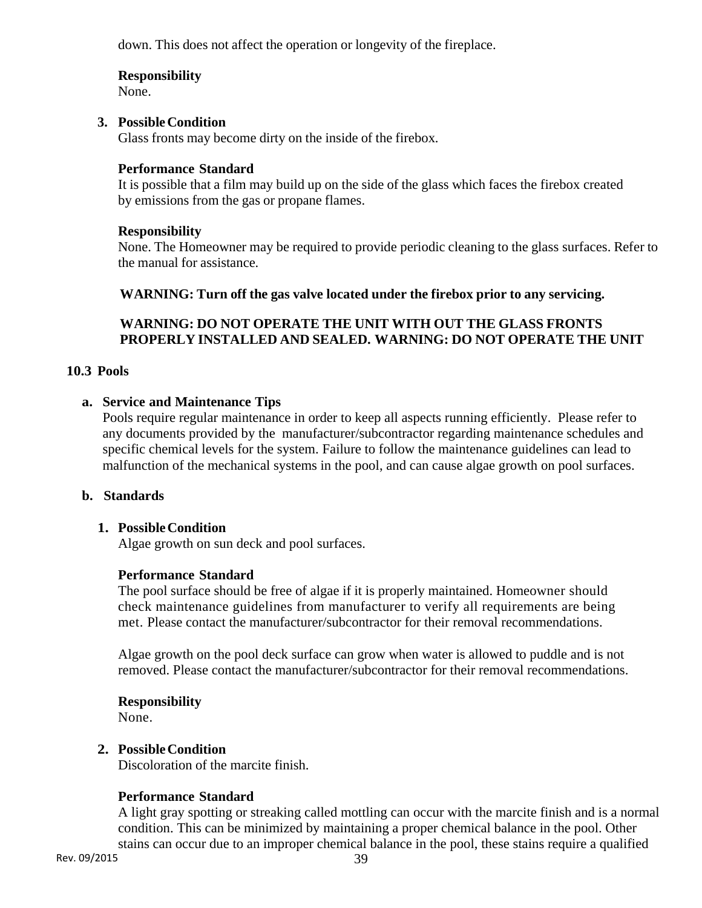down. This does not affect the operation or longevity of the fireplace.

# **Responsibility**

None.

# **3. Possible Condition**

Glass fronts may become dirty on the inside of the firebox.

# **Performance Standard**

It is possible that a film may build up on the side of the glass which faces the firebox created by emissions from the gas or propane flames.

# **Responsibility**

None. The Homeowner may be required to provide periodic cleaning to the glass surfaces. Refer to the manual for assistance.

# **WARNING: Turn off the gas valve located under the firebox prior to any servicing.**

# **WARNING: DO NOT OPERATE THE UNIT WITH OUT THE GLASS FRONTS PROPERLY INSTALLED AND SEALED. WARNING: DO NOT OPERATE THE UNIT**

# **10.3 Pools**

# **a. Service and Maintenance Tips**

Pools require regular maintenance in order to keep all aspects running efficiently. Please refer to any documents provided by the manufacturer/subcontractor regarding maintenance schedules and specific chemical levels for the system. Failure to follow the maintenance guidelines can lead to malfunction of the mechanical systems in the pool, and can cause algae growth on pool surfaces.

# **b. Standards**

# **1. Possible Condition**

Algae growth on sun deck and pool surfaces.

# **Performance Standard**

The pool surface should be free of algae if it is properly maintained. Homeowner should check maintenance guidelines from manufacturer to verify all requirements are being met. Please contact the manufacturer/subcontractor for their removal recommendations.

Algae growth on the pool deck surface can grow when water is allowed to puddle and is not removed. Please contact the manufacturer/subcontractor for their removal recommendations.

# **Responsibility**

None.

# **2. Possible Condition**

Discoloration of the marcite finish.

# **Performance Standard**

A light gray spotting or streaking called mottling can occur with the marcite finish and is a normal condition. This can be minimized by maintaining a proper chemical balance in the pool. Other stains can occur due to an improper chemical balance in the pool, these stains require a qualified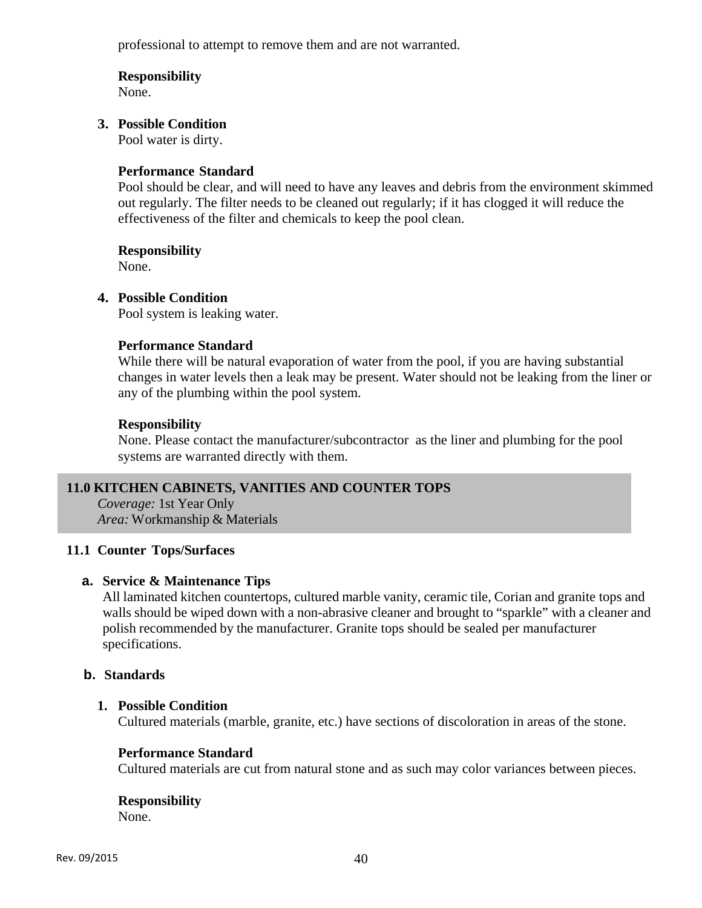professional to attempt to remove them and are not warranted.

# **Responsibility**

None.

### **3. Possible Condition**

Pool water is dirty.

### **Performance Standard**

Pool should be clear, and will need to have any leaves and debris from the environment skimmed out regularly. The filter needs to be cleaned out regularly; if it has clogged it will reduce the effectiveness of the filter and chemicals to keep the pool clean.

#### **Responsibility**

None.

# **4. Possible Condition**

Pool system is leaking water.

#### **Performance Standard**

While there will be natural evaporation of water from the pool, if you are having substantial changes in water levels then a leak may be present. Water should not be leaking from the liner or any of the plumbing within the pool system.

# **Responsibility**

None. Please contact the manufacturer/subcontractor as the liner and plumbing for the pool systems are warranted directly with them.

# **11.0 KITCHEN CABINETS, VANITIES AND COUNTER TOPS**

*Coverage:* 1st Year Only *Area:* Workmanship & Materials

# **11.1 Counter Tops/Surfaces**

#### **a. Service & Maintenance Tips**

All laminated kitchen countertops, cultured marble vanity, ceramic tile, Corian and granite tops and walls should be wiped down with a non-abrasive cleaner and brought to "sparkle" with a cleaner and polish recommended by the manufacturer. Granite tops should be sealed per manufacturer specifications.

# **b. Standards**

#### **1. Possible Condition**

Cultured materials (marble, granite, etc.) have sections of discoloration in areas of the stone.

### **Performance Standard**

Cultured materials are cut from natural stone and as such may color variances between pieces.

# **Responsibility**

None.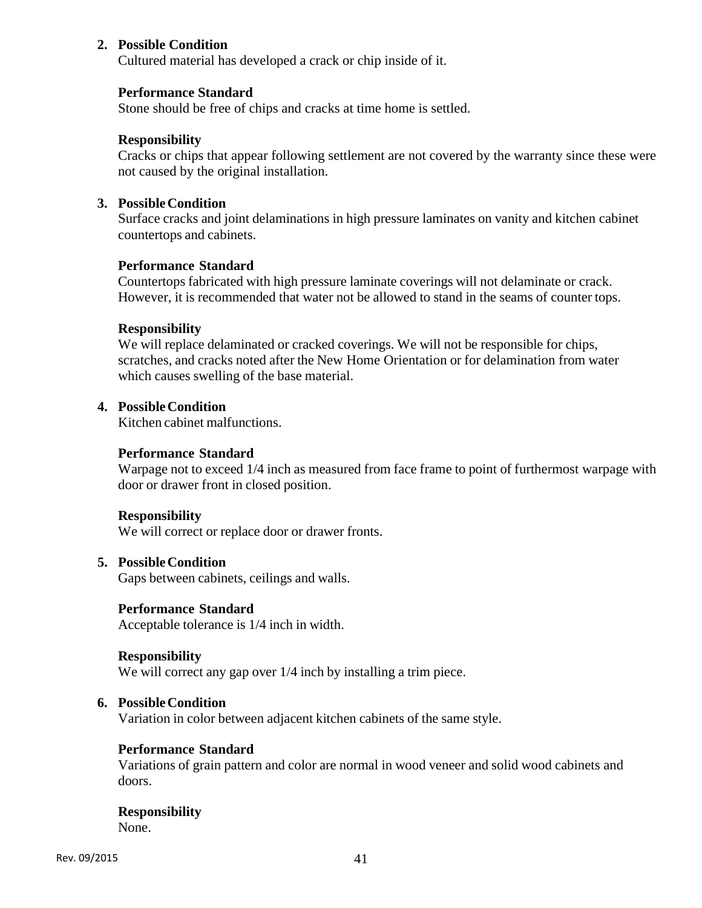# **2. Possible Condition**

Cultured material has developed a crack or chip inside of it.

#### **Performance Standard**

Stone should be free of chips and cracks at time home is settled.

### **Responsibility**

Cracks or chips that appear following settlement are not covered by the warranty since these were not caused by the original installation.

### **3. Possible Condition**

Surface cracks and joint delaminations in high pressure laminates on vanity and kitchen cabinet countertops and cabinets.

### **Performance Standard**

Countertops fabricated with high pressure laminate coverings will not delaminate or crack. However, it is recommended that water not be allowed to stand in the seams of counter tops.

#### **Responsibility**

We will replace delaminated or cracked coverings. We will not be responsible for chips, scratches, and cracks noted after the New Home Orientation or for delamination from water which causes swelling of the base material.

### **4. Possible Condition**

Kitchen cabinet malfunctions.

#### **Performance Standard**

Warpage not to exceed 1/4 inch as measured from face frame to point of furthermost warpage with door or drawer front in closed position.

#### **Responsibility**

We will correct or replace door or drawer fronts.

### **5. Possible Condition**

Gaps between cabinets, ceilings and walls.

#### **Performance Standard**

Acceptable tolerance is 1/4 inch in width.

#### **Responsibility**

We will correct any gap over  $1/4$  inch by installing a trim piece.

# **6. Possible Condition**

Variation in color between adjacent kitchen cabinets of the same style.

# **Performance Standard**

Variations of grain pattern and color are normal in wood veneer and solid wood cabinets and doors.

#### **Responsibility**  None.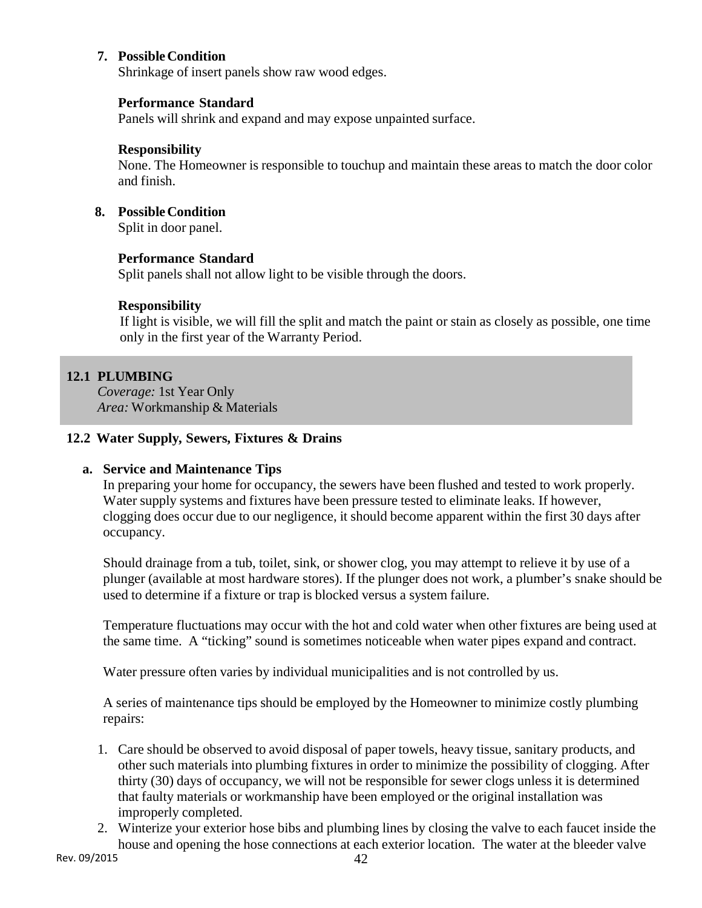# **7. Possible Condition**

Shrinkage of insert panels show raw wood edges.

# **Performance Standard**

Panels will shrink and expand and may expose unpainted surface.

### **Responsibility**

None. The Homeowner is responsible to touchup and maintain these areas to match the door color and finish.

### **8. Possible Condition**

Split in door panel.

# **Performance Standard**

Split panels shall not allow light to be visible through the doors.

# **Responsibility**

If light is visible, we will fill the split and match the paint or stain as closely as possible, one time only in the first year of the Warranty Period.

# **12.1 PLUMBING**

*Coverage:* 1st Year Only *Area:* Workmanship & Materials

# **12.2 Water Supply, Sewers, Fixtures & Drains**

# **a. Service and Maintenance Tips**

In preparing your home for occupancy, the sewers have been flushed and tested to work properly. Water supply systems and fixtures have been pressure tested to eliminate leaks. If however, clogging does occur due to our negligence, it should become apparent within the first 30 days after occupancy.

Should drainage from a tub, toilet, sink, or shower clog, you may attempt to relieve it by use of a plunger (available at most hardware stores). If the plunger does not work, a plumber's snake should be used to determine if a fixture or trap is blocked versus a system failure.

Temperature fluctuations may occur with the hot and cold water when other fixtures are being used at the same time. A "ticking" sound is sometimes noticeable when water pipes expand and contract.

Water pressure often varies by individual municipalities and is not controlled by us.

A series of maintenance tips should be employed by the Homeowner to minimize costly plumbing repairs:

- 1. Care should be observed to avoid disposal of paper towels, heavy tissue, sanitary products, and other such materials into plumbing fixtures in order to minimize the possibility of clogging. After thirty (30) days of occupancy, we will not be responsible for sewer clogs unless it is determined that faulty materials or workmanship have been employed or the original installation was improperly completed.
- 2. Winterize your exterior hose bibs and plumbing lines by closing the valve to each faucet inside the house and opening the hose connections at each exterior location. The water at the bleeder valve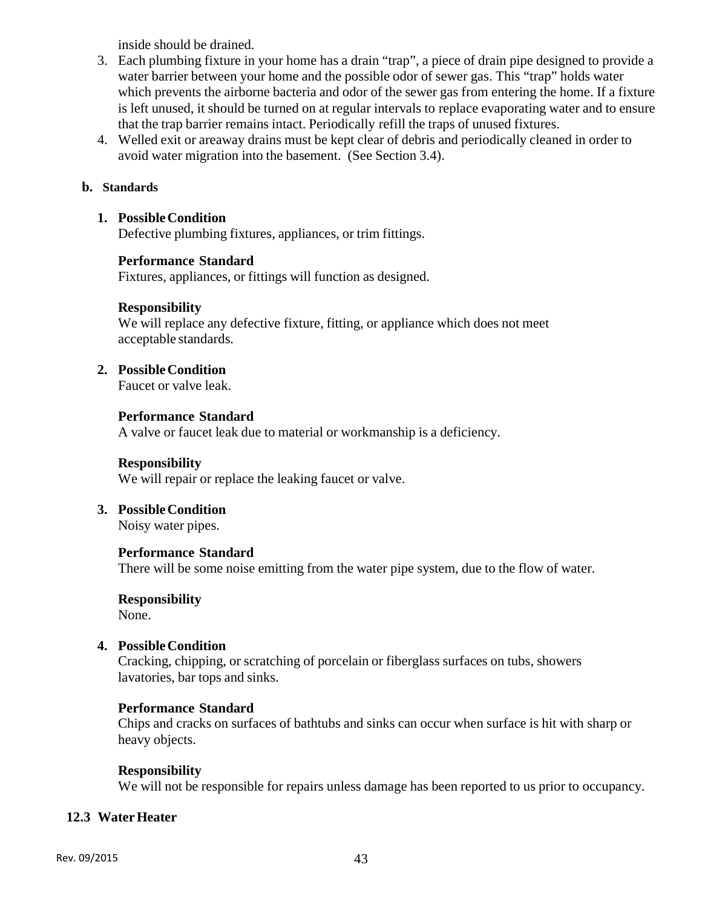inside should be drained.

- 3. Each plumbing fixture in your home has a drain "trap", a piece of drain pipe designed to provide a water barrier between your home and the possible odor of sewer gas. This "trap" holds water which prevents the airborne bacteria and odor of the sewer gas from entering the home. If a fixture is left unused, it should be turned on at regular intervals to replace evaporating water and to ensure that the trap barrier remains intact. Periodically refill the traps of unused fixtures.
- 4. Welled exit or areaway drains must be kept clear of debris and periodically cleaned in order to avoid water migration into the basement. (See Section 3.4).

# **b. Standards**

# **1. Possible Condition**

Defective plumbing fixtures, appliances, or trim fittings.

# **Performance Standard**

Fixtures, appliances, or fittings will function as designed.

# **Responsibility**

We will replace any defective fixture, fitting, or appliance which does not meet acceptable standards.

# **2. Possible Condition**

Faucet or valve leak.

# **Performance Standard**

A valve or faucet leak due to material or workmanship is a deficiency.

# **Responsibility**

We will repair or replace the leaking faucet or valve.

# **3. Possible Condition**

Noisy water pipes.

# **Performance Standard**

There will be some noise emitting from the water pipe system, due to the flow of water.

# **Responsibility**

None.

# **4. Possible Condition**

Cracking, chipping, or scratching of porcelain or fiberglass surfaces on tubs, showers lavatories, bar tops and sinks.

# **Performance Standard**

Chips and cracks on surfaces of bathtubs and sinks can occur when surface is hit with sharp or heavy objects.

# **Responsibility**

We will not be responsible for repairs unless damage has been reported to us prior to occupancy.

# **12.3 Water Heater**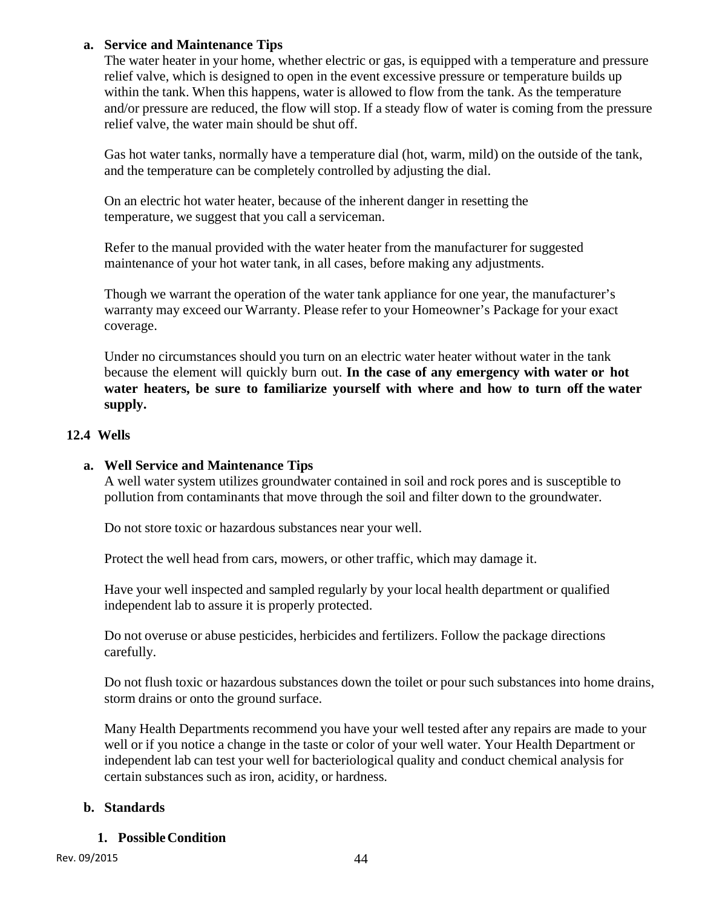# **a. Service and Maintenance Tips**

The water heater in your home, whether electric or gas, is equipped with a temperature and pressure relief valve, which is designed to open in the event excessive pressure or temperature builds up within the tank. When this happens, water is allowed to flow from the tank. As the temperature and/or pressure are reduced, the flow will stop. If a steady flow of water is coming from the pressure relief valve, the water main should be shut off.

Gas hot water tanks, normally have a temperature dial (hot, warm, mild) on the outside of the tank, and the temperature can be completely controlled by adjusting the dial.

On an electric hot water heater, because of the inherent danger in resetting the temperature, we suggest that you call a serviceman.

Refer to the manual provided with the water heater from the manufacturer for suggested maintenance of your hot water tank, in all cases, before making any adjustments.

Though we warrant the operation of the water tank appliance for one year, the manufacturer's warranty may exceed our Warranty. Please refer to your Homeowner's Package for your exact coverage.

Under no circumstances should you turn on an electric water heater without water in the tank because the element will quickly burn out. **In the case of any emergency with water or hot water heaters, be sure to familiarize yourself with where and how to turn off the water supply.**

# **12.4 Wells**

# **a. Well Service and Maintenance Tips**

A well water system utilizes groundwater contained in soil and rock pores and is susceptible to pollution from contaminants that move through the soil and filter down to the groundwater.

Do not store toxic or hazardous substances near your well.

Protect the well head from cars, mowers, or other traffic, which may damage it.

Have your well inspected and sampled regularly by your local health department or qualified independent lab to assure it is properly protected.

Do not overuse or abuse pesticides, herbicides and fertilizers. Follow the package directions carefully.

Do not flush toxic or hazardous substances down the toilet or pour such substances into home drains, storm drains or onto the ground surface.

Many Health Departments recommend you have your well tested after any repairs are made to your well or if you notice a change in the taste or color of your well water. Your Health Department or independent lab can test your well for bacteriological quality and conduct chemical analysis for certain substances such as iron, acidity, or hardness.

# **b. Standards**

# **1. Possible Condition**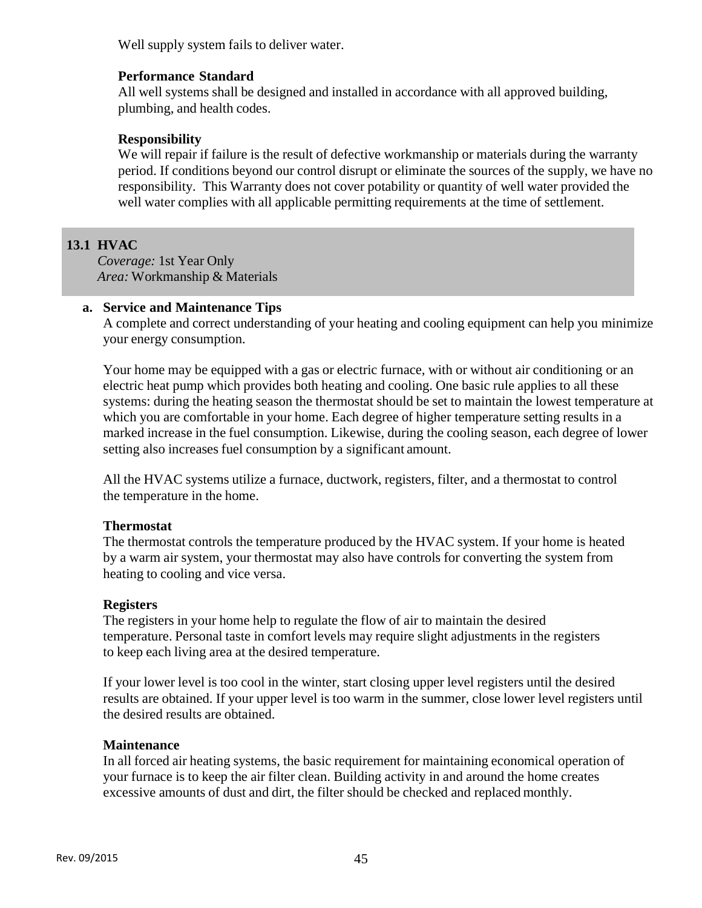Well supply system fails to deliver water.

# **Performance Standard**

All well systems shall be designed and installed in accordance with all approved building, plumbing, and health codes.

# **Responsibility**

We will repair if failure is the result of defective workmanship or materials during the warranty period. If conditions beyond our control disrupt or eliminate the sources of the supply, we have no responsibility. This Warranty does not cover potability or quantity of well water provided the well water complies with all applicable permitting requirements at the time of settlement.

# **13.1 HVAC**

*Coverage:* 1st Year Only *Area:* Workmanship & Materials

# **a. Service and Maintenance Tips**

A complete and correct understanding of your heating and cooling equipment can help you minimize your energy consumption.

Your home may be equipped with a gas or electric furnace, with or without air conditioning or an electric heat pump which provides both heating and cooling. One basic rule applies to all these systems: during the heating season the thermostat should be set to maintain the lowest temperature at which you are comfortable in your home. Each degree of higher temperature setting results in a marked increase in the fuel consumption. Likewise, during the cooling season, each degree of lower setting also increases fuel consumption by a significant amount.

All the HVAC systems utilize a furnace, ductwork, registers, filter, and a thermostat to control the temperature in the home.

# **Thermostat**

The thermostat controls the temperature produced by the HVAC system. If your home is heated by a warm air system, your thermostat may also have controls for converting the system from heating to cooling and vice versa.

# **Registers**

The registers in your home help to regulate the flow of air to maintain the desired temperature. Personal taste in comfort levels may require slight adjustments in the registers to keep each living area at the desired temperature.

If your lower level is too cool in the winter, start closing upper level registers until the desired results are obtained. If your upper level is too warm in the summer, close lower level registers until the desired results are obtained.

# **Maintenance**

In all forced air heating systems, the basic requirement for maintaining economical operation of your furnace is to keep the air filter clean. Building activity in and around the home creates excessive amounts of dust and dirt, the filter should be checked and replaced monthly.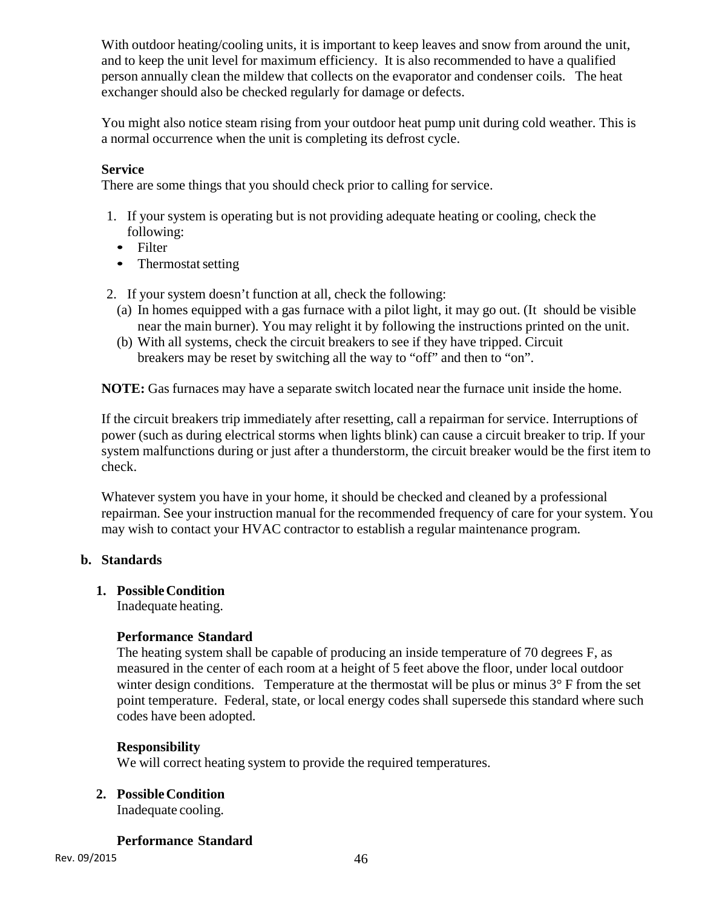With outdoor heating/cooling units, it is important to keep leaves and snow from around the unit, and to keep the unit level for maximum efficiency. It is also recommended to have a qualified person annually clean the mildew that collects on the evaporator and condenser coils. The heat exchanger should also be checked regularly for damage or defects.

You might also notice steam rising from your outdoor heat pump unit during cold weather. This is a normal occurrence when the unit is completing its defrost cycle.

# **Service**

There are some things that you should check prior to calling for service.

- 1. If your system is operating but is not providing adequate heating or cooling, check the following:
	- Filter
	- Thermostat setting
- 2. If your system doesn't function at all, check the following:
	- (a) In homes equipped with a gas furnace with a pilot light, it may go out. (It should be visible near the main burner). You may relight it by following the instructions printed on the unit.
	- (b) With all systems, check the circuit breakers to see if they have tripped. Circuit breakers may be reset by switching all the way to "off" and then to "on".

**NOTE:** Gas furnaces may have a separate switch located near the furnace unit inside the home.

If the circuit breakers trip immediately after resetting, call a repairman for service. Interruptions of power (such as during electrical storms when lights blink) can cause a circuit breaker to trip. If your system malfunctions during or just after a thunderstorm, the circuit breaker would be the first item to check.

Whatever system you have in your home, it should be checked and cleaned by a professional repairman. See your instruction manual for the recommended frequency of care for your system. You may wish to contact your HVAC contractor to establish a regular maintenance program.

# **b. Standards**

# **1. Possible Condition**

Inadequate heating.

# **Performance Standard**

The heating system shall be capable of producing an inside temperature of 70 degrees F, as measured in the center of each room at a height of 5 feet above the floor, under local outdoor winter design conditions. Temperature at the thermostat will be plus or minus  $3^\circ$  F from the set point temperature. Federal, state, or local energy codes shall supersede this standard where such codes have been adopted.

# **Responsibility**

We will correct heating system to provide the required temperatures.

# **2. Possible Condition**

Inadequate cooling.

# **Performance Standard**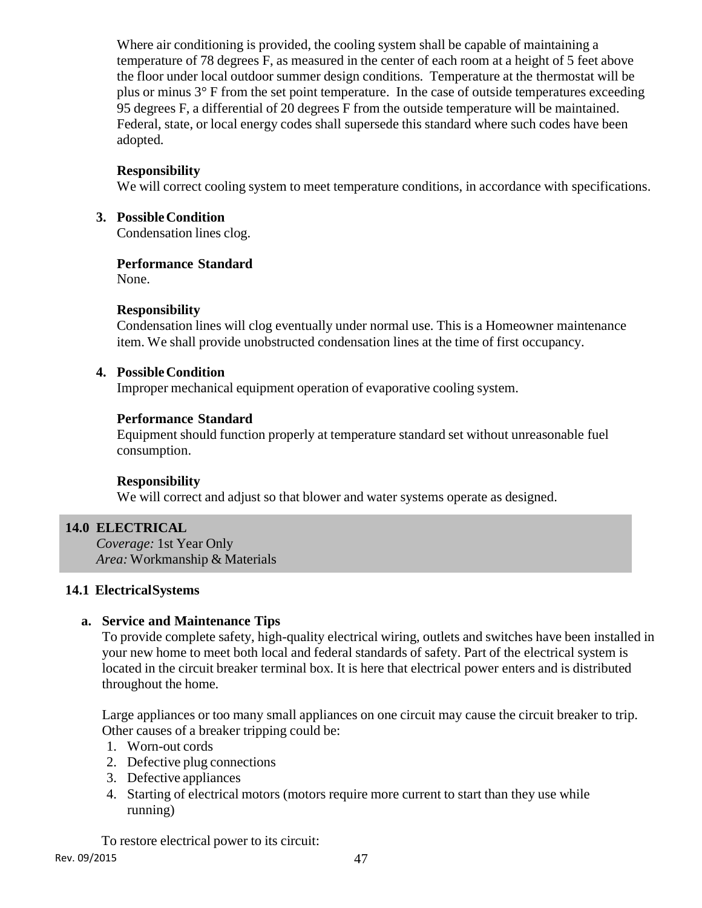Where air conditioning is provided, the cooling system shall be capable of maintaining a temperature of 78 degrees F, as measured in the center of each room at a height of 5 feet above the floor under local outdoor summer design conditions. Temperature at the thermostat will be plus or minus 3° F from the set point temperature. In the case of outside temperatures exceeding 95 degrees F, a differential of 20 degrees F from the outside temperature will be maintained. Federal, state, or local energy codes shall supersede this standard where such codes have been adopted.

# **Responsibility**

We will correct cooling system to meet temperature conditions, in accordance with specifications.

### **3. Possible Condition**

Condensation lines clog.

#### **Performance Standard**

None.

#### **Responsibility**

Condensation lines will clog eventually under normal use. This is a Homeowner maintenance item. We shall provide unobstructed condensation lines at the time of first occupancy.

#### **4. Possible Condition**

Improper mechanical equipment operation of evaporative cooling system.

# **Performance Standard**

Equipment should function properly at temperature standard set without unreasonable fuel consumption.

# **Responsibility**

We will correct and adjust so that blower and water systems operate as designed.

# **14.0 ELECTRICAL**

*Coverage:* 1st Year Only *Area:* Workmanship & Materials

# **14.1 Electrical Systems**

# **a. Service and Maintenance Tips**

To provide complete safety, high-quality electrical wiring, outlets and switches have been installed in your new home to meet both local and federal standards of safety. Part of the electrical system is located in the circuit breaker terminal box. It is here that electrical power enters and is distributed throughout the home.

Large appliances or too many small appliances on one circuit may cause the circuit breaker to trip. Other causes of a breaker tripping could be:

- 1. Worn-out cords
- 2. Defective plug connections
- 3. Defective appliances
- 4. Starting of electrical motors (motors require more current to start than they use while running)

To restore electrical power to its circuit: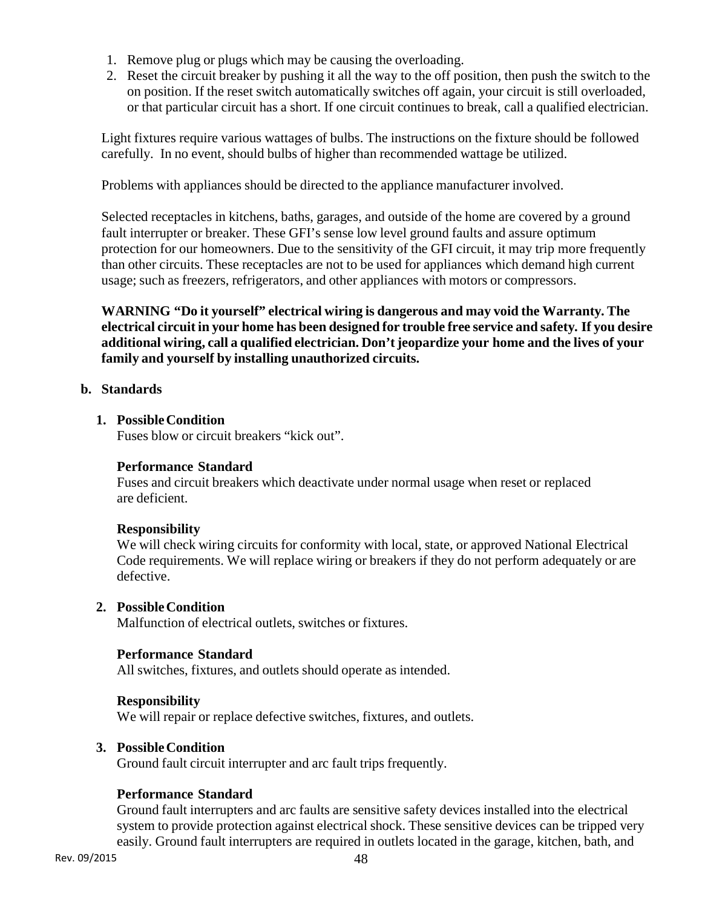- 1. Remove plug or plugs which may be causing the overloading.
- 2. Reset the circuit breaker by pushing it all the way to the off position, then push the switch to the on position. If the reset switch automatically switches off again, your circuit is still overloaded, or that particular circuit has a short. If one circuit continues to break, call a qualified electrician.

Light fixtures require various wattages of bulbs. The instructions on the fixture should be followed carefully. In no event, should bulbs of higher than recommended wattage be utilized.

Problems with appliances should be directed to the appliance manufacturer involved.

Selected receptacles in kitchens, baths, garages, and outside of the home are covered by a ground fault interrupter or breaker. These GFI's sense low level ground faults and assure optimum protection for our homeowners. Due to the sensitivity of the GFI circuit, it may trip more frequently than other circuits. These receptacles are not to be used for appliances which demand high current usage; such as freezers, refrigerators, and other appliances with motors or compressors.

**WARNING "Do it yourself" electrical wiring is dangerous and may void the Warranty. The electrical circuit in your home has been designed for trouble free service and safety. If you desire additional wiring, call a qualified electrician. Don't jeopardize your home and the lives of your family and yourself by installing unauthorized circuits.** 

#### **b. Standards**

#### **1. Possible Condition**

Fuses blow or circuit breakers "kick out".

# **Performance Standard**

Fuses and circuit breakers which deactivate under normal usage when reset or replaced are deficient.

# **Responsibility**

We will check wiring circuits for conformity with local, state, or approved National Electrical Code requirements. We will replace wiring or breakers if they do not perform adequately or are defective.

# **2. Possible Condition**

Malfunction of electrical outlets, switches or fixtures.

# **Performance Standard**

All switches, fixtures, and outlets should operate as intended.

#### **Responsibility**

We will repair or replace defective switches, fixtures, and outlets.

#### **3. Possible Condition**

Ground fault circuit interrupter and arc fault trips frequently.

# **Performance Standard**

Ground fault interrupters and arc faults are sensitive safety devices installed into the electrical system to provide protection against electrical shock. These sensitive devices can be tripped very easily. Ground fault interrupters are required in outlets located in the garage, kitchen, bath, and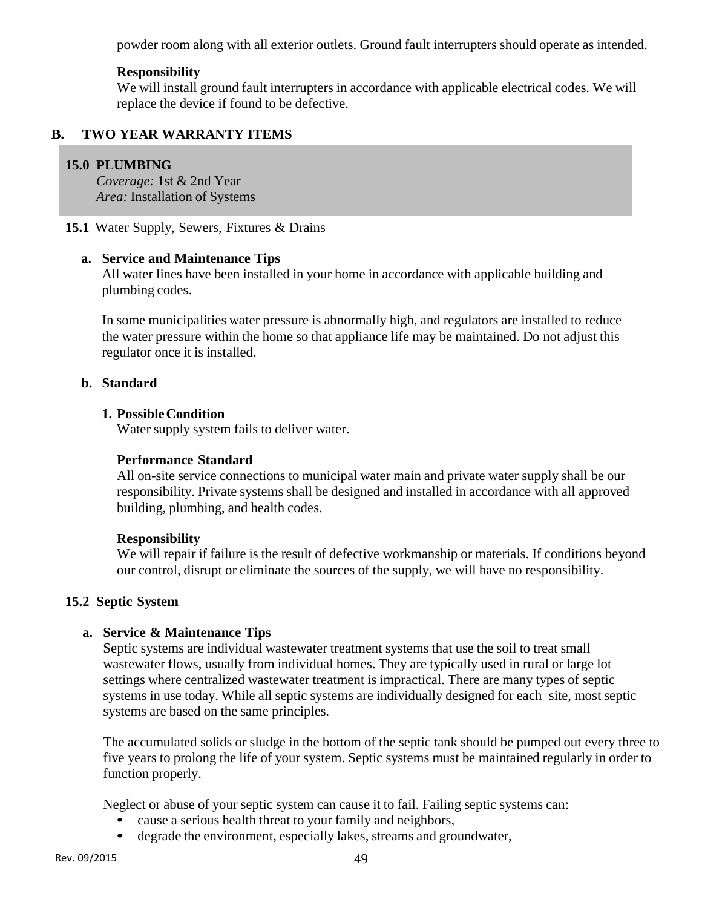powder room along with all exterior outlets. Ground fault interrupters should operate as intended.

# **Responsibility**

We will install ground fault interrupters in accordance with applicable electrical codes. We will replace the device if found to be defective.

# **B. TWO YEAR WARRANTY ITEMS**

# **15.0 PLUMBING**

*Coverage:* 1st & 2nd Year *Area:* Installation of Systems

**15.1** Water Supply, Sewers, Fixtures & Drains

### **a. Service and Maintenance Tips**

All water lines have been installed in your home in accordance with applicable building and plumbing codes.

In some municipalities water pressure is abnormally high, and regulators are installed to reduce the water pressure within the home so that appliance life may be maintained. Do not adjust this regulator once it is installed.

#### **b. Standard**

# **1. Possible Condition**

Water supply system fails to deliver water.

### **Performance Standard**

All on-site service connections to municipal water main and private water supply shall be our responsibility. Private systems shall be designed and installed in accordance with all approved building, plumbing, and health codes.

# **Responsibility**

We will repair if failure is the result of defective workmanship or materials. If conditions beyond our control, disrupt or eliminate the sources of the supply, we will have no responsibility.

# **15.2 Septic System**

# **a. Service & Maintenance Tips**

Septic systems are individual wastewater treatment systems that use the soil to treat small wastewater flows, usually from individual homes. They are typically used in rural or large lot settings where centralized wastewater treatment is impractical. There are many types of septic systems in use today. While all septic systems are individually designed for each site, most septic systems are based on the same principles.

The accumulated solids or sludge in the bottom of the septic tank should be pumped out every three to five years to prolong the life of your system. Septic systems must be maintained regularly in order to function properly.

Neglect or abuse of your septic system can cause it to fail. Failing septic systems can:

- cause a serious health threat to your family and neighbors,
- degrade the environment, especially lakes, streams and groundwater,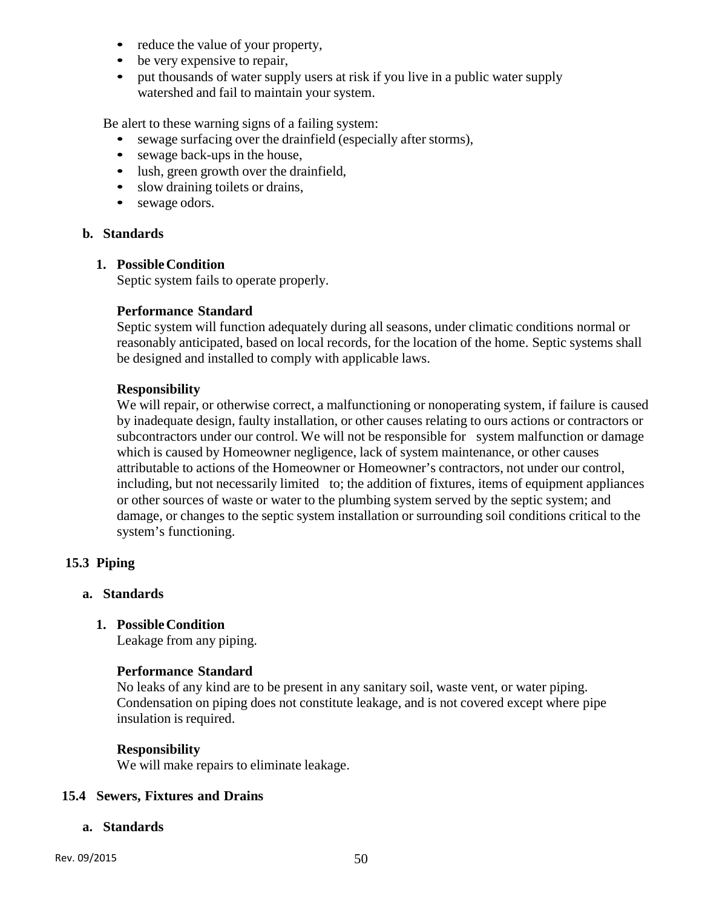- reduce the value of your property,
- be very expensive to repair.
- put thousands of water supply users at risk if you live in a public water supply watershed and fail to maintain your system.

Be alert to these warning signs of a failing system:

- sewage surfacing over the drainfield (especially after storms),
- sewage back-ups in the house,
- lush, green growth over the drainfield,
- slow draining toilets or drains,
- sewage odors.

# **b. Standards**

### **1. Possible Condition**

Septic system fails to operate properly.

# **Performance Standard**

Septic system will function adequately during all seasons, under climatic conditions normal or reasonably anticipated, based on local records, for the location of the home. Septic systems shall be designed and installed to comply with applicable laws.

#### **Responsibility**

We will repair, or otherwise correct, a malfunctioning or nonoperating system, if failure is caused by inadequate design, faulty installation, or other causes relating to ours actions or contractors or subcontractors under our control. We will not be responsible for system malfunction or damage which is caused by Homeowner negligence, lack of system maintenance, or other causes attributable to actions of the Homeowner or Homeowner's contractors, not under our control, including, but not necessarily limited to; the addition of fixtures, items of equipment appliances or other sources of waste or water to the plumbing system served by the septic system; and damage, or changes to the septic system installation or surrounding soil conditions critical to the system's functioning.

# **15.3 Piping**

# **a. Standards**

**1. Possible Condition** 

Leakage from any piping.

# **Performance Standard**

No leaks of any kind are to be present in any sanitary soil, waste vent, or water piping. Condensation on piping does not constitute leakage, and is not covered except where pipe insulation is required.

# **Responsibility**

We will make repairs to eliminate leakage.

#### **15.4 Sewers, Fixtures and Drains**

#### **a. Standards**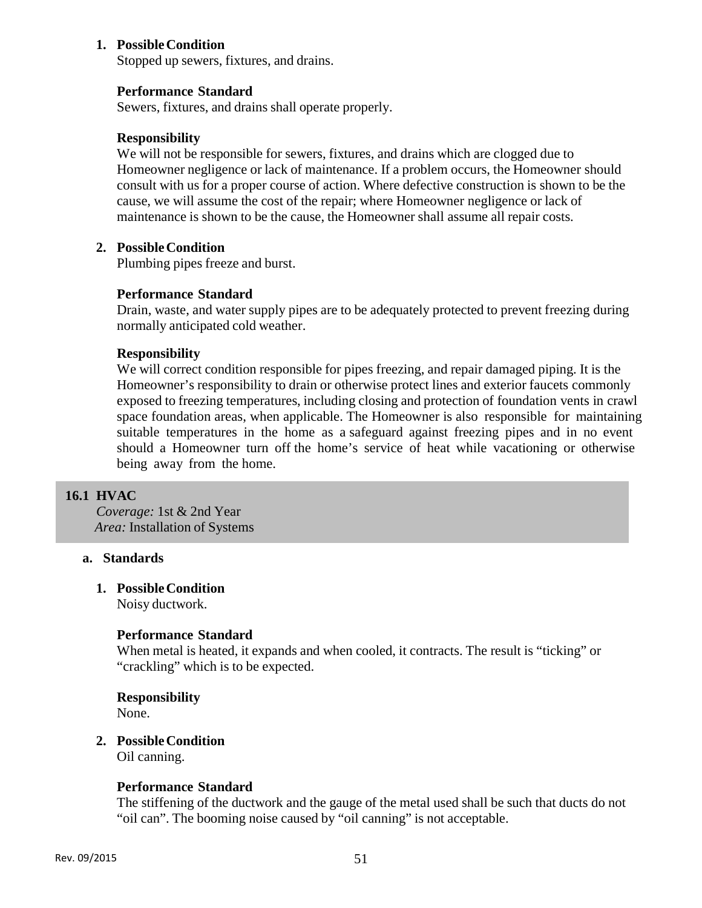### **1. Possible Condition**

Stopped up sewers, fixtures, and drains.

#### **Performance Standard**

Sewers, fixtures, and drains shall operate properly.

#### **Responsibility**

We will not be responsible for sewers, fixtures, and drains which are clogged due to Homeowner negligence or lack of maintenance. If a problem occurs, the Homeowner should consult with us for a proper course of action. Where defective construction is shown to be the cause, we will assume the cost of the repair; where Homeowner negligence or lack of maintenance is shown to be the cause, the Homeowner shall assume all repair costs.

### **2. Possible Condition**

Plumbing pipes freeze and burst.

#### **Performance Standard**

Drain, waste, and water supply pipes are to be adequately protected to prevent freezing during normally anticipated cold weather.

#### **Responsibility**

We will correct condition responsible for pipes freezing, and repair damaged piping. It is the Homeowner's responsibility to drain or otherwise protect lines and exterior faucets commonly exposed to freezing temperatures, including closing and protection of foundation vents in crawl space foundation areas, when applicable. The Homeowner is also responsible for maintaining suitable temperatures in the home as a safeguard against freezing pipes and in no event should a Homeowner turn off the home's service of heat while vacationing or otherwise being away from the home.

### **16.1 HVAC**

*Coverage:* 1st & 2nd Year *Area:* Installation of Systems

#### **a. Standards**

#### **1. Possible Condition**

Noisy ductwork.

#### **Performance Standard**

When metal is heated, it expands and when cooled, it contracts. The result is "ticking" or "crackling" which is to be expected.

# **Responsibility**

None.

# **2. Possible Condition**

Oil canning.

#### **Performance Standard**

The stiffening of the ductwork and the gauge of the metal used shall be such that ducts do not "oil can". The booming noise caused by "oil canning" is not acceptable.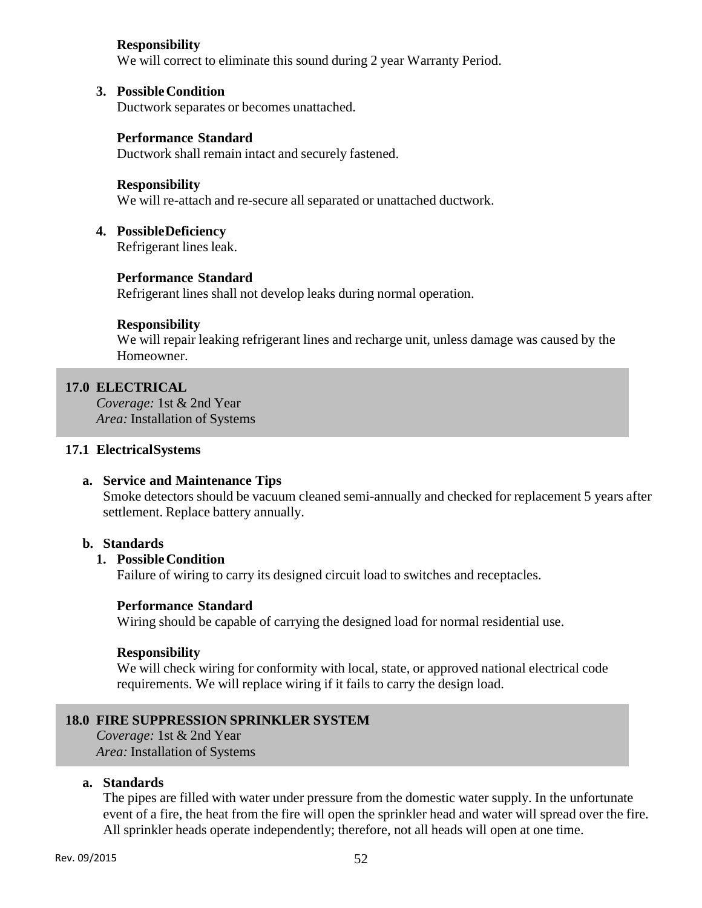# **Responsibility**

We will correct to eliminate this sound during 2 year Warranty Period.

# **3. Possible Condition**

Ductwork separates or becomes unattached.

# **Performance Standard**

Ductwork shall remain intact and securely fastened.

#### **Responsibility**

We will re-attach and re-secure all separated or unattached ductwork.

### **4. Possible Deficiency**

Refrigerant lines leak.

# **Performance Standard**

Refrigerant lines shall not develop leaks during normal operation.

# **Responsibility**

We will repair leaking refrigerant lines and recharge unit, unless damage was caused by the Homeowner.

# **17.0 ELECTRICAL**

*Coverage:* 1st & 2nd Year *Area:* Installation of Systems

### **17.1 Electrical Systems**

# **a. Service and Maintenance Tips**

Smoke detectors should be vacuum cleaned semi-annually and checked for replacement 5 years after settlement. Replace battery annually.

# **b. Standards**

# **1. Possible Condition**

Failure of wiring to carry its designed circuit load to switches and receptacles.

# **Performance Standard**

Wiring should be capable of carrying the designed load for normal residential use.

#### **Responsibility**

We will check wiring for conformity with local, state, or approved national electrical code requirements. We will replace wiring if it fails to carry the design load.

# **18.0 FIRE SUPPRESSION SPRINKLER SYSTEM**

*Coverage:* 1st & 2nd Year *Area:* Installation of Systems

### **a. Standards**

The pipes are filled with water under pressure from the domestic water supply. In the unfortunate event of a fire, the heat from the fire will open the sprinkler head and water will spread over the fire. All sprinkler heads operate independently; therefore, not all heads will open at one time.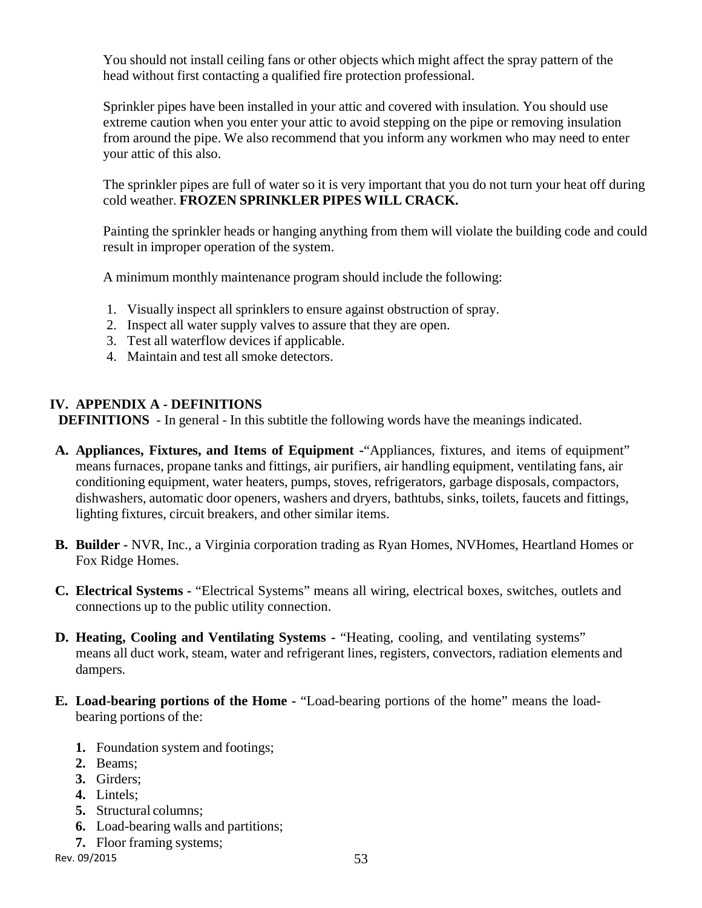You should not install ceiling fans or other objects which might affect the spray pattern of the head without first contacting a qualified fire protection professional.

Sprinkler pipes have been installed in your attic and covered with insulation. You should use extreme caution when you enter your attic to avoid stepping on the pipe or removing insulation from around the pipe. We also recommend that you inform any workmen who may need to enter your attic of this also.

The sprinkler pipes are full of water so it is very important that you do not turn your heat off during cold weather. **FROZEN SPRINKLER PIPES WILL CRACK.**

Painting the sprinkler heads or hanging anything from them will violate the building code and could result in improper operation of the system.

A minimum monthly maintenance program should include the following:

- 1. Visually inspect all sprinklers to ensure against obstruction of spray.
- 2. Inspect all water supply valves to assure that they are open.
- 3. Test all waterflow devices if applicable.
- 4. Maintain and test all smoke detectors.

# **IV. APPENDIX A - DEFINITIONS**

**DEFINITIONS** - In general - In this subtitle the following words have the meanings indicated.

- **A. Appliances, Fixtures, and Items of Equipment -**"Appliances, fixtures, and items of equipment" means furnaces, propane tanks and fittings, air purifiers, air handling equipment, ventilating fans, air conditioning equipment, water heaters, pumps, stoves, refrigerators, garbage disposals, compactors, dishwashers, automatic door openers, washers and dryers, bathtubs, sinks, toilets, faucets and fittings, lighting fixtures, circuit breakers, and other similar items.
- **B. Builder -** NVR, Inc., a Virginia corporation trading as Ryan Homes, NVHomes, Heartland Homes or Fox Ridge Homes.
- **C. Electrical Systems -** "Electrical Systems" means all wiring, electrical boxes, switches, outlets and connections up to the public utility connection.
- **D. Heating, Cooling and Ventilating Systems -** "Heating, cooling, and ventilating systems" means all duct work, steam, water and refrigerant lines, registers, convectors, radiation elements and dampers.
- **E. Load-bearing portions of the Home -** "Load-bearing portions of the home" means the loadbearing portions of the:
	- **1.** Foundation system and footings;
	- **2.** Beams;
	- **3.** Girders;
	- **4.** Lintels;
	- **5.** Structural columns;
	- **6.** Load-bearing walls and partitions;
	- **7.** Floor framing systems;

Rev. 09/2015 53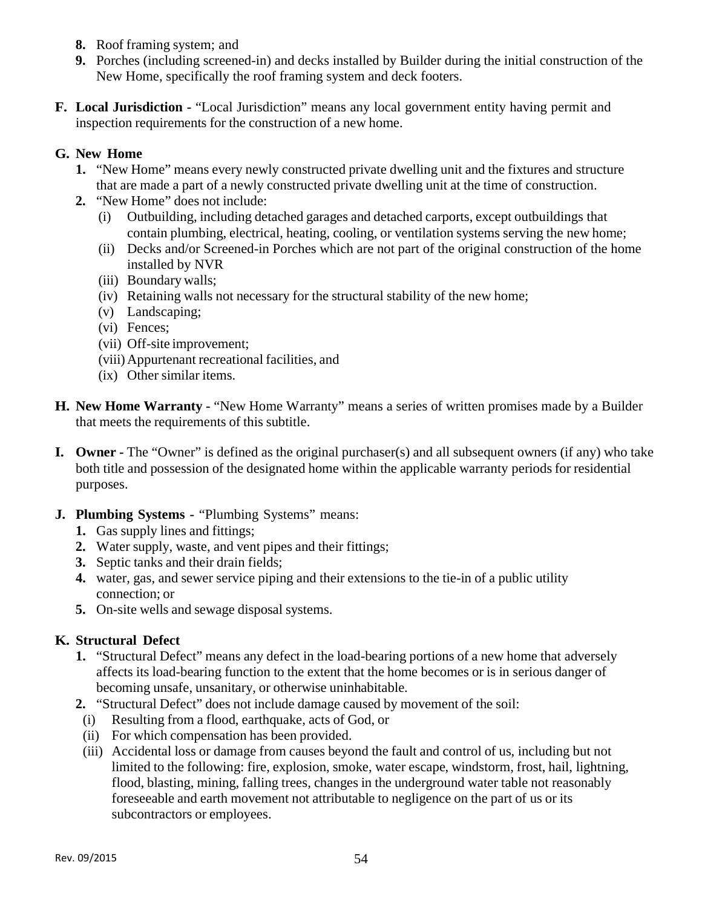- **8.** Roof framing system; and
- **9.** Porches (including screened-in) and decks installed by Builder during the initial construction of the New Home, specifically the roof framing system and deck footers.
- **F. Local Jurisdiction -** "Local Jurisdiction" means any local government entity having permit and inspection requirements for the construction of a new home.

# **G. New Home**

- **1.** "New Home" means every newly constructed private dwelling unit and the fixtures and structure that are made a part of a newly constructed private dwelling unit at the time of construction.
- **2.** "New Home" does not include:
	- (i) Outbuilding, including detached garages and detached carports, except outbuildings that contain plumbing, electrical, heating, cooling, or ventilation systems serving the new home;
	- (ii) Decks and/or Screened-in Porches which are not part of the original construction of the home installed by NVR
	- (iii) Boundary walls;
	- (iv) Retaining walls not necessary for the structural stability of the new home;
	- (v) Landscaping;
	- (vi) Fences;
	- (vii) Off-site improvement;
	- (viii) Appurtenant recreational facilities, and
	- (ix) Other similar items.
- **H. New Home Warranty -** "New Home Warranty" means a series of written promises made by a Builder that meets the requirements of this subtitle.
- **I. Owner** The "Owner" is defined as the original purchaser(s) and all subsequent owners (if any) who take both title and possession of the designated home within the applicable warranty periods for residential purposes.
- **J. Plumbing Systems -** "Plumbing Systems" means:
	- **1.** Gas supply lines and fittings;
	- **2.** Water supply, waste, and vent pipes and their fittings;
	- **3.** Septic tanks and their drain fields;
	- **4.** water, gas, and sewer service piping and their extensions to the tie-in of a public utility connection; or
	- **5.** On-site wells and sewage disposal systems.

# **K. Structural Defect**

- **1.** "Structural Defect" means any defect in the load-bearing portions of a new home that adversely affects its load-bearing function to the extent that the home becomes or is in serious danger of becoming unsafe, unsanitary, or otherwise uninhabitable.
- **2.** "Structural Defect" does not include damage caused by movement of the soil:
	- (i) Resulting from a flood, earthquake, acts of God, or
- (ii) For which compensation has been provided.
- (iii) Accidental loss or damage from causes beyond the fault and control of us, including but not limited to the following: fire, explosion, smoke, water escape, windstorm, frost, hail, lightning, flood, blasting, mining, falling trees, changes in the underground water table not reasonably foreseeable and earth movement not attributable to negligence on the part of us or its subcontractors or employees.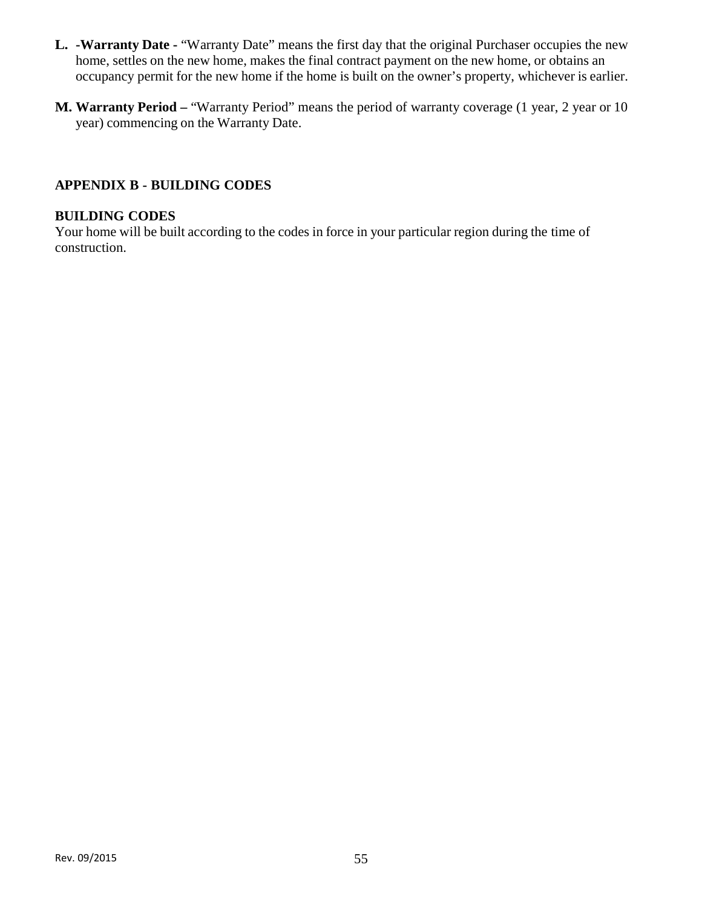- **L. -Warranty Date -** "Warranty Date" means the first day that the original Purchaser occupies the new home, settles on the new home, makes the final contract payment on the new home, or obtains an occupancy permit for the new home if the home is built on the owner's property, whichever is earlier.
- **M. Warranty Period –** "Warranty Period" means the period of warranty coverage (1 year, 2 year or 10 year) commencing on the Warranty Date.

# **APPENDIX B - BUILDING CODES**

### **BUILDING CODES**

Your home will be built according to the codes in force in your particular region during the time of construction.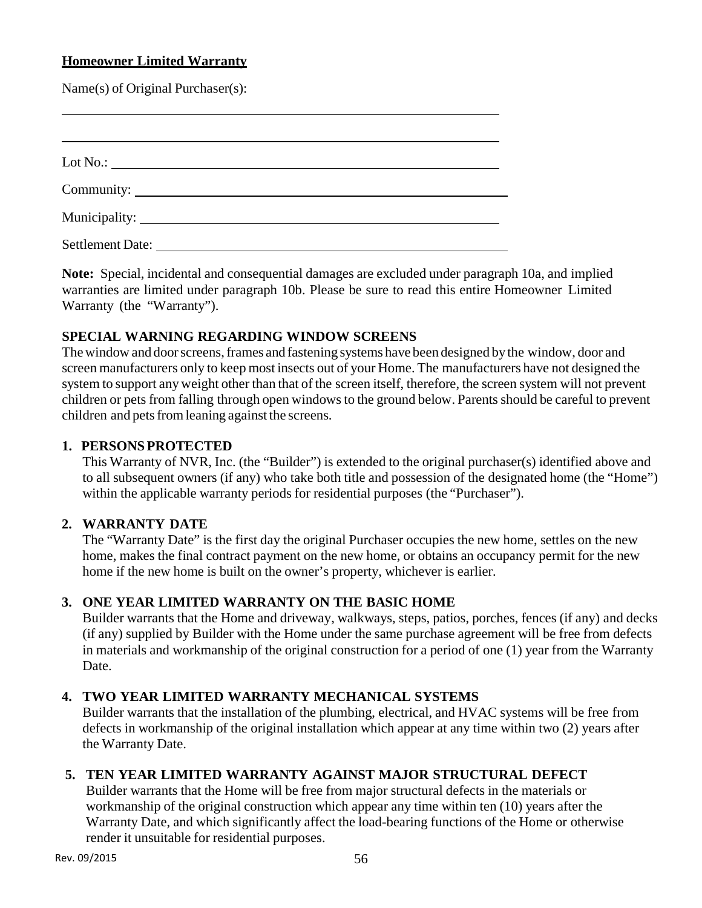# **Homeowner Limited Warranty**

Name(s) of Original Purchaser(s):

| Settlement Date: |  |  |
|------------------|--|--|

**Note:** Special, incidental and consequential damages are excluded under paragraph 10a, and implied warranties are limited under paragraph 10b. Please be sure to read this entire Homeowner Limited Warranty (the "Warranty").

# **SPECIAL WARNING REGARDING WINDOW SCREENS**

The window and door screens, frames and fastening systems have been designed by the window, door and screen manufacturers only to keep most insects out of your Home. The manufacturers have not designed the system to support any weight other than that of the screen itself, therefore, the screen system will not prevent children or pets from falling through open windows to the ground below. Parents should be careful to prevent children and pets from leaning against the screens.

# **1. PERSONS PROTECTED**

This Warranty of NVR, Inc. (the "Builder") is extended to the original purchaser(s) identified above and to all subsequent owners (if any) who take both title and possession of the designated home (the "Home") within the applicable warranty periods for residential purposes (the "Purchaser").

# **2. WARRANTY DATE**

The "Warranty Date" is the first day the original Purchaser occupies the new home, settles on the new home, makes the final contract payment on the new home, or obtains an occupancy permit for the new home if the new home is built on the owner's property, whichever is earlier.

# **3. ONE YEAR LIMITED WARRANTY ON THE BASIC HOME**

Builder warrants that the Home and driveway, walkways, steps, patios, porches, fences (if any) and decks (if any) supplied by Builder with the Home under the same purchase agreement will be free from defects in materials and workmanship of the original construction for a period of one (1) year from the Warranty Date.

# **4. TWO YEAR LIMITED WARRANTY MECHANICAL SYSTEMS**

Builder warrants that the installation of the plumbing, electrical, and HVAC systems will be free from defects in workmanship of the original installation which appear at any time within two (2) years after the Warranty Date.

# **5. TEN YEAR LIMITED WARRANTY AGAINST MAJOR STRUCTURAL DEFECT**

Builder warrants that the Home will be free from major structural defects in the materials or workmanship of the original construction which appear any time within ten (10) years after the Warranty Date, and which significantly affect the load-bearing functions of the Home or otherwise render it unsuitable for residential purposes.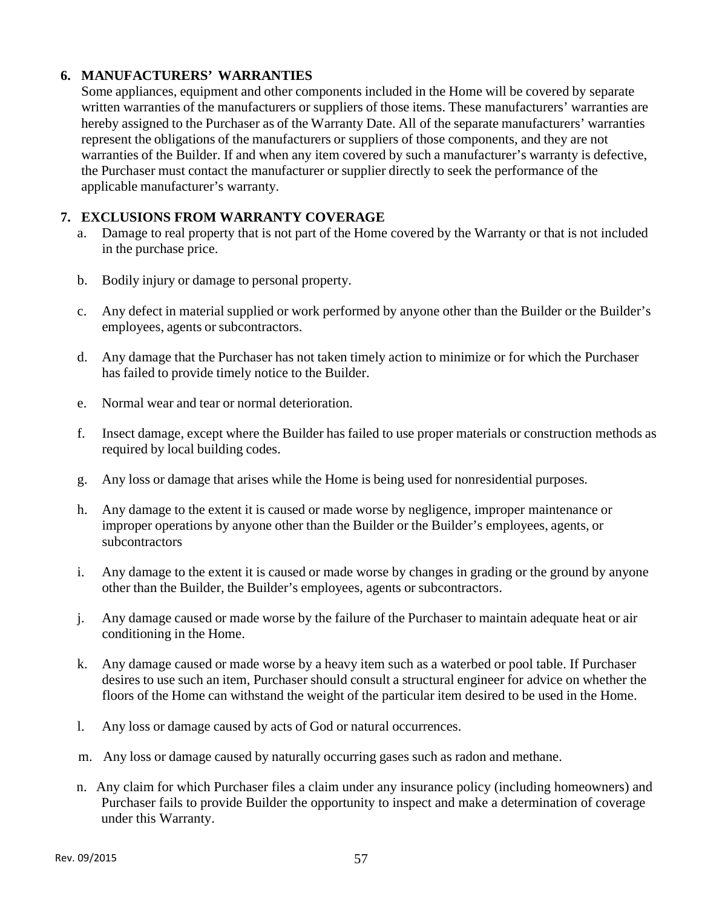# **6. MANUFACTURERS' WARRANTIES**

Some appliances, equipment and other components included in the Home will be covered by separate written warranties of the manufacturers or suppliers of those items. These manufacturers' warranties are hereby assigned to the Purchaser as of the Warranty Date. All of the separate manufacturers' warranties represent the obligations of the manufacturers or suppliers of those components, and they are not warranties of the Builder. If and when any item covered by such a manufacturer's warranty is defective, the Purchaser must contact the manufacturer or supplier directly to seek the performance of the applicable manufacturer's warranty.

# **7. EXCLUSIONS FROM WARRANTY COVERAGE**

- a. Damage to real property that is not part of the Home covered by the Warranty or that is not included in the purchase price.
- b. Bodily injury or damage to personal property.
- c. Any defect in material supplied or work performed by anyone other than the Builder or the Builder's employees, agents or subcontractors.
- d. Any damage that the Purchaser has not taken timely action to minimize or for which the Purchaser has failed to provide timely notice to the Builder.
- e. Normal wear and tear or normal deterioration.
- f. Insect damage, except where the Builder has failed to use proper materials or construction methods as required by local building codes.
- g. Any loss or damage that arises while the Home is being used for nonresidential purposes.
- h. Any damage to the extent it is caused or made worse by negligence, improper maintenance or improper operations by anyone other than the Builder or the Builder's employees, agents, or subcontractors
- i. Any damage to the extent it is caused or made worse by changes in grading or the ground by anyone other than the Builder, the Builder's employees, agents or subcontractors.
- j. Any damage caused or made worse by the failure of the Purchaser to maintain adequate heat or air conditioning in the Home.
- k. Any damage caused or made worse by a heavy item such as a waterbed or pool table. If Purchaser desires to use such an item, Purchaser should consult a structural engineer for advice on whether the floors of the Home can withstand the weight of the particular item desired to be used in the Home.
- l. Any loss or damage caused by acts of God or natural occurrences.
- m. Any loss or damage caused by naturally occurring gases such as radon and methane.
- n. Any claim for which Purchaser files a claim under any insurance policy (including homeowners) and Purchaser fails to provide Builder the opportunity to inspect and make a determination of coverage under this Warranty.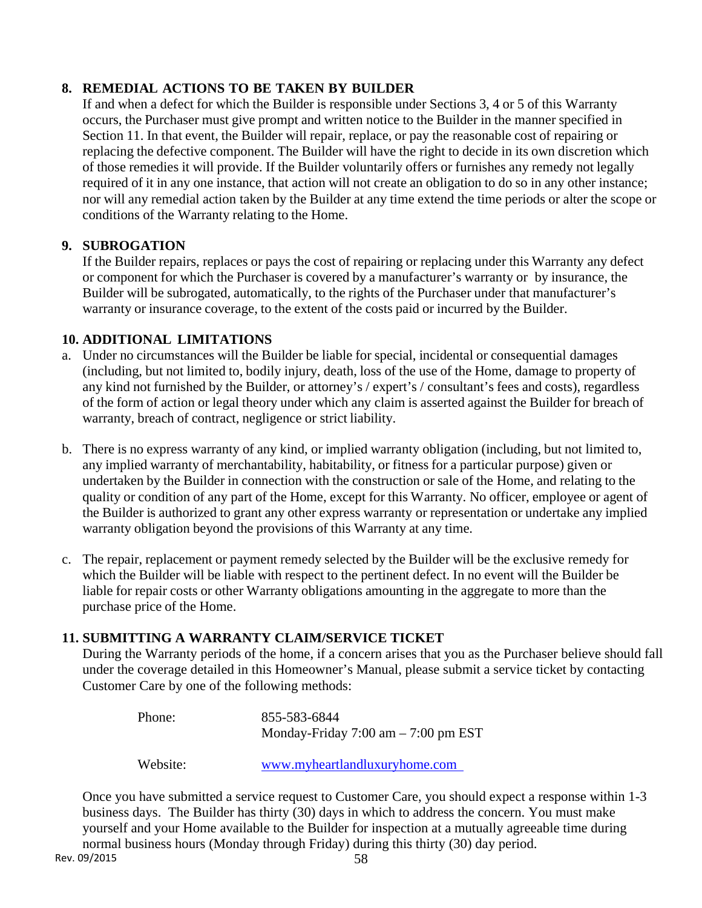# **8. REMEDIAL ACTIONS TO BE TAKEN BY BUILDER**

If and when a defect for which the Builder is responsible under Sections 3, 4 or 5 of this Warranty occurs, the Purchaser must give prompt and written notice to the Builder in the manner specified in Section 11. In that event, the Builder will repair, replace, or pay the reasonable cost of repairing or replacing the defective component. The Builder will have the right to decide in its own discretion which of those remedies it will provide. If the Builder voluntarily offers or furnishes any remedy not legally required of it in any one instance, that action will not create an obligation to do so in any other instance; nor will any remedial action taken by the Builder at any time extend the time periods or alter the scope or conditions of the Warranty relating to the Home.

# **9. SUBROGATION**

If the Builder repairs, replaces or pays the cost of repairing or replacing under this Warranty any defect or component for which the Purchaser is covered by a manufacturer's warranty or by insurance, the Builder will be subrogated, automatically, to the rights of the Purchaser under that manufacturer's warranty or insurance coverage, to the extent of the costs paid or incurred by the Builder.

# **10. ADDITIONAL LIMITATIONS**

- a. Under no circumstances will the Builder be liable for special, incidental or consequential damages (including, but not limited to, bodily injury, death, loss of the use of the Home, damage to property of any kind not furnished by the Builder, or attorney's / expert's / consultant's fees and costs), regardless of the form of action or legal theory under which any claim is asserted against the Builder for breach of warranty, breach of contract, negligence or strict liability.
- b. There is no express warranty of any kind, or implied warranty obligation (including, but not limited to, any implied warranty of merchantability, habitability, or fitness for a particular purpose) given or undertaken by the Builder in connection with the construction or sale of the Home, and relating to the quality or condition of any part of the Home, except for this Warranty. No officer, employee or agent of the Builder is authorized to grant any other express warranty or representation or undertake any implied warranty obligation beyond the provisions of this Warranty at any time.
- c. The repair, replacement or payment remedy selected by the Builder will be the exclusive remedy for which the Builder will be liable with respect to the pertinent defect. In no event will the Builder be liable for repair costs or other Warranty obligations amounting in the aggregate to more than the purchase price of the Home.

# **11. SUBMITTING A WARRANTY CLAIM/SERVICE TICKET**

During the Warranty periods of the home, if a concern arises that you as the Purchaser believe should fall under the coverage detailed in this Homeowner's Manual, please submit a service ticket by contacting Customer Care by one of the following methods:

| Phone: | 855-583-6844                                          |
|--------|-------------------------------------------------------|
|        | Monday-Friday $7:00 \text{ am} - 7:00 \text{ pm EST}$ |

Website: www.myheartlandluxuryhome.com

Once you have submitted a service request to Customer Care, you should expect a response within 1-3 business days. The Builder has thirty (30) days in which to address the concern. You must make yourself and your Home available to the Builder for inspection at a mutually agreeable time during normal business hours (Monday through Friday) during this thirty (30) day period.